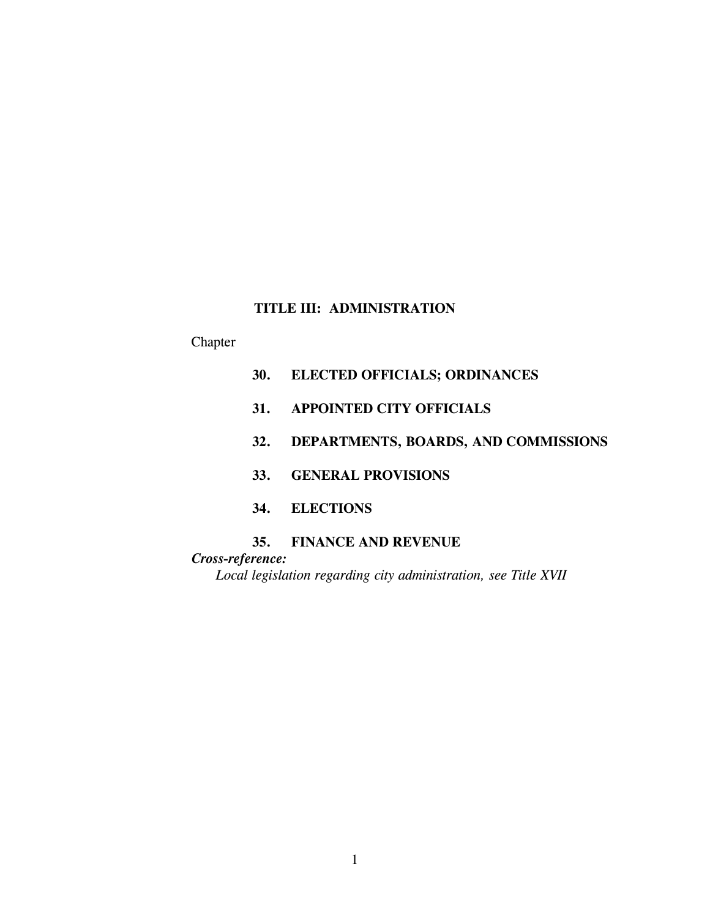# **TITLE III: ADMINISTRATION**

# Chapter

- **30. ELECTED OFFICIALS; ORDINANCES**
- **31. APPOINTED CITY OFFICIALS**
- **32. DEPARTMENTS, BOARDS, AND COMMISSIONS**
- **33. GENERAL PROVISIONS**
- **34. ELECTIONS**

# **35. FINANCE AND REVENUE**

*Cross-reference:*

*Local legislation regarding city administration, see Title XVII*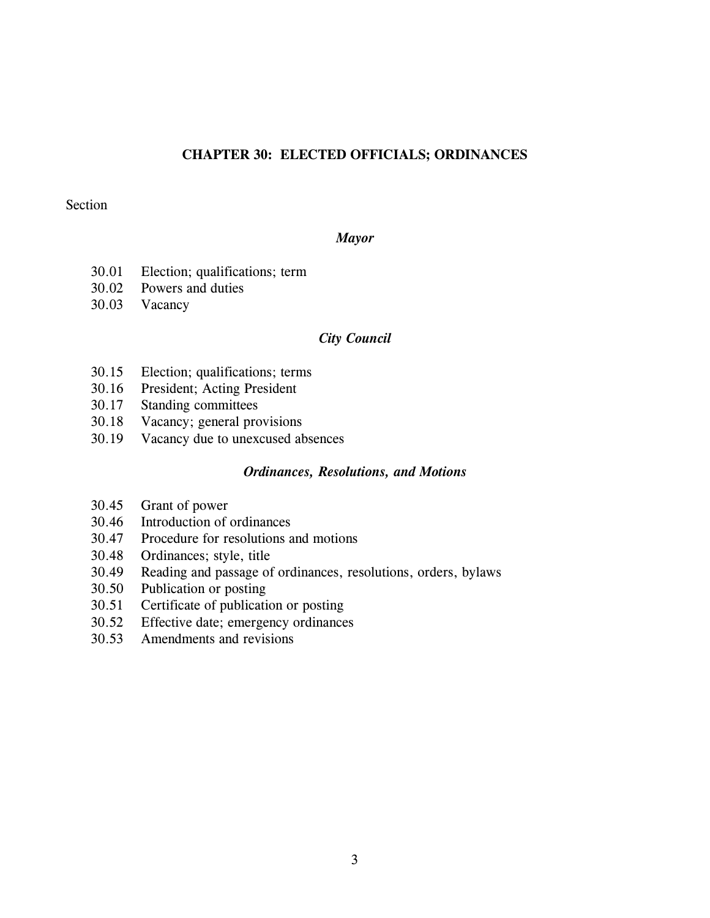# **CHAPTER 30: ELECTED OFFICIALS; ORDINANCES**

## Section

#### *Mayor*

- 30.01 Election; qualifications; term
- 30.02 Powers and duties
- 30.03 Vacancy

### *City Council*

- 30.15 Election; qualifications; terms
- 30.16 President; Acting President
- 30.17 Standing committees
- 30.18 Vacancy; general provisions
- 30.19 Vacancy due to unexcused absences

### *Ordinances, Resolutions, and Motions*

- 30.45 Grant of power
- 30.46 Introduction of ordinances
- 30.47 Procedure for resolutions and motions
- 30.48 Ordinances; style, title
- 30.49 Reading and passage of ordinances, resolutions, orders, bylaws
- 30.50 Publication or posting
- 30.51 Certificate of publication or posting
- 30.52 Effective date; emergency ordinances
- 30.53 Amendments and revisions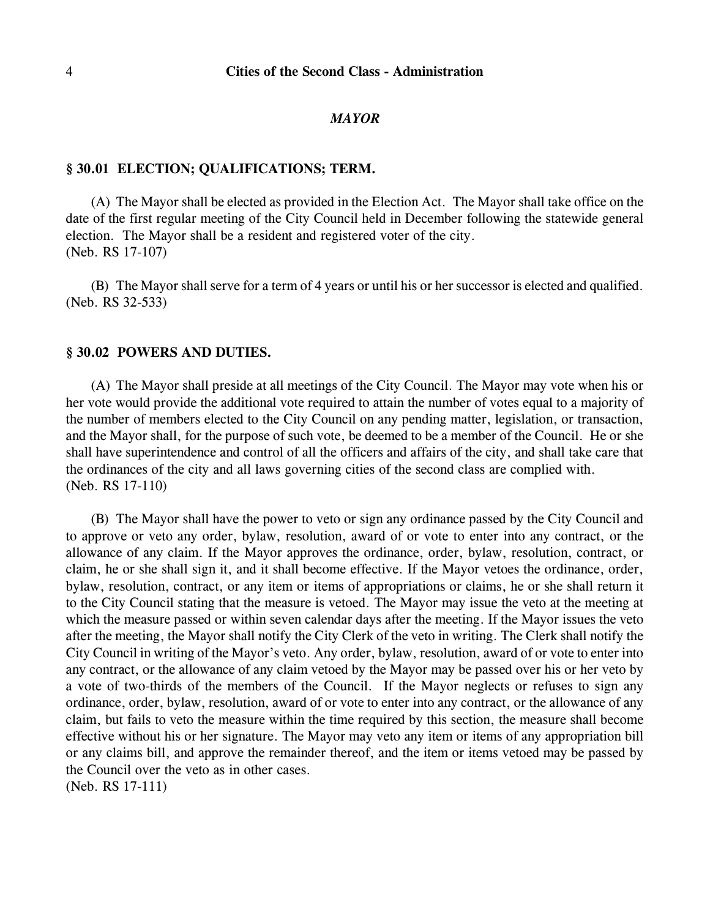#### *MAYOR*

#### **§ 30.01 ELECTION; QUALIFICATIONS; TERM.**

(A) The Mayor shall be elected as provided in the Election Act. The Mayor shall take office on the date of the first regular meeting of the City Council held in December following the statewide general election. The Mayor shall be a resident and registered voter of the city. (Neb. RS 17-107)

(B) The Mayor shall serve for a term of 4 years or until his or her successor is elected and qualified. (Neb. RS 32-533)

#### **§ 30.02 POWERS AND DUTIES.**

(A) The Mayor shall preside at all meetings of the City Council. The Mayor may vote when his or her vote would provide the additional vote required to attain the number of votes equal to a majority of the number of members elected to the City Council on any pending matter, legislation, or transaction, and the Mayor shall, for the purpose of such vote, be deemed to be a member of the Council. He or she shall have superintendence and control of all the officers and affairs of the city, and shall take care that the ordinances of the city and all laws governing cities of the second class are complied with. (Neb. RS 17-110)

(B) The Mayor shall have the power to veto or sign any ordinance passed by the City Council and to approve or veto any order, bylaw, resolution, award of or vote to enter into any contract, or the allowance of any claim. If the Mayor approves the ordinance, order, bylaw, resolution, contract, or claim, he or she shall sign it, and it shall become effective. If the Mayor vetoes the ordinance, order, bylaw, resolution, contract, or any item or items of appropriations or claims, he or she shall return it to the City Council stating that the measure is vetoed. The Mayor may issue the veto at the meeting at which the measure passed or within seven calendar days after the meeting. If the Mayor issues the veto after the meeting, the Mayor shall notify the City Clerk of the veto in writing. The Clerk shall notify the City Council in writing of the Mayor's veto. Any order, bylaw, resolution, award of or vote to enter into any contract, or the allowance of any claim vetoed by the Mayor may be passed over his or her veto by a vote of two-thirds of the members of the Council. If the Mayor neglects or refuses to sign any ordinance, order, bylaw, resolution, award of or vote to enter into any contract, or the allowance of any claim, but fails to veto the measure within the time required by this section, the measure shall become effective without his or her signature. The Mayor may veto any item or items of any appropriation bill or any claims bill, and approve the remainder thereof, and the item or items vetoed may be passed by the Council over the veto as in other cases. (Neb. RS 17-111)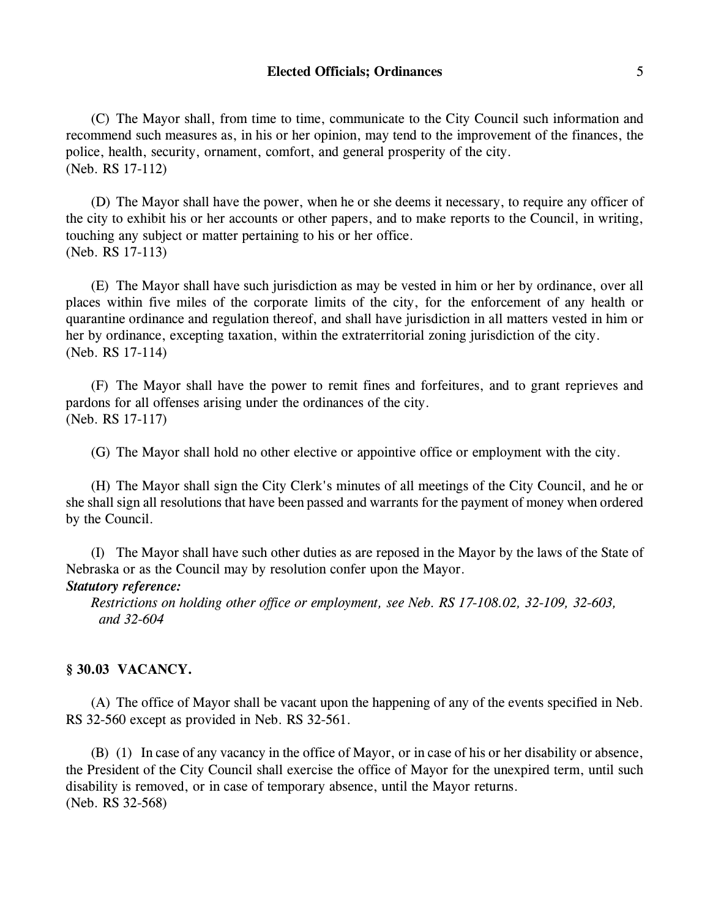(C) The Mayor shall, from time to time, communicate to the City Council such information and recommend such measures as, in his or her opinion, may tend to the improvement of the finances, the police, health, security, ornament, comfort, and general prosperity of the city. (Neb. RS 17-112)

(D) The Mayor shall have the power, when he or she deems it necessary, to require any officer of the city to exhibit his or her accounts or other papers, and to make reports to the Council, in writing, touching any subject or matter pertaining to his or her office. (Neb. RS 17-113)

(E) The Mayor shall have such jurisdiction as may be vested in him or her by ordinance, over all places within five miles of the corporate limits of the city, for the enforcement of any health or quarantine ordinance and regulation thereof, and shall have jurisdiction in all matters vested in him or her by ordinance, excepting taxation, within the extraterritorial zoning jurisdiction of the city. (Neb. RS 17-114)

(F) The Mayor shall have the power to remit fines and forfeitures, and to grant reprieves and pardons for all offenses arising under the ordinances of the city. (Neb. RS 17-117)

(G) The Mayor shall hold no other elective or appointive office or employment with the city.

(H) The Mayor shall sign the City Clerk's minutes of all meetings of the City Council, and he or she shall sign all resolutions that have been passed and warrants for the payment of money when ordered by the Council.

(I) The Mayor shall have such other duties as are reposed in the Mayor by the laws of the State of Nebraska or as the Council may by resolution confer upon the Mayor.

## *Statutory reference:*

*Restrictions on holding other office or employment, see Neb. RS 17-108.02, 32-109, 32-603, and 32-604*

## **§ 30.03 VACANCY.**

(A) The office of Mayor shall be vacant upon the happening of any of the events specified in Neb. RS 32-560 except as provided in Neb. RS 32-561.

(B) (1) In case of any vacancy in the office of Mayor, or in case of his or her disability or absence, the President of the City Council shall exercise the office of Mayor for the unexpired term, until such disability is removed, or in case of temporary absence, until the Mayor returns. (Neb. RS 32-568)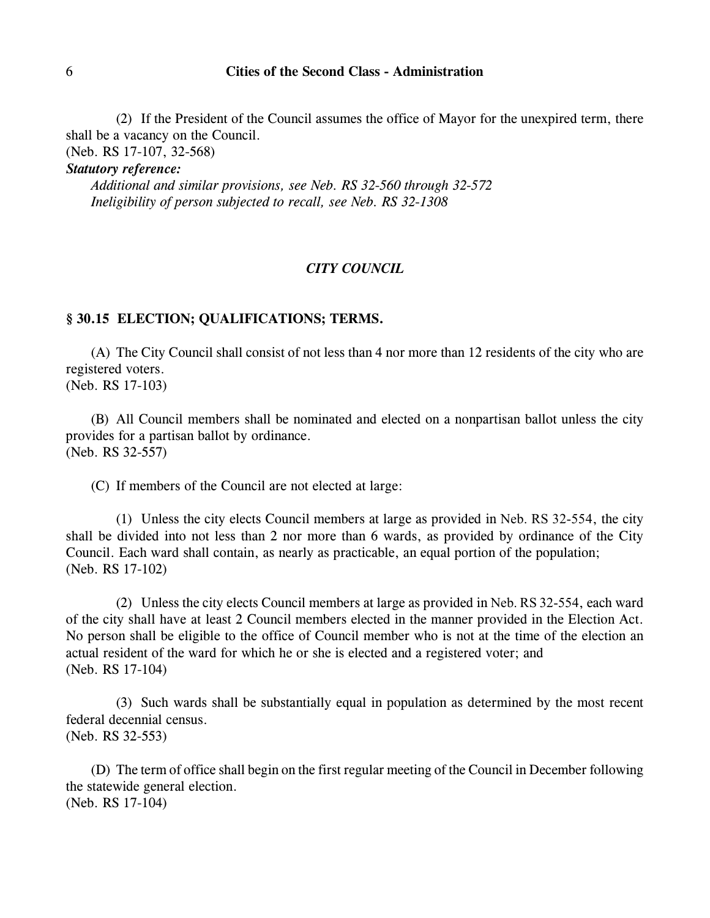(2) If the President of the Council assumes the office of Mayor for the unexpired term, there shall be a vacancy on the Council.

(Neb. RS 17-107, 32-568)

*Statutory reference:*

*Additional and similar provisions, see Neb. RS 32-560 through 32-572 Ineligibility of person subjected to recall, see Neb. RS 32-1308*

#### *CITY COUNCIL*

#### **§ 30.15 ELECTION; QUALIFICATIONS; TERMS.**

(A) The City Council shall consist of not less than 4 nor more than 12 residents of the city who are registered voters. (Neb. RS 17-103)

(B) All Council members shall be nominated and elected on a nonpartisan ballot unless the city provides for a partisan ballot by ordinance. (Neb. RS 32-557)

(C) If members of the Council are not elected at large:

(1) Unless the city elects Council members at large as provided in Neb. RS 32-554, the city shall be divided into not less than 2 nor more than 6 wards, as provided by ordinance of the City Council. Each ward shall contain, as nearly as practicable, an equal portion of the population; (Neb. RS 17-102)

(2) Unless the city elects Council members at large as provided in Neb. RS 32-554, each ward of the city shall have at least 2 Council members elected in the manner provided in the Election Act. No person shall be eligible to the office of Council member who is not at the time of the election an actual resident of the ward for which he or she is elected and a registered voter; and (Neb. RS 17-104)

(3) Such wards shall be substantially equal in population as determined by the most recent federal decennial census. (Neb. RS 32-553)

(D) The term of office shall begin on the first regular meeting of the Council in December following the statewide general election. (Neb. RS 17-104)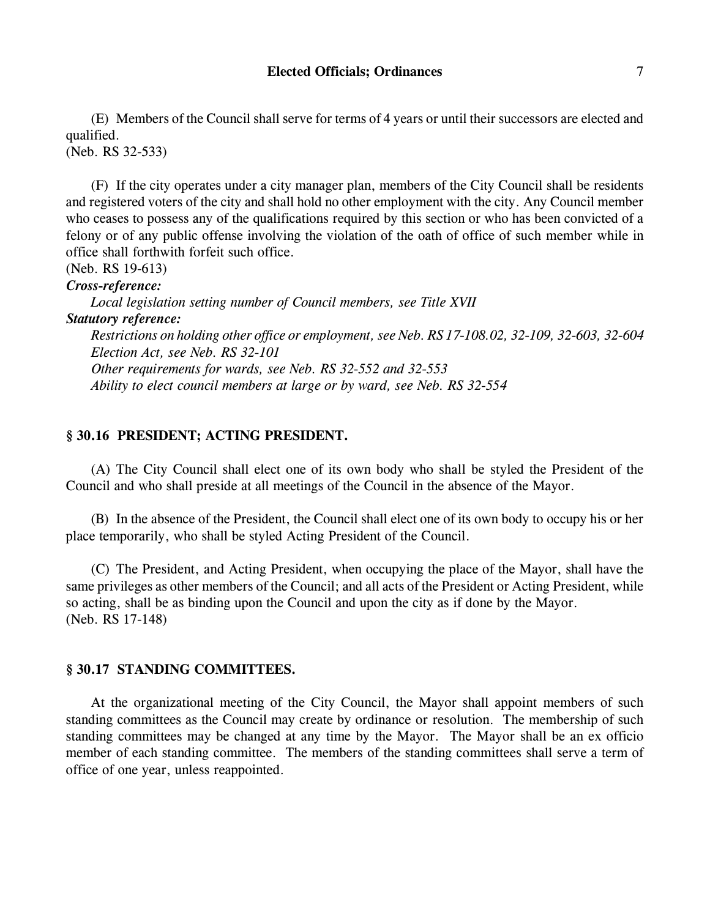(E) Members of the Council shall serve for terms of 4 years or until their successors are elected and qualified.

(Neb. RS 32-533)

(F) If the city operates under a city manager plan, members of the City Council shall be residents and registered voters of the city and shall hold no other employment with the city. Any Council member who ceases to possess any of the qualifications required by this section or who has been convicted of a felony or of any public offense involving the violation of the oath of office of such member while in office shall forthwith forfeit such office.

(Neb. RS 19-613)

*Cross-reference:*

*Local legislation setting number of Council members, see Title XVII Statutory reference: Restrictions on holding other office or employment, see Neb. RS 17-108.02, 32-109, 32-603, 32-604 Election Act, see Neb. RS 32-101 Other requirements for wards, see Neb. RS 32-552 and 32-553 Ability to elect council members at large or by ward, see Neb. RS 32-554*

## **§ 30.16 PRESIDENT; ACTING PRESIDENT.**

(A) The City Council shall elect one of its own body who shall be styled the President of the Council and who shall preside at all meetings of the Council in the absence of the Mayor.

(B) In the absence of the President, the Council shall elect one of its own body to occupy his or her place temporarily, who shall be styled Acting President of the Council.

(C) The President, and Acting President, when occupying the place of the Mayor, shall have the same privileges as other members of the Council; and all acts of the President or Acting President, while so acting, shall be as binding upon the Council and upon the city as if done by the Mayor. (Neb. RS 17-148)

# **§ 30.17 STANDING COMMITTEES.**

At the organizational meeting of the City Council, the Mayor shall appoint members of such standing committees as the Council may create by ordinance or resolution. The membership of such standing committees may be changed at any time by the Mayor. The Mayor shall be an ex officio member of each standing committee. The members of the standing committees shall serve a term of office of one year, unless reappointed.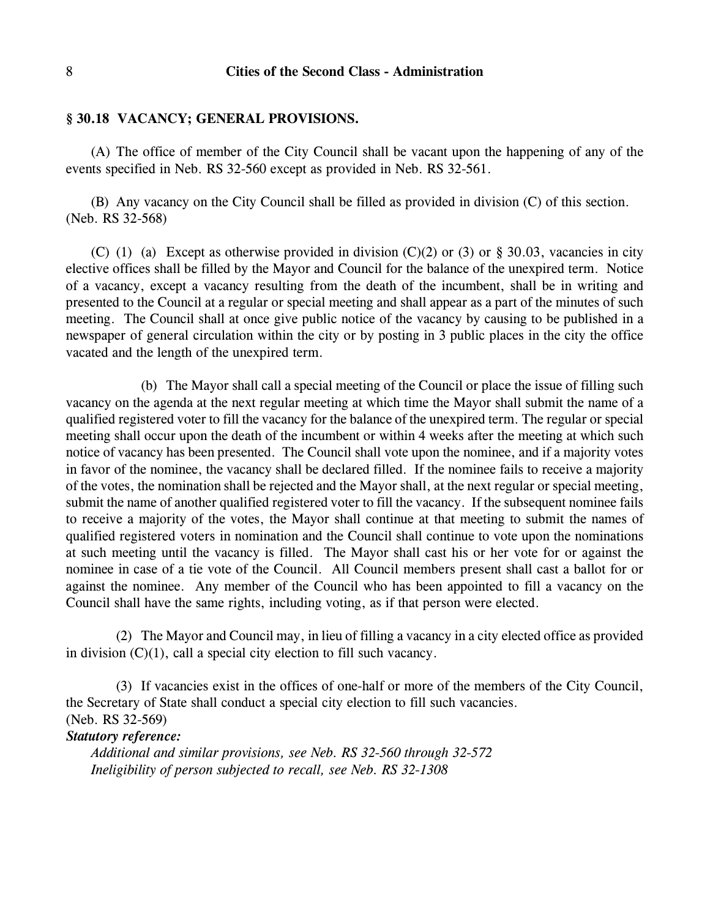#### **§ 30.18 VACANCY; GENERAL PROVISIONS.**

(A) The office of member of the City Council shall be vacant upon the happening of any of the events specified in Neb. RS 32-560 except as provided in Neb. RS 32-561.

(B) Any vacancy on the City Council shall be filled as provided in division (C) of this section. (Neb. RS 32-568)

(C) (1) (a) Except as otherwise provided in division  $(C)(2)$  or (3) or § 30.03, vacancies in city elective offices shall be filled by the Mayor and Council for the balance of the unexpired term. Notice of a vacancy, except a vacancy resulting from the death of the incumbent, shall be in writing and presented to the Council at a regular or special meeting and shall appear as a part of the minutes of such meeting. The Council shall at once give public notice of the vacancy by causing to be published in a newspaper of general circulation within the city or by posting in 3 public places in the city the office vacated and the length of the unexpired term.

(b) The Mayor shall call a special meeting of the Council or place the issue of filling such vacancy on the agenda at the next regular meeting at which time the Mayor shall submit the name of a qualified registered voter to fill the vacancy for the balance of the unexpired term. The regular or special meeting shall occur upon the death of the incumbent or within 4 weeks after the meeting at which such notice of vacancy has been presented. The Council shall vote upon the nominee, and if a majority votes in favor of the nominee, the vacancy shall be declared filled. If the nominee fails to receive a majority of the votes, the nomination shall be rejected and the Mayor shall, at the next regular or special meeting, submit the name of another qualified registered voter to fill the vacancy. If the subsequent nominee fails to receive a majority of the votes, the Mayor shall continue at that meeting to submit the names of qualified registered voters in nomination and the Council shall continue to vote upon the nominations at such meeting until the vacancy is filled. The Mayor shall cast his or her vote for or against the nominee in case of a tie vote of the Council. All Council members present shall cast a ballot for or against the nominee. Any member of the Council who has been appointed to fill a vacancy on the Council shall have the same rights, including voting, as if that person were elected.

(2) The Mayor and Council may, in lieu of filling a vacancy in a city elected office as provided in division (C)(1), call a special city election to fill such vacancy.

(3) If vacancies exist in the offices of one-half or more of the members of the City Council, the Secretary of State shall conduct a special city election to fill such vacancies. (Neb. RS 32-569)

#### *Statutory reference:*

*Additional and similar provisions, see Neb. RS 32-560 through 32-572 Ineligibility of person subjected to recall, see Neb. RS 32-1308*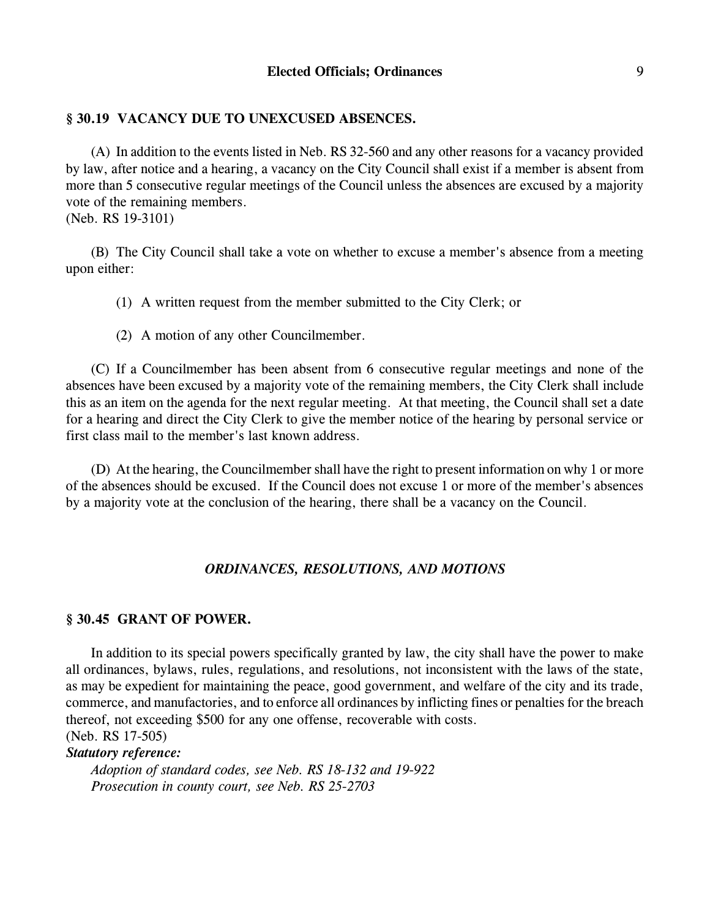### **§ 30.19 VACANCY DUE TO UNEXCUSED ABSENCES.**

(A) In addition to the events listed in Neb. RS 32-560 and any other reasons for a vacancy provided by law, after notice and a hearing, a vacancy on the City Council shall exist if a member is absent from more than 5 consecutive regular meetings of the Council unless the absences are excused by a majority vote of the remaining members.

(Neb. RS 19-3101)

(B) The City Council shall take a vote on whether to excuse a member's absence from a meeting upon either:

- (1) A written request from the member submitted to the City Clerk; or
- (2) A motion of any other Councilmember.

(C) If a Councilmember has been absent from 6 consecutive regular meetings and none of the absences have been excused by a majority vote of the remaining members, the City Clerk shall include this as an item on the agenda for the next regular meeting. At that meeting, the Council shall set a date for a hearing and direct the City Clerk to give the member notice of the hearing by personal service or first class mail to the member's last known address.

(D) At the hearing, the Councilmember shall have the right to present information on why 1 or more of the absences should be excused. If the Council does not excuse 1 or more of the member's absences by a majority vote at the conclusion of the hearing, there shall be a vacancy on the Council.

### *ORDINANCES, RESOLUTIONS, AND MOTIONS*

# **§ 30.45 GRANT OF POWER.**

In addition to its special powers specifically granted by law, the city shall have the power to make all ordinances, bylaws, rules, regulations, and resolutions, not inconsistent with the laws of the state, as may be expedient for maintaining the peace, good government, and welfare of the city and its trade, commerce, and manufactories, and to enforce all ordinances by inflicting fines or penalties for the breach thereof, not exceeding \$500 for any one offense, recoverable with costs. (Neb. RS 17-505)

*Statutory reference:*

*Adoption of standard codes, see Neb. RS 18-132 and 19-922 Prosecution in county court, see Neb. RS 25-2703*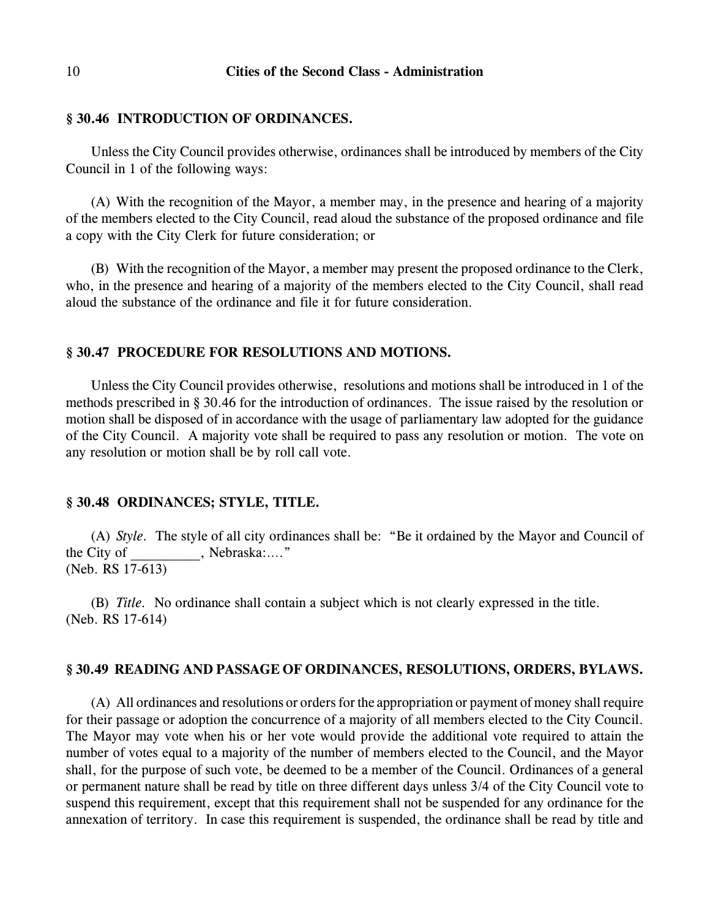#### **§ 30.46 INTRODUCTION OF ORDINANCES.**

Unless the City Council provides otherwise, ordinances shall be introduced by members of the City Council in 1 of the following ways:

(A) With the recognition of the Mayor, a member may, in the presence and hearing of a majority of the members elected to the City Council, read aloud the substance of the proposed ordinance and file a copy with the City Clerk for future consideration; or

(B) With the recognition of the Mayor, a member may present the proposed ordinance to the Clerk, who, in the presence and hearing of a majority of the members elected to the City Council, shall read aloud the substance of the ordinance and file it for future consideration.

#### **§ 30.47 PROCEDURE FOR RESOLUTIONS AND MOTIONS.**

Unless the City Council provides otherwise, resolutions and motions shall be introduced in 1 of the methods prescribed in § 30.46 for the introduction of ordinances. The issue raised by the resolution or motion shall be disposed of in accordance with the usage of parliamentary law adopted for the guidance of the City Council. A majority vote shall be required to pass any resolution or motion. The vote on any resolution or motion shall be by roll call vote.

#### **§ 30.48 ORDINANCES; STYLE, TITLE.**

(A) *Style.* The style of all city ordinances shall be: "Be it ordained by the Mayor and Council of the City of Fig. 7. Nebraska:...." (Neb. RS 17-613)

(B) *Title.* No ordinance shall contain a subject which is not clearly expressed in the title. (Neb. RS 17-614)

## **§ 30.49 READING AND PASSAGE OF ORDINANCES, RESOLUTIONS, ORDERS, BYLAWS.**

(A) All ordinances and resolutions or orders for the appropriation or payment of money shall require for their passage or adoption the concurrence of a majority of all members elected to the City Council. The Mayor may vote when his or her vote would provide the additional vote required to attain the number of votes equal to a majority of the number of members elected to the Council, and the Mayor shall, for the purpose of such vote, be deemed to be a member of the Council. Ordinances of a general or permanent nature shall be read by title on three different days unless 3/4 of the City Council vote to suspend this requirement, except that this requirement shall not be suspended for any ordinance for the annexation of territory. In case this requirement is suspended, the ordinance shall be read by title and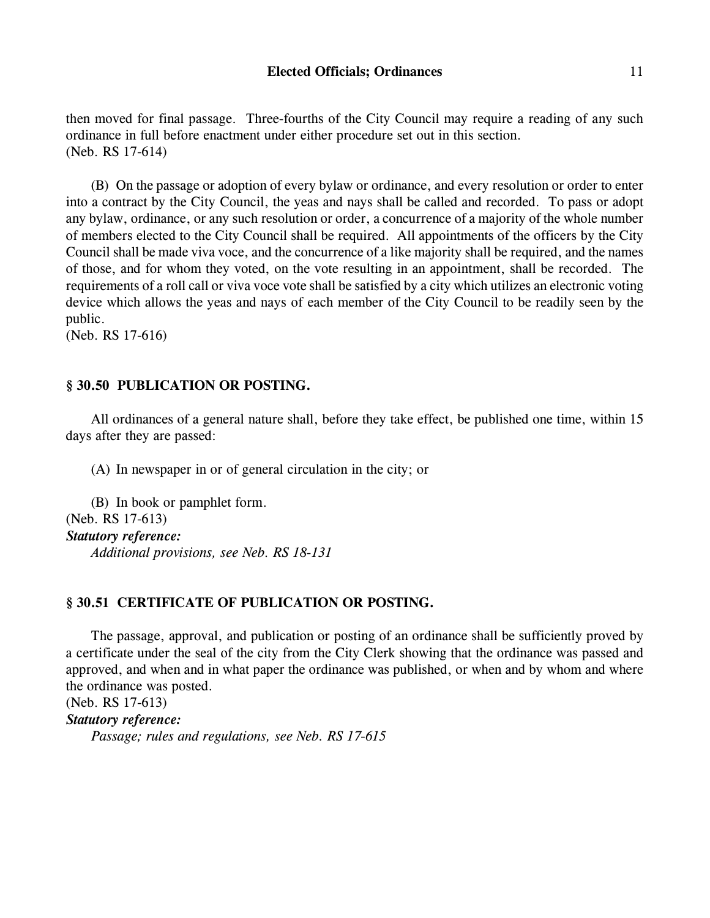then moved for final passage. Three-fourths of the City Council may require a reading of any such ordinance in full before enactment under either procedure set out in this section. (Neb. RS 17-614)

(B) On the passage or adoption of every bylaw or ordinance, and every resolution or order to enter into a contract by the City Council, the yeas and nays shall be called and recorded. To pass or adopt any bylaw, ordinance, or any such resolution or order, a concurrence of a majority of the whole number of members elected to the City Council shall be required. All appointments of the officers by the City Council shall be made viva voce, and the concurrence of a like majority shall be required, and the names of those, and for whom they voted, on the vote resulting in an appointment, shall be recorded. The requirements of a roll call or viva voce vote shall be satisfied by a city which utilizes an electronic voting device which allows the yeas and nays of each member of the City Council to be readily seen by the public.

(Neb. RS 17-616)

### **§ 30.50 PUBLICATION OR POSTING.**

All ordinances of a general nature shall, before they take effect, be published one time, within 15 days after they are passed:

(A) In newspaper in or of general circulation in the city; or

(B) In book or pamphlet form. (Neb. RS 17-613) *Statutory reference: Additional provisions, see Neb. RS 18-131*

### **§ 30.51 CERTIFICATE OF PUBLICATION OR POSTING.**

The passage, approval, and publication or posting of an ordinance shall be sufficiently proved by a certificate under the seal of the city from the City Clerk showing that the ordinance was passed and approved, and when and in what paper the ordinance was published, or when and by whom and where the ordinance was posted. (Neb. RS 17-613)

*Statutory reference: Passage; rules and regulations, see Neb. RS 17-615*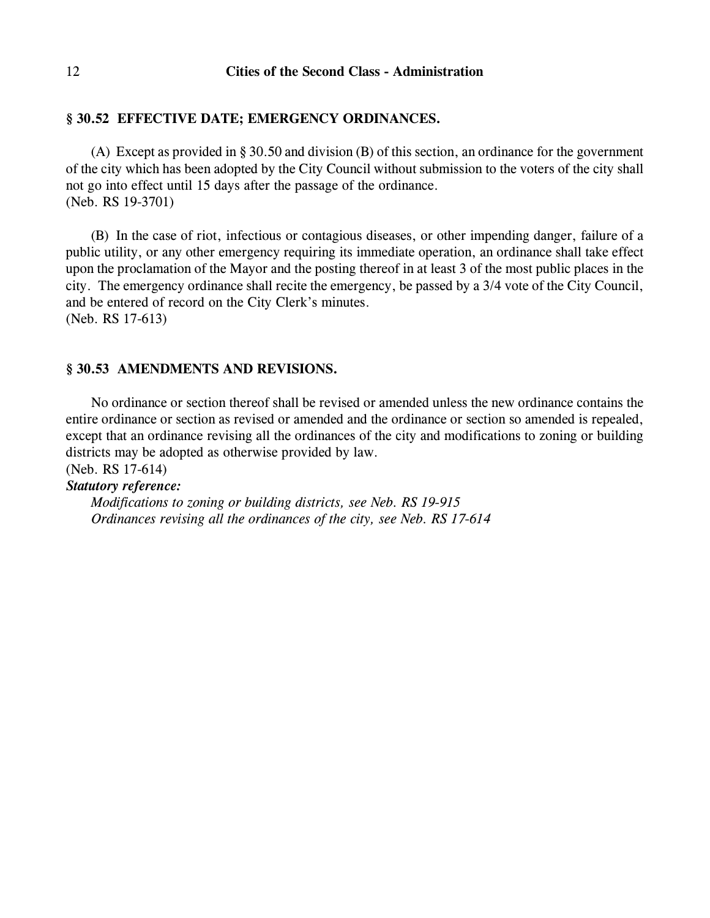# **§ 30.52 EFFECTIVE DATE; EMERGENCY ORDINANCES.**

(A) Except as provided in § 30.50 and division (B) of this section, an ordinance for the government of the city which has been adopted by the City Council without submission to the voters of the city shall not go into effect until 15 days after the passage of the ordinance. (Neb. RS 19-3701)

(B) In the case of riot, infectious or contagious diseases, or other impending danger, failure of a public utility, or any other emergency requiring its immediate operation, an ordinance shall take effect upon the proclamation of the Mayor and the posting thereof in at least 3 of the most public places in the city. The emergency ordinance shall recite the emergency, be passed by a 3/4 vote of the City Council, and be entered of record on the City Clerk's minutes. (Neb. RS 17-613)

# **§ 30.53 AMENDMENTS AND REVISIONS.**

No ordinance or section thereof shall be revised or amended unless the new ordinance contains the entire ordinance or section as revised or amended and the ordinance or section so amended is repealed, except that an ordinance revising all the ordinances of the city and modifications to zoning or building districts may be adopted as otherwise provided by law.

(Neb. RS 17-614)

# *Statutory reference:*

*Modifications to zoning or building districts, see Neb. RS 19-915 Ordinances revising all the ordinances of the city, see Neb. RS 17-614*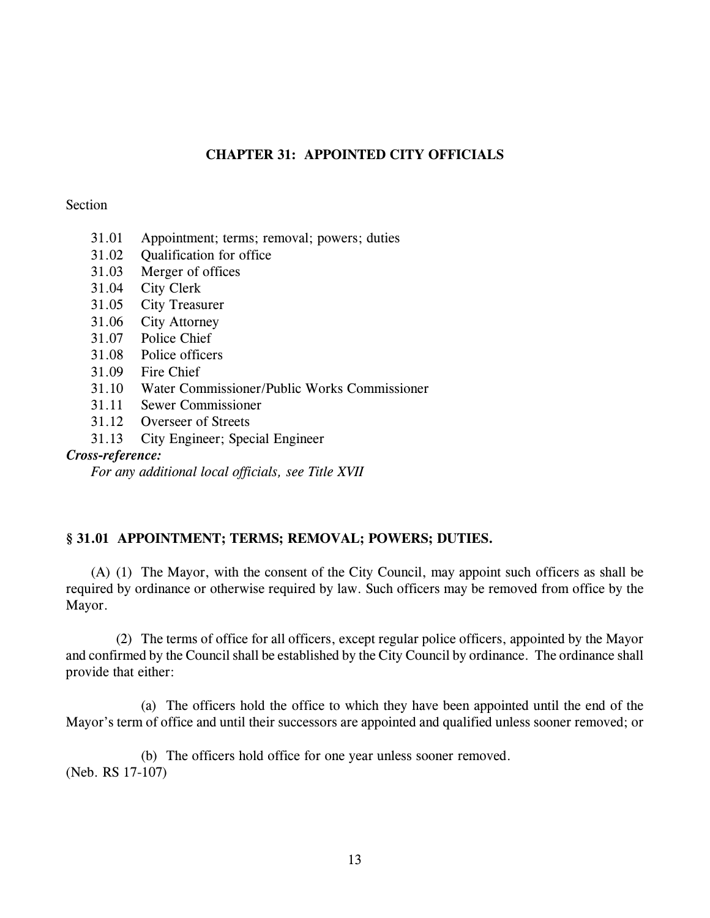# **CHAPTER 31: APPOINTED CITY OFFICIALS**

## Section

- 31.01 Appointment; terms; removal; powers; duties
- 31.02 Qualification for office
- 31.03 Merger of offices
- 31.04 City Clerk
- 31.05 City Treasurer
- 31.06 City Attorney
- 31.07 Police Chief
- 31.08 Police officers
- 31.09 Fire Chief
- 31.10 Water Commissioner/Public Works Commissioner
- 31.11 Sewer Commissioner
- 31.12 Overseer of Streets
- 31.13 City Engineer; Special Engineer

# *Cross-reference:*

*For any additional local officials, see Title XVII*

# **§ 31.01 APPOINTMENT; TERMS; REMOVAL; POWERS; DUTIES.**

(A) (1) The Mayor, with the consent of the City Council, may appoint such officers as shall be required by ordinance or otherwise required by law. Such officers may be removed from office by the Mayor.

(2) The terms of office for all officers, except regular police officers, appointed by the Mayor and confirmed by the Council shall be established by the City Council by ordinance. The ordinance shall provide that either:

(a) The officers hold the office to which they have been appointed until the end of the Mayor's term of office and until their successors are appointed and qualified unless sooner removed; or

(b) The officers hold office for one year unless sooner removed. (Neb. RS 17-107)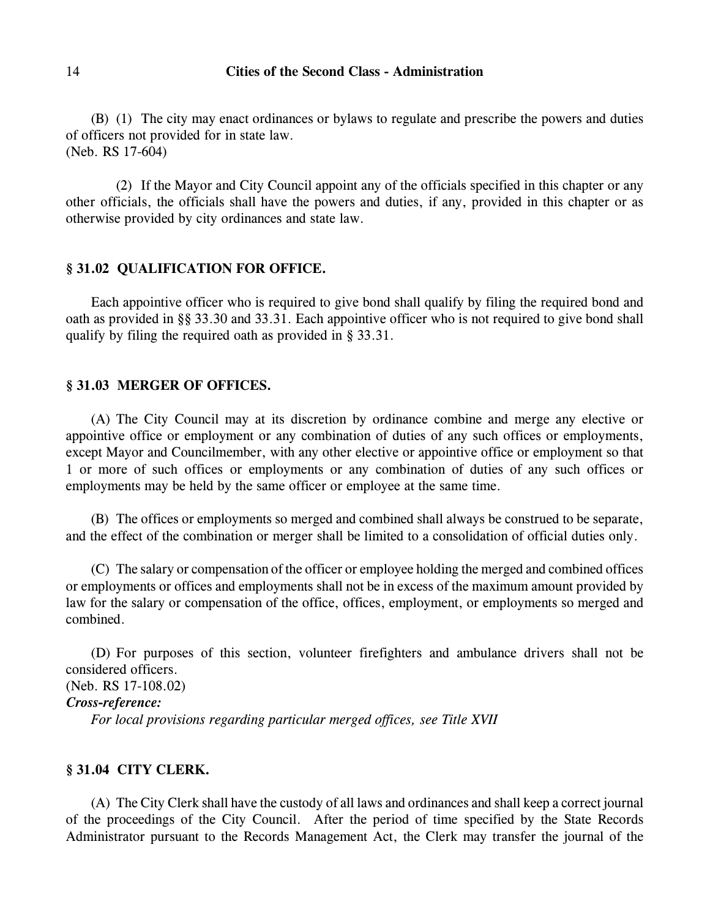(B) (1) The city may enact ordinances or bylaws to regulate and prescribe the powers and duties of officers not provided for in state law. (Neb. RS 17-604)

(2) If the Mayor and City Council appoint any of the officials specified in this chapter or any other officials, the officials shall have the powers and duties, if any, provided in this chapter or as otherwise provided by city ordinances and state law.

#### **§ 31.02 QUALIFICATION FOR OFFICE.**

Each appointive officer who is required to give bond shall qualify by filing the required bond and oath as provided in §§ 33.30 and 33.31. Each appointive officer who is not required to give bond shall qualify by filing the required oath as provided in § 33.31.

#### **§ 31.03 MERGER OF OFFICES.**

(A) The City Council may at its discretion by ordinance combine and merge any elective or appointive office or employment or any combination of duties of any such offices or employments, except Mayor and Councilmember, with any other elective or appointive office or employment so that 1 or more of such offices or employments or any combination of duties of any such offices or employments may be held by the same officer or employee at the same time.

(B) The offices or employments so merged and combined shall always be construed to be separate, and the effect of the combination or merger shall be limited to a consolidation of official duties only.

(C) The salary or compensation of the officer or employee holding the merged and combined offices or employments or offices and employments shall not be in excess of the maximum amount provided by law for the salary or compensation of the office, offices, employment, or employments so merged and combined.

(D) For purposes of this section, volunteer firefighters and ambulance drivers shall not be considered officers.

(Neb. RS 17-108.02)

### *Cross-reference:*

*For local provisions regarding particular merged offices, see Title XVII*

# **§ 31.04 CITY CLERK.**

(A) The City Clerk shall have the custody of all laws and ordinances and shall keep a correct journal of the proceedings of the City Council. After the period of time specified by the State Records Administrator pursuant to the Records Management Act, the Clerk may transfer the journal of the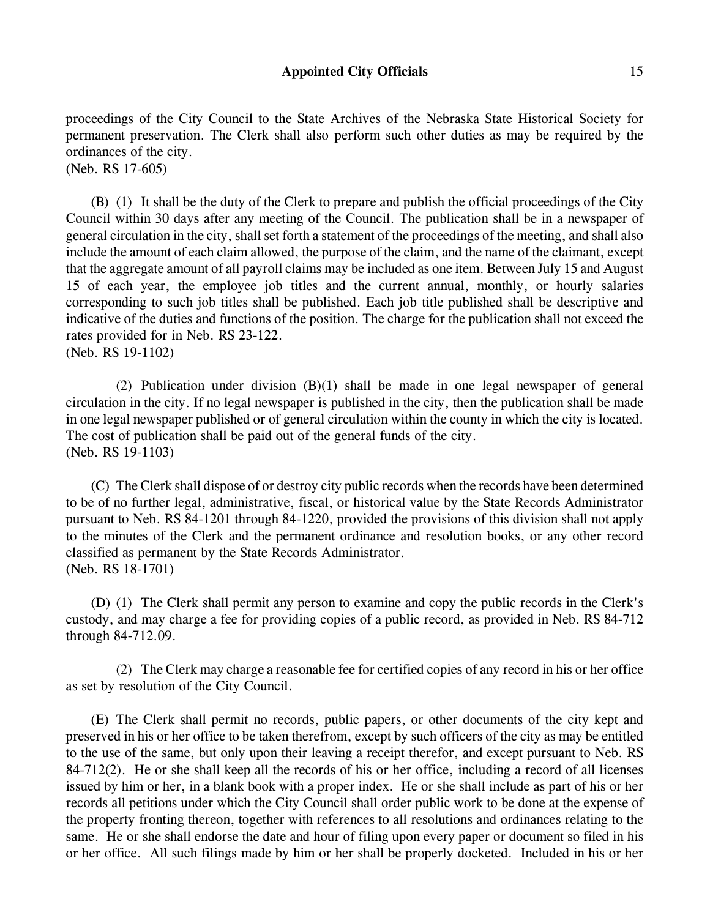proceedings of the City Council to the State Archives of the Nebraska State Historical Society for permanent preservation. The Clerk shall also perform such other duties as may be required by the ordinances of the city. (Neb. RS 17-605)

(B) (1) It shall be the duty of the Clerk to prepare and publish the official proceedings of the City Council within 30 days after any meeting of the Council. The publication shall be in a newspaper of general circulation in the city, shall set forth a statement of the proceedings of the meeting, and shall also include the amount of each claim allowed, the purpose of the claim, and the name of the claimant, except that the aggregate amount of all payroll claims may be included as one item. Between July 15 and August 15 of each year, the employee job titles and the current annual, monthly, or hourly salaries corresponding to such job titles shall be published. Each job title published shall be descriptive and indicative of the duties and functions of the position. The charge for the publication shall not exceed the rates provided for in Neb. RS 23-122.

(Neb. RS 19-1102)

(2) Publication under division (B)(1) shall be made in one legal newspaper of general circulation in the city. If no legal newspaper is published in the city, then the publication shall be made in one legal newspaper published or of general circulation within the county in which the city is located. The cost of publication shall be paid out of the general funds of the city. (Neb. RS 19-1103)

(C) The Clerk shall dispose of or destroy city public records when the records have been determined to be of no further legal, administrative, fiscal, or historical value by the State Records Administrator pursuant to Neb. RS 84-1201 through 84-1220, provided the provisions of this division shall not apply to the minutes of the Clerk and the permanent ordinance and resolution books, or any other record classified as permanent by the State Records Administrator. (Neb. RS 18-1701)

(D) (1) The Clerk shall permit any person to examine and copy the public records in the Clerk's custody, and may charge a fee for providing copies of a public record, as provided in Neb. RS 84-712 through 84-712.09.

(2) The Clerk may charge a reasonable fee for certified copies of any record in his or her office as set by resolution of the City Council.

(E) The Clerk shall permit no records, public papers, or other documents of the city kept and preserved in his or her office to be taken therefrom, except by such officers of the city as may be entitled to the use of the same, but only upon their leaving a receipt therefor, and except pursuant to Neb. RS 84-712(2). He or she shall keep all the records of his or her office, including a record of all licenses issued by him or her, in a blank book with a proper index. He or she shall include as part of his or her records all petitions under which the City Council shall order public work to be done at the expense of the property fronting thereon, together with references to all resolutions and ordinances relating to the same. He or she shall endorse the date and hour of filing upon every paper or document so filed in his or her office. All such filings made by him or her shall be properly docketed. Included in his or her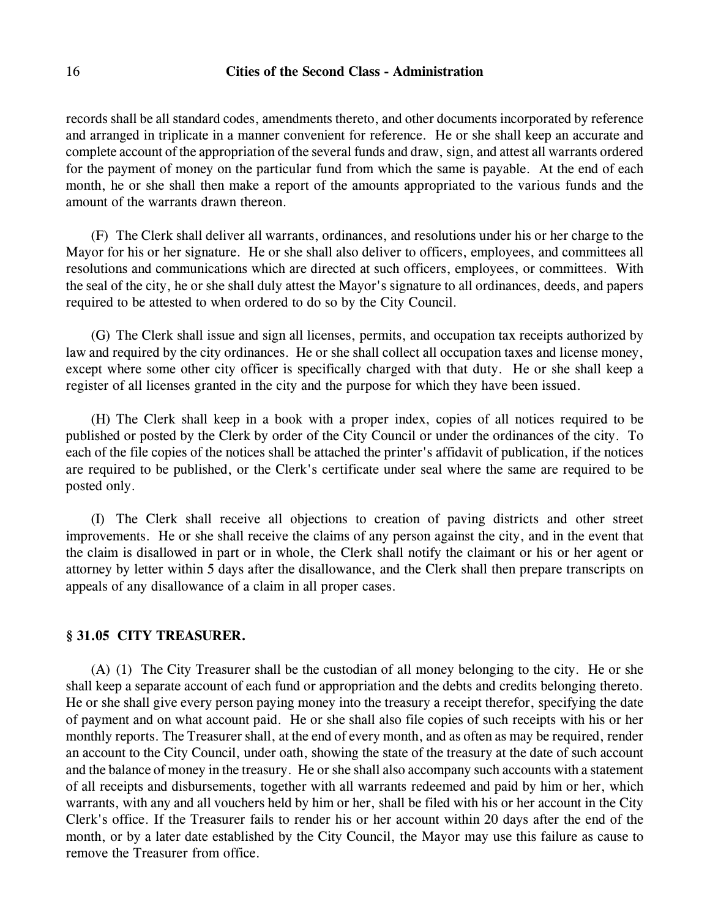records shall be all standard codes, amendments thereto, and other documents incorporated by reference and arranged in triplicate in a manner convenient for reference. He or she shall keep an accurate and complete account of the appropriation of the several funds and draw, sign, and attest all warrants ordered for the payment of money on the particular fund from which the same is payable. At the end of each month, he or she shall then make a report of the amounts appropriated to the various funds and the amount of the warrants drawn thereon.

(F) The Clerk shall deliver all warrants, ordinances, and resolutions under his or her charge to the Mayor for his or her signature. He or she shall also deliver to officers, employees, and committees all resolutions and communications which are directed at such officers, employees, or committees. With the seal of the city, he or she shall duly attest the Mayor's signature to all ordinances, deeds, and papers required to be attested to when ordered to do so by the City Council.

(G) The Clerk shall issue and sign all licenses, permits, and occupation tax receipts authorized by law and required by the city ordinances. He or she shall collect all occupation taxes and license money, except where some other city officer is specifically charged with that duty. He or she shall keep a register of all licenses granted in the city and the purpose for which they have been issued.

(H) The Clerk shall keep in a book with a proper index, copies of all notices required to be published or posted by the Clerk by order of the City Council or under the ordinances of the city. To each of the file copies of the notices shall be attached the printer's affidavit of publication, if the notices are required to be published, or the Clerk's certificate under seal where the same are required to be posted only.

(I) The Clerk shall receive all objections to creation of paving districts and other street improvements. He or she shall receive the claims of any person against the city, and in the event that the claim is disallowed in part or in whole, the Clerk shall notify the claimant or his or her agent or attorney by letter within 5 days after the disallowance, and the Clerk shall then prepare transcripts on appeals of any disallowance of a claim in all proper cases.

# **§ 31.05 CITY TREASURER.**

(A) (1) The City Treasurer shall be the custodian of all money belonging to the city. He or she shall keep a separate account of each fund or appropriation and the debts and credits belonging thereto. He or she shall give every person paying money into the treasury a receipt therefor, specifying the date of payment and on what account paid. He or she shall also file copies of such receipts with his or her monthly reports. The Treasurer shall, at the end of every month, and as often as may be required, render an account to the City Council, under oath, showing the state of the treasury at the date of such account and the balance of money in the treasury. He or she shall also accompany such accounts with a statement of all receipts and disbursements, together with all warrants redeemed and paid by him or her, which warrants, with any and all vouchers held by him or her, shall be filed with his or her account in the City Clerk's office. If the Treasurer fails to render his or her account within 20 days after the end of the month, or by a later date established by the City Council, the Mayor may use this failure as cause to remove the Treasurer from office.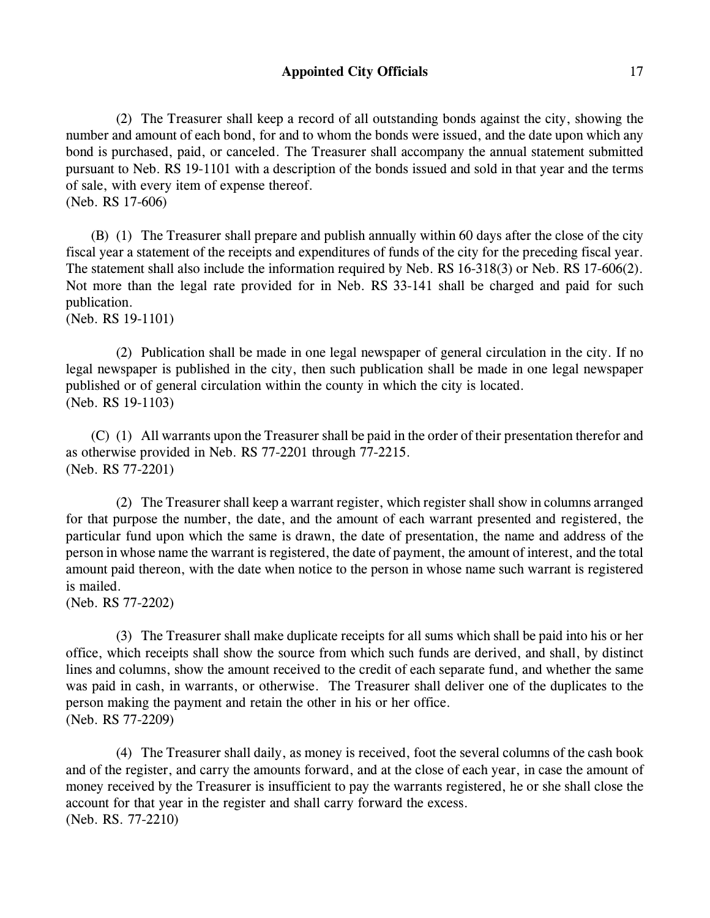# **Appointed City Officials** 17

(2) The Treasurer shall keep a record of all outstanding bonds against the city, showing the number and amount of each bond, for and to whom the bonds were issued, and the date upon which any bond is purchased, paid, or canceled. The Treasurer shall accompany the annual statement submitted pursuant to Neb. RS 19-1101 with a description of the bonds issued and sold in that year and the terms of sale, with every item of expense thereof.

(Neb. RS 17-606)

(B) (1) The Treasurer shall prepare and publish annually within 60 days after the close of the city fiscal year a statement of the receipts and expenditures of funds of the city for the preceding fiscal year. The statement shall also include the information required by Neb. RS 16-318(3) or Neb. RS 17-606(2). Not more than the legal rate provided for in Neb. RS 33-141 shall be charged and paid for such publication.

(Neb. RS 19-1101)

(2) Publication shall be made in one legal newspaper of general circulation in the city. If no legal newspaper is published in the city, then such publication shall be made in one legal newspaper published or of general circulation within the county in which the city is located. (Neb. RS 19-1103)

(C) (1) All warrants upon the Treasurer shall be paid in the order of their presentation therefor and as otherwise provided in Neb. RS 77-2201 through 77-2215. (Neb. RS 77-2201)

(2) The Treasurer shall keep a warrant register, which register shall show in columns arranged for that purpose the number, the date, and the amount of each warrant presented and registered, the particular fund upon which the same is drawn, the date of presentation, the name and address of the person in whose name the warrant is registered, the date of payment, the amount of interest, and the total amount paid thereon, with the date when notice to the person in whose name such warrant is registered is mailed.

(Neb. RS 77-2202)

(3) The Treasurer shall make duplicate receipts for all sums which shall be paid into his or her office, which receipts shall show the source from which such funds are derived, and shall, by distinct lines and columns, show the amount received to the credit of each separate fund, and whether the same was paid in cash, in warrants, or otherwise. The Treasurer shall deliver one of the duplicates to the person making the payment and retain the other in his or her office. (Neb. RS 77-2209)

(4) The Treasurer shall daily, as money is received, foot the several columns of the cash book and of the register, and carry the amounts forward, and at the close of each year, in case the amount of money received by the Treasurer is insufficient to pay the warrants registered, he or she shall close the account for that year in the register and shall carry forward the excess. (Neb. RS. 77-2210)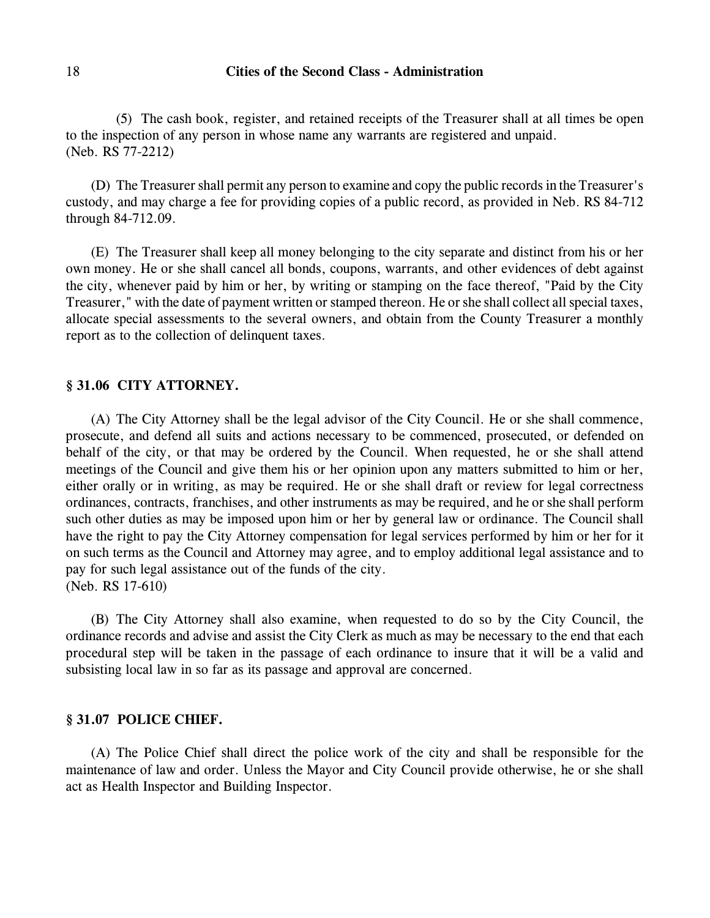(5) The cash book, register, and retained receipts of the Treasurer shall at all times be open to the inspection of any person in whose name any warrants are registered and unpaid. (Neb. RS 77-2212)

(D) The Treasurer shall permit any person to examine and copy the public records in the Treasurer's custody, and may charge a fee for providing copies of a public record, as provided in Neb. RS 84-712 through 84-712.09.

(E) The Treasurer shall keep all money belonging to the city separate and distinct from his or her own money. He or she shall cancel all bonds, coupons, warrants, and other evidences of debt against the city, whenever paid by him or her, by writing or stamping on the face thereof, "Paid by the City Treasurer," with the date of payment written or stamped thereon. He or she shall collect all special taxes, allocate special assessments to the several owners, and obtain from the County Treasurer a monthly report as to the collection of delinquent taxes.

### **§ 31.06 CITY ATTORNEY.**

(A) The City Attorney shall be the legal advisor of the City Council. He or she shall commence, prosecute, and defend all suits and actions necessary to be commenced, prosecuted, or defended on behalf of the city, or that may be ordered by the Council. When requested, he or she shall attend meetings of the Council and give them his or her opinion upon any matters submitted to him or her, either orally or in writing, as may be required. He or she shall draft or review for legal correctness ordinances, contracts, franchises, and other instruments as may be required, and he or she shall perform such other duties as may be imposed upon him or her by general law or ordinance. The Council shall have the right to pay the City Attorney compensation for legal services performed by him or her for it on such terms as the Council and Attorney may agree, and to employ additional legal assistance and to pay for such legal assistance out of the funds of the city. (Neb. RS 17-610)

(B) The City Attorney shall also examine, when requested to do so by the City Council, the ordinance records and advise and assist the City Clerk as much as may be necessary to the end that each procedural step will be taken in the passage of each ordinance to insure that it will be a valid and subsisting local law in so far as its passage and approval are concerned.

#### **§ 31.07 POLICE CHIEF.**

(A) The Police Chief shall direct the police work of the city and shall be responsible for the maintenance of law and order. Unless the Mayor and City Council provide otherwise, he or she shall act as Health Inspector and Building Inspector.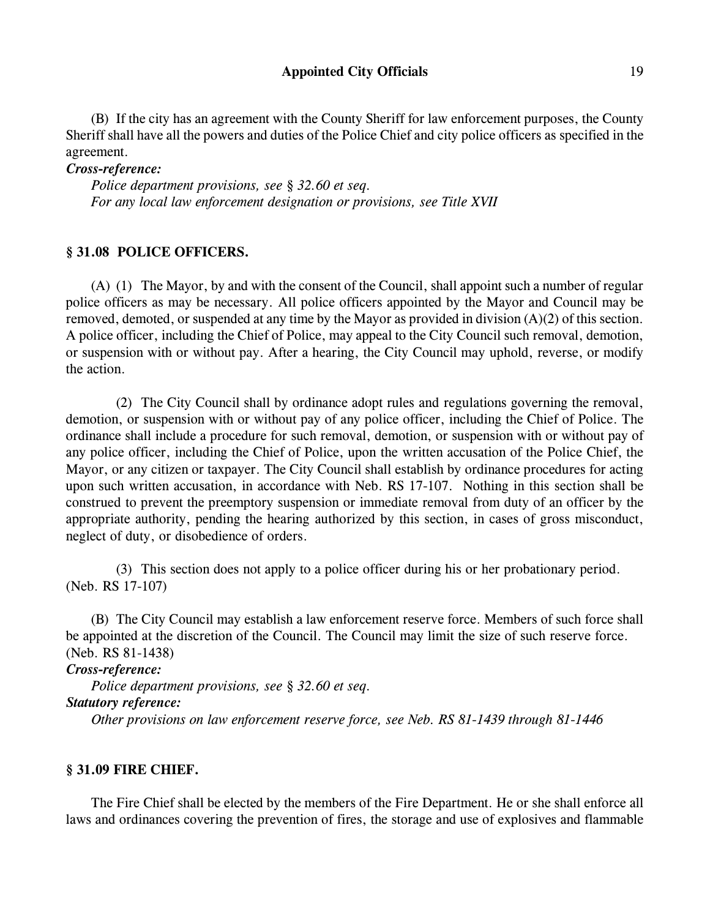# Appointed City Officials 19

(B) If the city has an agreement with the County Sheriff for law enforcement purposes, the County Sheriff shall have all the powers and duties of the Police Chief and city police officers as specified in the agreement.

*Cross-reference:*

*Police department provisions, see § 32.60 et seq. For any local law enforcement designation or provisions, see Title XVII*

# **§ 31.08 POLICE OFFICERS.**

(A) (1) The Mayor, by and with the consent of the Council, shall appoint such a number of regular police officers as may be necessary. All police officers appointed by the Mayor and Council may be removed, demoted, or suspended at any time by the Mayor as provided in division (A)(2) of this section. A police officer, including the Chief of Police, may appeal to the City Council such removal, demotion, or suspension with or without pay. After a hearing, the City Council may uphold, reverse, or modify the action.

(2) The City Council shall by ordinance adopt rules and regulations governing the removal, demotion, or suspension with or without pay of any police officer, including the Chief of Police. The ordinance shall include a procedure for such removal, demotion, or suspension with or without pay of any police officer, including the Chief of Police, upon the written accusation of the Police Chief, the Mayor, or any citizen or taxpayer. The City Council shall establish by ordinance procedures for acting upon such written accusation, in accordance with Neb. RS 17-107. Nothing in this section shall be construed to prevent the preemptory suspension or immediate removal from duty of an officer by the appropriate authority, pending the hearing authorized by this section, in cases of gross misconduct, neglect of duty, or disobedience of orders.

(3) This section does not apply to a police officer during his or her probationary period. (Neb. RS 17-107)

(B) The City Council may establish a law enforcement reserve force. Members of such force shall be appointed at the discretion of the Council. The Council may limit the size of such reserve force. (Neb. RS 81-1438)

*Cross-reference:*

*Police department provisions, see § 32.60 et seq. Statutory reference: Other provisions on law enforcement reserve force, see Neb. RS 81-1439 through 81-1446*

# **§ 31.09 FIRE CHIEF.**

The Fire Chief shall be elected by the members of the Fire Department. He or she shall enforce all laws and ordinances covering the prevention of fires, the storage and use of explosives and flammable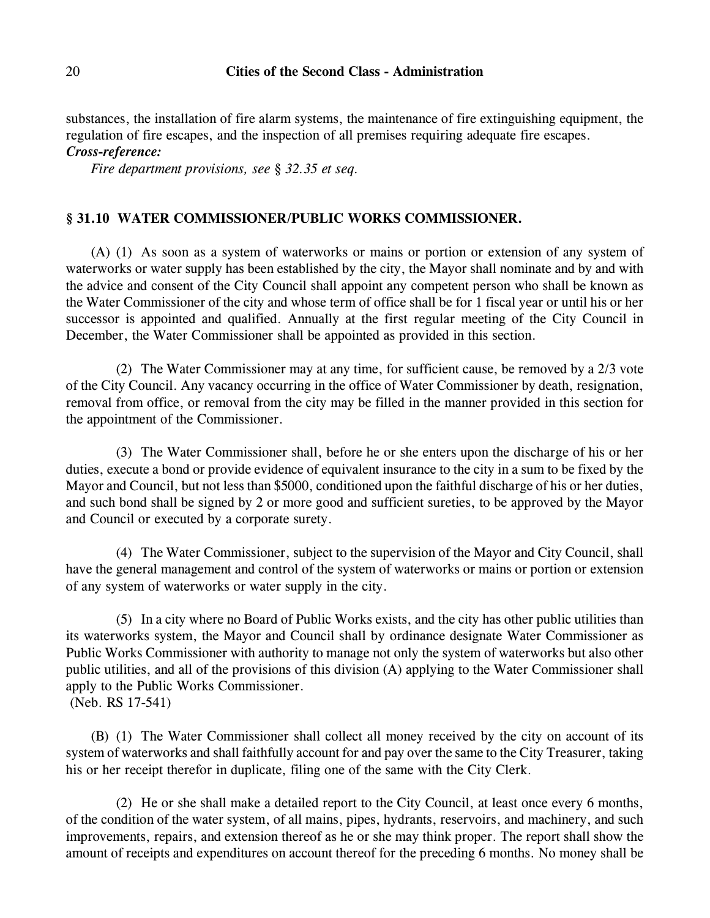substances, the installation of fire alarm systems, the maintenance of fire extinguishing equipment, the regulation of fire escapes, and the inspection of all premises requiring adequate fire escapes. *Cross-reference:*

*Fire department provisions, see § 32.35 et seq.*

### **§ 31.10 WATER COMMISSIONER/PUBLIC WORKS COMMISSIONER.**

(A) (1) As soon as a system of waterworks or mains or portion or extension of any system of waterworks or water supply has been established by the city, the Mayor shall nominate and by and with the advice and consent of the City Council shall appoint any competent person who shall be known as the Water Commissioner of the city and whose term of office shall be for 1 fiscal year or until his or her successor is appointed and qualified. Annually at the first regular meeting of the City Council in December, the Water Commissioner shall be appointed as provided in this section.

(2) The Water Commissioner may at any time, for sufficient cause, be removed by a 2/3 vote of the City Council. Any vacancy occurring in the office of Water Commissioner by death, resignation, removal from office, or removal from the city may be filled in the manner provided in this section for the appointment of the Commissioner.

(3) The Water Commissioner shall, before he or she enters upon the discharge of his or her duties, execute a bond or provide evidence of equivalent insurance to the city in a sum to be fixed by the Mayor and Council, but not less than \$5000, conditioned upon the faithful discharge of his or her duties, and such bond shall be signed by 2 or more good and sufficient sureties, to be approved by the Mayor and Council or executed by a corporate surety.

(4) The Water Commissioner, subject to the supervision of the Mayor and City Council, shall have the general management and control of the system of waterworks or mains or portion or extension of any system of waterworks or water supply in the city.

(5) In a city where no Board of Public Works exists, and the city has other public utilities than its waterworks system, the Mayor and Council shall by ordinance designate Water Commissioner as Public Works Commissioner with authority to manage not only the system of waterworks but also other public utilities, and all of the provisions of this division (A) applying to the Water Commissioner shall apply to the Public Works Commissioner. (Neb. RS 17-541)

(B) (1) The Water Commissioner shall collect all money received by the city on account of its system of waterworks and shall faithfully account for and pay over the same to the City Treasurer, taking his or her receipt therefor in duplicate, filing one of the same with the City Clerk.

(2) He or she shall make a detailed report to the City Council, at least once every 6 months, of the condition of the water system, of all mains, pipes, hydrants, reservoirs, and machinery, and such improvements, repairs, and extension thereof as he or she may think proper. The report shall show the amount of receipts and expenditures on account thereof for the preceding 6 months. No money shall be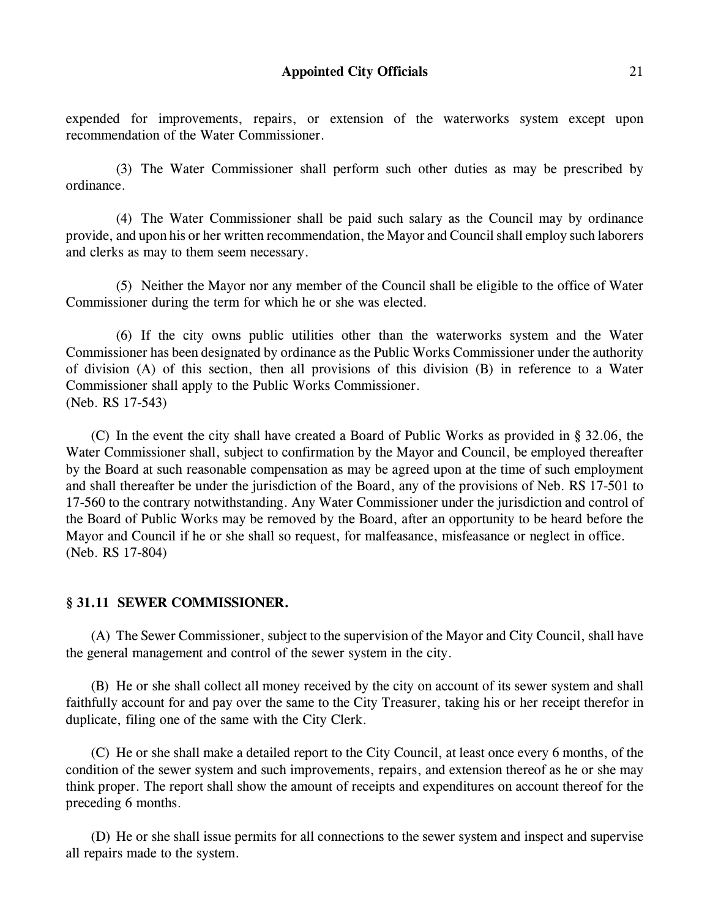expended for improvements, repairs, or extension of the waterworks system except upon recommendation of the Water Commissioner.

(3) The Water Commissioner shall perform such other duties as may be prescribed by ordinance.

(4) The Water Commissioner shall be paid such salary as the Council may by ordinance provide, and upon his or her written recommendation, the Mayor and Council shall employ such laborers and clerks as may to them seem necessary.

(5) Neither the Mayor nor any member of the Council shall be eligible to the office of Water Commissioner during the term for which he or she was elected.

(6) If the city owns public utilities other than the waterworks system and the Water Commissioner has been designated by ordinance as the Public Works Commissioner under the authority of division (A) of this section, then all provisions of this division (B) in reference to a Water Commissioner shall apply to the Public Works Commissioner. (Neb. RS 17-543)

(C) In the event the city shall have created a Board of Public Works as provided in § 32.06, the Water Commissioner shall, subject to confirmation by the Mayor and Council, be employed thereafter by the Board at such reasonable compensation as may be agreed upon at the time of such employment and shall thereafter be under the jurisdiction of the Board, any of the provisions of Neb. RS 17-501 to 17-560 to the contrary notwithstanding. Any Water Commissioner under the jurisdiction and control of the Board of Public Works may be removed by the Board, after an opportunity to be heard before the Mayor and Council if he or she shall so request, for malfeasance, misfeasance or neglect in office. (Neb. RS 17-804)

# **§ 31.11 SEWER COMMISSIONER.**

(A) The Sewer Commissioner, subject to the supervision of the Mayor and City Council, shall have the general management and control of the sewer system in the city.

(B) He or she shall collect all money received by the city on account of its sewer system and shall faithfully account for and pay over the same to the City Treasurer, taking his or her receipt therefor in duplicate, filing one of the same with the City Clerk.

(C) He or she shall make a detailed report to the City Council, at least once every 6 months, of the condition of the sewer system and such improvements, repairs, and extension thereof as he or she may think proper. The report shall show the amount of receipts and expenditures on account thereof for the preceding 6 months.

(D) He or she shall issue permits for all connections to the sewer system and inspect and supervise all repairs made to the system.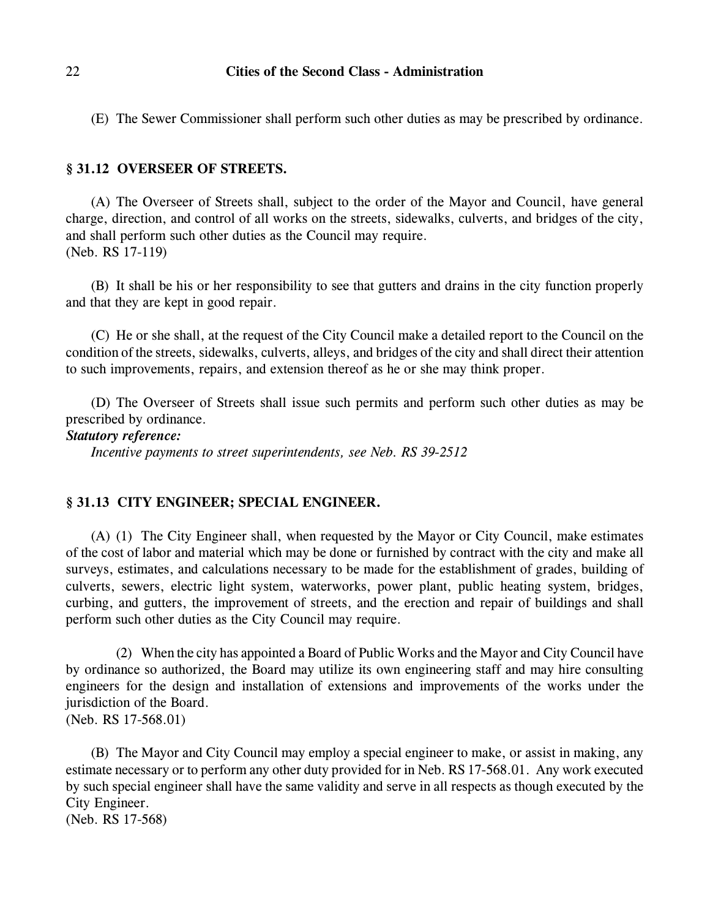(E) The Sewer Commissioner shall perform such other duties as may be prescribed by ordinance.

## **§ 31.12 OVERSEER OF STREETS.**

(A) The Overseer of Streets shall, subject to the order of the Mayor and Council, have general charge, direction, and control of all works on the streets, sidewalks, culverts, and bridges of the city, and shall perform such other duties as the Council may require. (Neb. RS 17-119)

(B) It shall be his or her responsibility to see that gutters and drains in the city function properly and that they are kept in good repair.

(C) He or she shall, at the request of the City Council make a detailed report to the Council on the condition of the streets, sidewalks, culverts, alleys, and bridges of the city and shall direct their attention to such improvements, repairs, and extension thereof as he or she may think proper.

(D) The Overseer of Streets shall issue such permits and perform such other duties as may be prescribed by ordinance.

*Statutory reference:*

*Incentive payments to street superintendents, see Neb. RS 39-2512*

### **§ 31.13 CITY ENGINEER; SPECIAL ENGINEER.**

(A) (1) The City Engineer shall, when requested by the Mayor or City Council, make estimates of the cost of labor and material which may be done or furnished by contract with the city and make all surveys, estimates, and calculations necessary to be made for the establishment of grades, building of culverts, sewers, electric light system, waterworks, power plant, public heating system, bridges, curbing, and gutters, the improvement of streets, and the erection and repair of buildings and shall perform such other duties as the City Council may require.

(2) When the city has appointed a Board of Public Works and the Mayor and City Council have by ordinance so authorized, the Board may utilize its own engineering staff and may hire consulting engineers for the design and installation of extensions and improvements of the works under the jurisdiction of the Board. (Neb. RS 17-568.01)

(B) The Mayor and City Council may employ a special engineer to make, or assist in making, any estimate necessary or to perform any other duty provided for in Neb. RS 17-568.01. Any work executed by such special engineer shall have the same validity and serve in all respects as though executed by the City Engineer. (Neb. RS 17-568)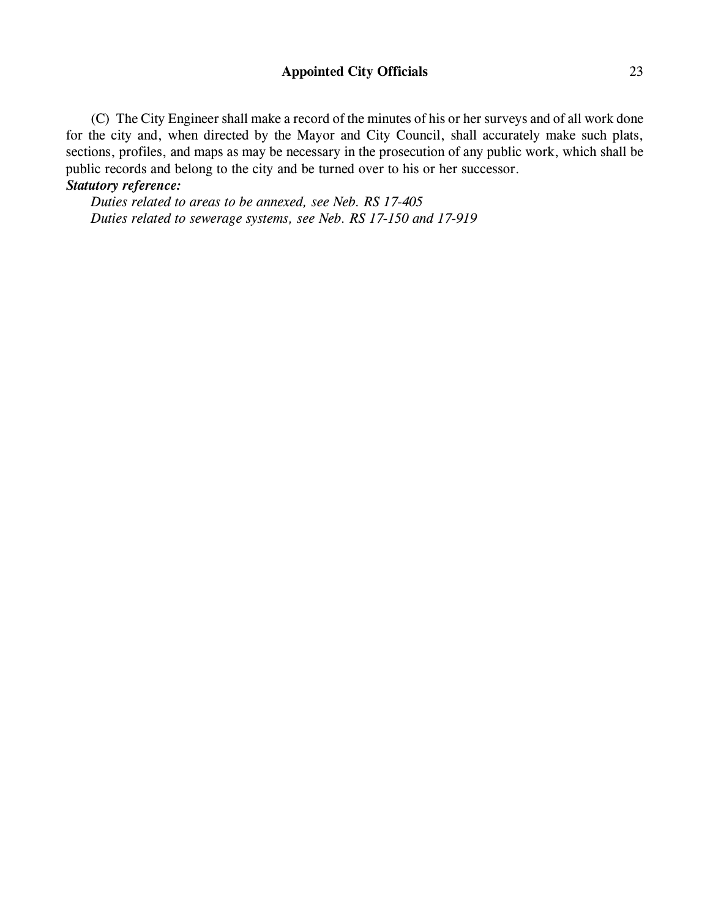# **Appointed City Officials** 23

(C) The City Engineer shall make a record of the minutes of his or her surveys and of all work done for the city and, when directed by the Mayor and City Council, shall accurately make such plats, sections, profiles, and maps as may be necessary in the prosecution of any public work, which shall be public records and belong to the city and be turned over to his or her successor.

# *Statutory reference:*

*Duties related to areas to be annexed, see Neb. RS 17-405 Duties related to sewerage systems, see Neb. RS 17-150 and 17-919*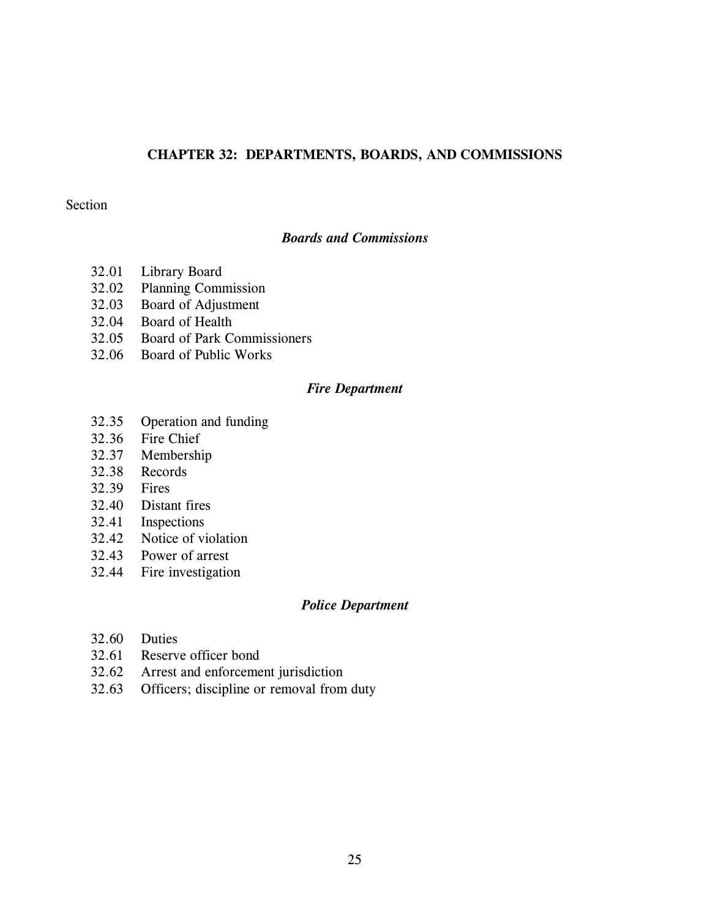### **CHAPTER 32: DEPARTMENTS, BOARDS, AND COMMISSIONS**

# Section

# *Boards and Commissions*

- 32.01 Library Board
- 32.02 Planning Commission
- 32.03 Board of Adjustment
- 32.04 Board of Health
- 32.05 Board of Park Commissioners
- 32.06 Board of Public Works

#### *Fire Department*

- 32.35 Operation and funding
- 32.36 Fire Chief
- 32.37 Membership
- 32.38 Records
- 32.39 Fires
- 32.40 Distant fires
- 32.41 Inspections
- 32.42 Notice of violation
- 32.43 Power of arrest
- 32.44 Fire investigation

# *Police Department*

- 32.60 Duties
- 32.61 Reserve officer bond
- 32.62 Arrest and enforcement jurisdiction
- 32.63 Officers; discipline or removal from duty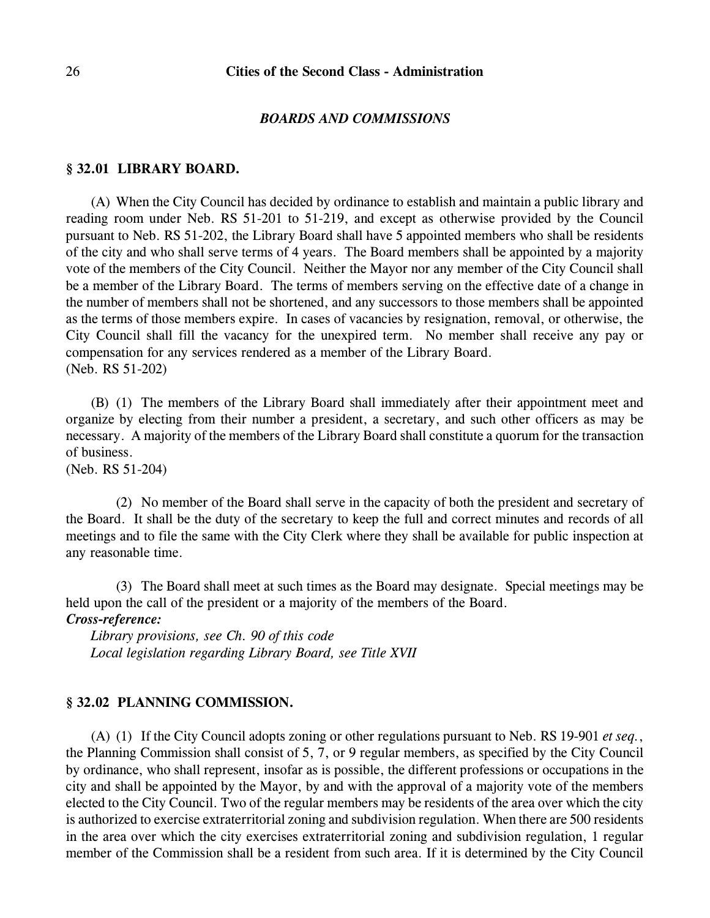#### *BOARDS AND COMMISSIONS*

### **§ 32.01 LIBRARY BOARD.**

(A) When the City Council has decided by ordinance to establish and maintain a public library and reading room under Neb. RS 51-201 to 51-219, and except as otherwise provided by the Council pursuant to Neb. RS 51-202, the Library Board shall have 5 appointed members who shall be residents of the city and who shall serve terms of 4 years. The Board members shall be appointed by a majority vote of the members of the City Council. Neither the Mayor nor any member of the City Council shall be a member of the Library Board. The terms of members serving on the effective date of a change in the number of members shall not be shortened, and any successors to those members shall be appointed as the terms of those members expire. In cases of vacancies by resignation, removal, or otherwise, the City Council shall fill the vacancy for the unexpired term. No member shall receive any pay or compensation for any services rendered as a member of the Library Board. (Neb. RS 51-202)

(B) (1) The members of the Library Board shall immediately after their appointment meet and organize by electing from their number a president, a secretary, and such other officers as may be necessary. A majority of the members of the Library Board shall constitute a quorum for the transaction of business.

(Neb. RS 51-204)

(2) No member of the Board shall serve in the capacity of both the president and secretary of the Board. It shall be the duty of the secretary to keep the full and correct minutes and records of all meetings and to file the same with the City Clerk where they shall be available for public inspection at any reasonable time.

(3) The Board shall meet at such times as the Board may designate. Special meetings may be held upon the call of the president or a majority of the members of the Board. *Cross-reference:*

*Library provisions, see Ch. 90 of this code Local legislation regarding Library Board, see Title XVII*

## **§ 32.02 PLANNING COMMISSION.**

(A) (1) If the City Council adopts zoning or other regulations pursuant to Neb. RS 19-901 *et seq.*, the Planning Commission shall consist of 5, 7, or 9 regular members, as specified by the City Council by ordinance, who shall represent, insofar as is possible, the different professions or occupations in the city and shall be appointed by the Mayor, by and with the approval of a majority vote of the members elected to the City Council. Two of the regular members may be residents of the area over which the city is authorized to exercise extraterritorial zoning and subdivision regulation. When there are 500 residents in the area over which the city exercises extraterritorial zoning and subdivision regulation, 1 regular member of the Commission shall be a resident from such area. If it is determined by the City Council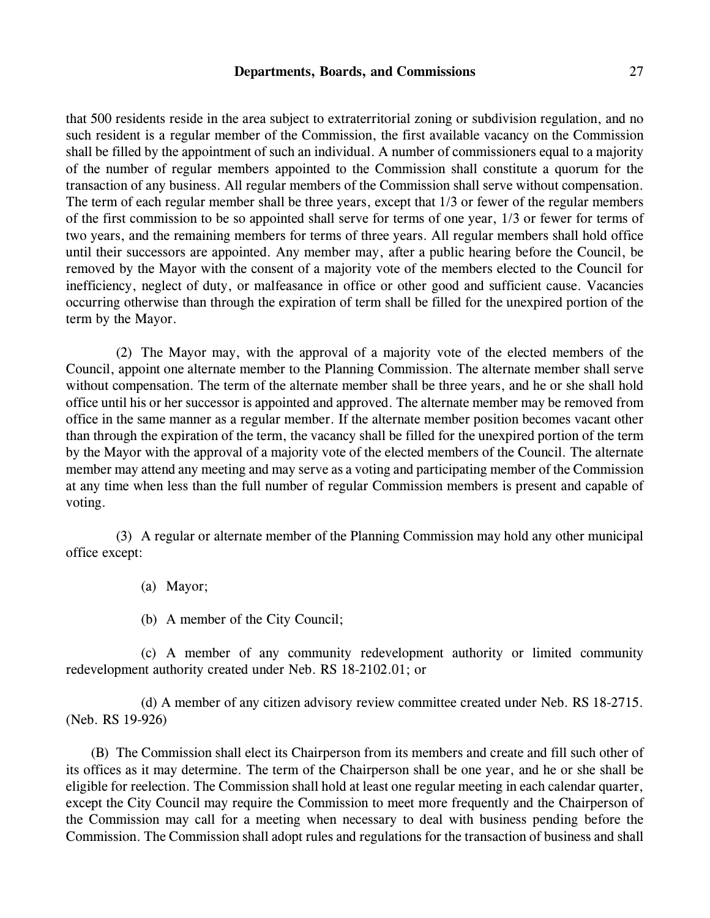#### **Departments, Boards, and Commissions** 27

that 500 residents reside in the area subject to extraterritorial zoning or subdivision regulation, and no such resident is a regular member of the Commission, the first available vacancy on the Commission shall be filled by the appointment of such an individual. A number of commissioners equal to a majority of the number of regular members appointed to the Commission shall constitute a quorum for the transaction of any business. All regular members of the Commission shall serve without compensation. The term of each regular member shall be three years, except that 1/3 or fewer of the regular members of the first commission to be so appointed shall serve for terms of one year, 1/3 or fewer for terms of two years, and the remaining members for terms of three years. All regular members shall hold office until their successors are appointed. Any member may, after a public hearing before the Council, be removed by the Mayor with the consent of a majority vote of the members elected to the Council for inefficiency, neglect of duty, or malfeasance in office or other good and sufficient cause. Vacancies occurring otherwise than through the expiration of term shall be filled for the unexpired portion of the term by the Mayor.

(2) The Mayor may, with the approval of a majority vote of the elected members of the Council, appoint one alternate member to the Planning Commission. The alternate member shall serve without compensation. The term of the alternate member shall be three years, and he or she shall hold office until his or her successor is appointed and approved. The alternate member may be removed from office in the same manner as a regular member. If the alternate member position becomes vacant other than through the expiration of the term, the vacancy shall be filled for the unexpired portion of the term by the Mayor with the approval of a majority vote of the elected members of the Council. The alternate member may attend any meeting and may serve as a voting and participating member of the Commission at any time when less than the full number of regular Commission members is present and capable of voting.

(3) A regular or alternate member of the Planning Commission may hold any other municipal office except:

(a) Mayor;

(b) A member of the City Council;

(c) A member of any community redevelopment authority or limited community redevelopment authority created under Neb. RS 18-2102.01; or

(d) A member of any citizen advisory review committee created under Neb. RS 18-2715. (Neb. RS 19-926)

(B) The Commission shall elect its Chairperson from its members and create and fill such other of its offices as it may determine. The term of the Chairperson shall be one year, and he or she shall be eligible for reelection. The Commission shall hold at least one regular meeting in each calendar quarter, except the City Council may require the Commission to meet more frequently and the Chairperson of the Commission may call for a meeting when necessary to deal with business pending before the Commission. The Commission shall adopt rules and regulations for the transaction of business and shall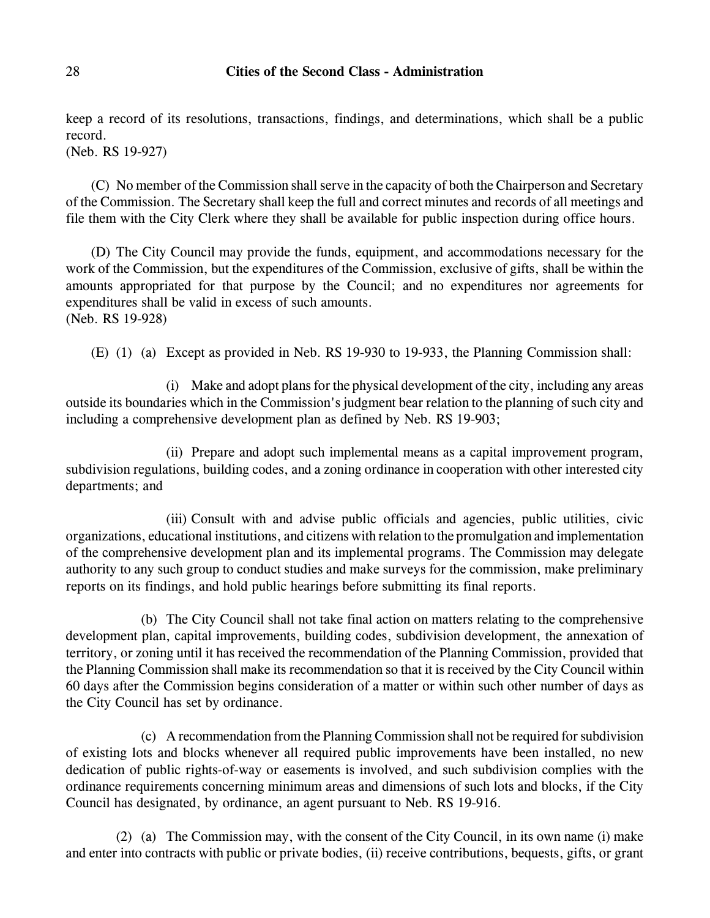keep a record of its resolutions, transactions, findings, and determinations, which shall be a public record.

(Neb. RS 19-927)

(C) No member of the Commission shall serve in the capacity of both the Chairperson and Secretary of the Commission. The Secretary shall keep the full and correct minutes and records of all meetings and file them with the City Clerk where they shall be available for public inspection during office hours.

(D) The City Council may provide the funds, equipment, and accommodations necessary for the work of the Commission, but the expenditures of the Commission, exclusive of gifts, shall be within the amounts appropriated for that purpose by the Council; and no expenditures nor agreements for expenditures shall be valid in excess of such amounts. (Neb. RS 19-928)

(E) (1) (a) Except as provided in Neb. RS 19-930 to 19-933, the Planning Commission shall:

(i) Make and adopt plans for the physical development of the city, including any areas outside its boundaries which in the Commission's judgment bear relation to the planning of such city and including a comprehensive development plan as defined by Neb. RS 19-903;

(ii) Prepare and adopt such implemental means as a capital improvement program, subdivision regulations, building codes, and a zoning ordinance in cooperation with other interested city departments; and

(iii) Consult with and advise public officials and agencies, public utilities, civic organizations, educational institutions, and citizens with relation to the promulgation and implementation of the comprehensive development plan and its implemental programs. The Commission may delegate authority to any such group to conduct studies and make surveys for the commission, make preliminary reports on its findings, and hold public hearings before submitting its final reports.

(b) The City Council shall not take final action on matters relating to the comprehensive development plan, capital improvements, building codes, subdivision development, the annexation of territory, or zoning until it has received the recommendation of the Planning Commission, provided that the Planning Commission shall make its recommendation so that it is received by the City Council within 60 days after the Commission begins consideration of a matter or within such other number of days as the City Council has set by ordinance.

(c) A recommendation from the Planning Commission shall not be required for subdivision of existing lots and blocks whenever all required public improvements have been installed, no new dedication of public rights-of-way or easements is involved, and such subdivision complies with the ordinance requirements concerning minimum areas and dimensions of such lots and blocks, if the City Council has designated, by ordinance, an agent pursuant to Neb. RS 19-916.

(2) (a) The Commission may, with the consent of the City Council, in its own name (i) make and enter into contracts with public or private bodies, (ii) receive contributions, bequests, gifts, or grant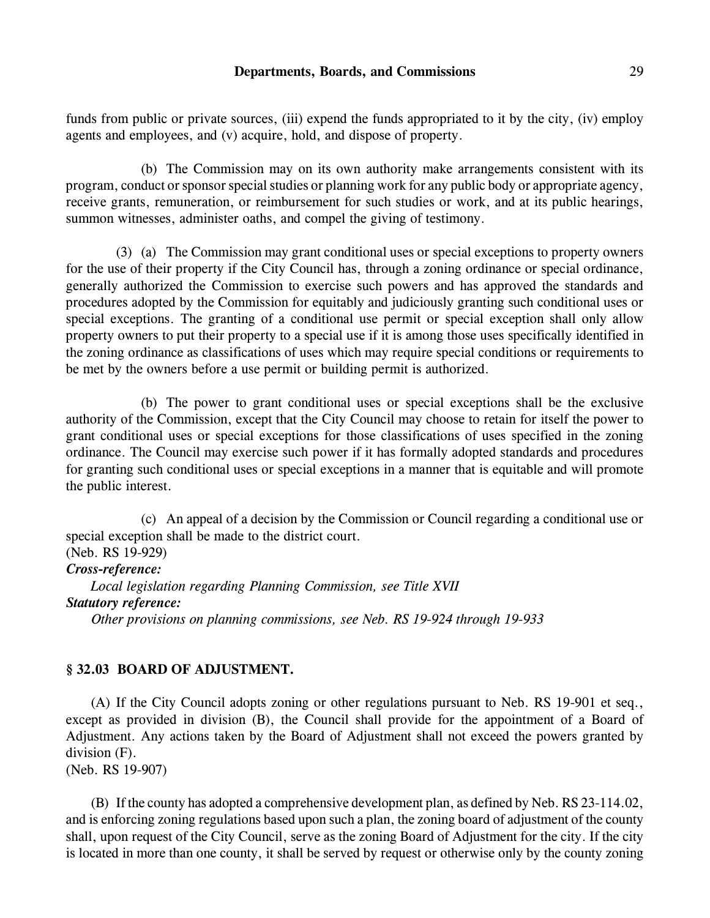#### **Departments, Boards, and Commissions** 29

funds from public or private sources, (iii) expend the funds appropriated to it by the city, (iv) employ agents and employees, and (v) acquire, hold, and dispose of property.

(b) The Commission may on its own authority make arrangements consistent with its program, conduct or sponsor special studies or planning work for any public body or appropriate agency, receive grants, remuneration, or reimbursement for such studies or work, and at its public hearings, summon witnesses, administer oaths, and compel the giving of testimony.

(3) (a) The Commission may grant conditional uses or special exceptions to property owners for the use of their property if the City Council has, through a zoning ordinance or special ordinance, generally authorized the Commission to exercise such powers and has approved the standards and procedures adopted by the Commission for equitably and judiciously granting such conditional uses or special exceptions. The granting of a conditional use permit or special exception shall only allow property owners to put their property to a special use if it is among those uses specifically identified in the zoning ordinance as classifications of uses which may require special conditions or requirements to be met by the owners before a use permit or building permit is authorized.

(b) The power to grant conditional uses or special exceptions shall be the exclusive authority of the Commission, except that the City Council may choose to retain for itself the power to grant conditional uses or special exceptions for those classifications of uses specified in the zoning ordinance. The Council may exercise such power if it has formally adopted standards and procedures for granting such conditional uses or special exceptions in a manner that is equitable and will promote the public interest.

(c) An appeal of a decision by the Commission or Council regarding a conditional use or special exception shall be made to the district court.

### (Neb. RS 19-929) *Cross-reference:*

*Local legislation regarding Planning Commission, see Title XVII Statutory reference: Other provisions on planning commissions, see Neb. RS 19-924 through 19-933*

# **§ 32.03 BOARD OF ADJUSTMENT.**

(A) If the City Council adopts zoning or other regulations pursuant to Neb. RS 19-901 et seq., except as provided in division (B), the Council shall provide for the appointment of a Board of Adjustment. Any actions taken by the Board of Adjustment shall not exceed the powers granted by division (F).

(Neb. RS 19-907)

(B) If the county has adopted a comprehensive development plan, as defined by Neb. RS 23-114.02, and is enforcing zoning regulations based upon such a plan, the zoning board of adjustment of the county shall, upon request of the City Council, serve as the zoning Board of Adjustment for the city. If the city is located in more than one county, it shall be served by request or otherwise only by the county zoning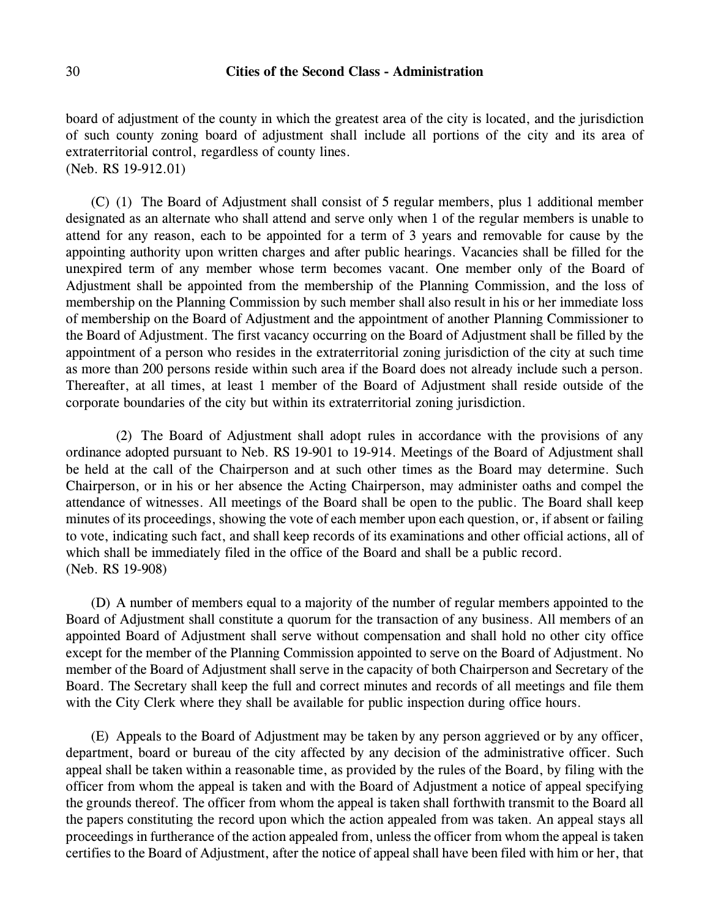board of adjustment of the county in which the greatest area of the city is located, and the jurisdiction of such county zoning board of adjustment shall include all portions of the city and its area of extraterritorial control, regardless of county lines. (Neb. RS 19-912.01)

(C) (1) The Board of Adjustment shall consist of 5 regular members, plus 1 additional member designated as an alternate who shall attend and serve only when 1 of the regular members is unable to attend for any reason, each to be appointed for a term of 3 years and removable for cause by the appointing authority upon written charges and after public hearings. Vacancies shall be filled for the unexpired term of any member whose term becomes vacant. One member only of the Board of Adjustment shall be appointed from the membership of the Planning Commission, and the loss of membership on the Planning Commission by such member shall also result in his or her immediate loss of membership on the Board of Adjustment and the appointment of another Planning Commissioner to the Board of Adjustment. The first vacancy occurring on the Board of Adjustment shall be filled by the appointment of a person who resides in the extraterritorial zoning jurisdiction of the city at such time as more than 200 persons reside within such area if the Board does not already include such a person. Thereafter, at all times, at least 1 member of the Board of Adjustment shall reside outside of the corporate boundaries of the city but within its extraterritorial zoning jurisdiction.

(2) The Board of Adjustment shall adopt rules in accordance with the provisions of any ordinance adopted pursuant to Neb. RS 19-901 to 19-914. Meetings of the Board of Adjustment shall be held at the call of the Chairperson and at such other times as the Board may determine. Such Chairperson, or in his or her absence the Acting Chairperson, may administer oaths and compel the attendance of witnesses. All meetings of the Board shall be open to the public. The Board shall keep minutes of its proceedings, showing the vote of each member upon each question, or, if absent or failing to vote, indicating such fact, and shall keep records of its examinations and other official actions, all of which shall be immediately filed in the office of the Board and shall be a public record. (Neb. RS 19-908)

(D) A number of members equal to a majority of the number of regular members appointed to the Board of Adjustment shall constitute a quorum for the transaction of any business. All members of an appointed Board of Adjustment shall serve without compensation and shall hold no other city office except for the member of the Planning Commission appointed to serve on the Board of Adjustment. No member of the Board of Adjustment shall serve in the capacity of both Chairperson and Secretary of the Board. The Secretary shall keep the full and correct minutes and records of all meetings and file them with the City Clerk where they shall be available for public inspection during office hours.

(E) Appeals to the Board of Adjustment may be taken by any person aggrieved or by any officer, department, board or bureau of the city affected by any decision of the administrative officer. Such appeal shall be taken within a reasonable time, as provided by the rules of the Board, by filing with the officer from whom the appeal is taken and with the Board of Adjustment a notice of appeal specifying the grounds thereof. The officer from whom the appeal is taken shall forthwith transmit to the Board all the papers constituting the record upon which the action appealed from was taken. An appeal stays all proceedings in furtherance of the action appealed from, unless the officer from whom the appeal is taken certifies to the Board of Adjustment, after the notice of appeal shall have been filed with him or her, that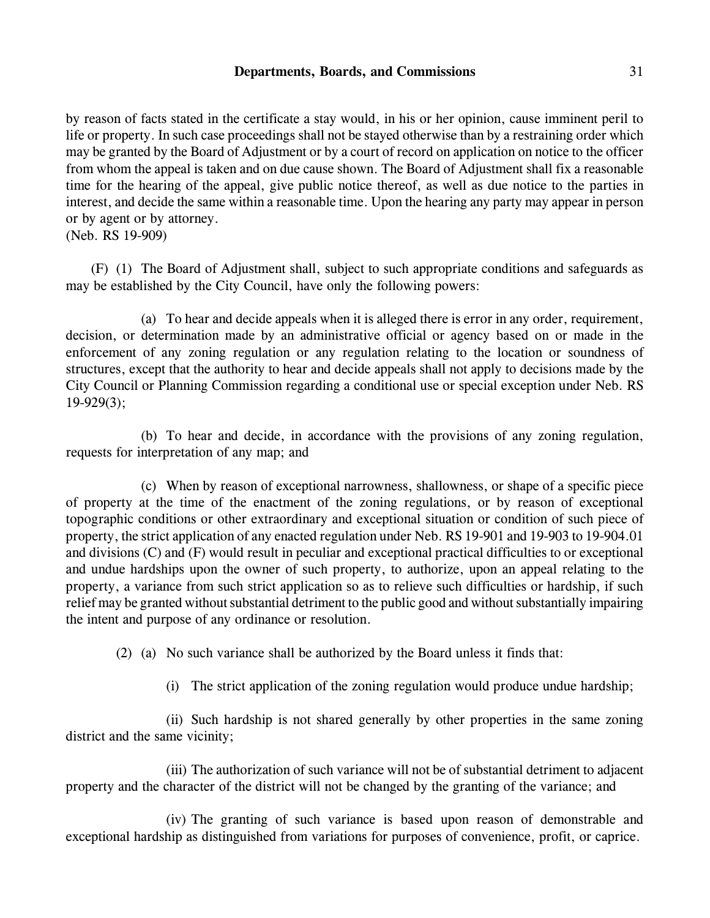### **Departments, Boards, and Commissions** 31

by reason of facts stated in the certificate a stay would, in his or her opinion, cause imminent peril to life or property. In such case proceedings shall not be stayed otherwise than by a restraining order which may be granted by the Board of Adjustment or by a court of record on application on notice to the officer from whom the appeal is taken and on due cause shown. The Board of Adjustment shall fix a reasonable time for the hearing of the appeal, give public notice thereof, as well as due notice to the parties in interest, and decide the same within a reasonable time. Upon the hearing any party may appear in person or by agent or by attorney.

(Neb. RS 19-909)

(F) (1) The Board of Adjustment shall, subject to such appropriate conditions and safeguards as may be established by the City Council, have only the following powers:

(a) To hear and decide appeals when it is alleged there is error in any order, requirement, decision, or determination made by an administrative official or agency based on or made in the enforcement of any zoning regulation or any regulation relating to the location or soundness of structures, except that the authority to hear and decide appeals shall not apply to decisions made by the City Council or Planning Commission regarding a conditional use or special exception under Neb. RS 19-929(3);

(b) To hear and decide, in accordance with the provisions of any zoning regulation, requests for interpretation of any map; and

(c) When by reason of exceptional narrowness, shallowness, or shape of a specific piece of property at the time of the enactment of the zoning regulations, or by reason of exceptional topographic conditions or other extraordinary and exceptional situation or condition of such piece of property, the strict application of any enacted regulation under Neb. RS 19-901 and 19-903 to 19-904.01 and divisions (C) and (F) would result in peculiar and exceptional practical difficulties to or exceptional and undue hardships upon the owner of such property, to authorize, upon an appeal relating to the property, a variance from such strict application so as to relieve such difficulties or hardship, if such relief may be granted without substantial detriment to the public good and without substantially impairing the intent and purpose of any ordinance or resolution.

(2) (a) No such variance shall be authorized by the Board unless it finds that:

(i) The strict application of the zoning regulation would produce undue hardship;

(ii) Such hardship is not shared generally by other properties in the same zoning district and the same vicinity;

(iii) The authorization of such variance will not be of substantial detriment to adjacent property and the character of the district will not be changed by the granting of the variance; and

(iv) The granting of such variance is based upon reason of demonstrable and exceptional hardship as distinguished from variations for purposes of convenience, profit, or caprice.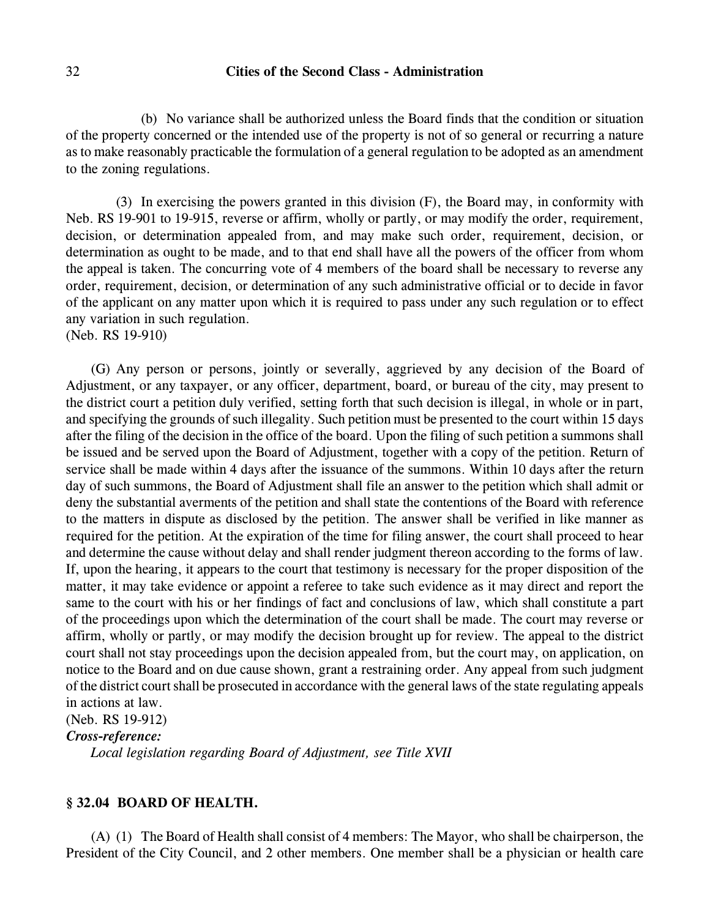(b) No variance shall be authorized unless the Board finds that the condition or situation of the property concerned or the intended use of the property is not of so general or recurring a nature as to make reasonably practicable the formulation of a general regulation to be adopted as an amendment to the zoning regulations.

(3) In exercising the powers granted in this division (F), the Board may, in conformity with Neb. RS 19-901 to 19-915, reverse or affirm, wholly or partly, or may modify the order, requirement, decision, or determination appealed from, and may make such order, requirement, decision, or determination as ought to be made, and to that end shall have all the powers of the officer from whom the appeal is taken. The concurring vote of 4 members of the board shall be necessary to reverse any order, requirement, decision, or determination of any such administrative official or to decide in favor of the applicant on any matter upon which it is required to pass under any such regulation or to effect any variation in such regulation.

(Neb. RS 19-910)

(G) Any person or persons, jointly or severally, aggrieved by any decision of the Board of Adjustment, or any taxpayer, or any officer, department, board, or bureau of the city, may present to the district court a petition duly verified, setting forth that such decision is illegal, in whole or in part, and specifying the grounds of such illegality. Such petition must be presented to the court within 15 days after the filing of the decision in the office of the board. Upon the filing of such petition a summons shall be issued and be served upon the Board of Adjustment, together with a copy of the petition. Return of service shall be made within 4 days after the issuance of the summons. Within 10 days after the return day of such summons, the Board of Adjustment shall file an answer to the petition which shall admit or deny the substantial averments of the petition and shall state the contentions of the Board with reference to the matters in dispute as disclosed by the petition. The answer shall be verified in like manner as required for the petition. At the expiration of the time for filing answer, the court shall proceed to hear and determine the cause without delay and shall render judgment thereon according to the forms of law. If, upon the hearing, it appears to the court that testimony is necessary for the proper disposition of the matter, it may take evidence or appoint a referee to take such evidence as it may direct and report the same to the court with his or her findings of fact and conclusions of law, which shall constitute a part of the proceedings upon which the determination of the court shall be made. The court may reverse or affirm, wholly or partly, or may modify the decision brought up for review. The appeal to the district court shall not stay proceedings upon the decision appealed from, but the court may, on application, on notice to the Board and on due cause shown, grant a restraining order. Any appeal from such judgment of the district court shall be prosecuted in accordance with the general laws of the state regulating appeals in actions at law.

(Neb. RS 19-912)

*Cross-reference:*

*Local legislation regarding Board of Adjustment, see Title XVII*

# **§ 32.04 BOARD OF HEALTH.**

(A) (1) The Board of Health shall consist of 4 members: The Mayor, who shall be chairperson, the President of the City Council, and 2 other members. One member shall be a physician or health care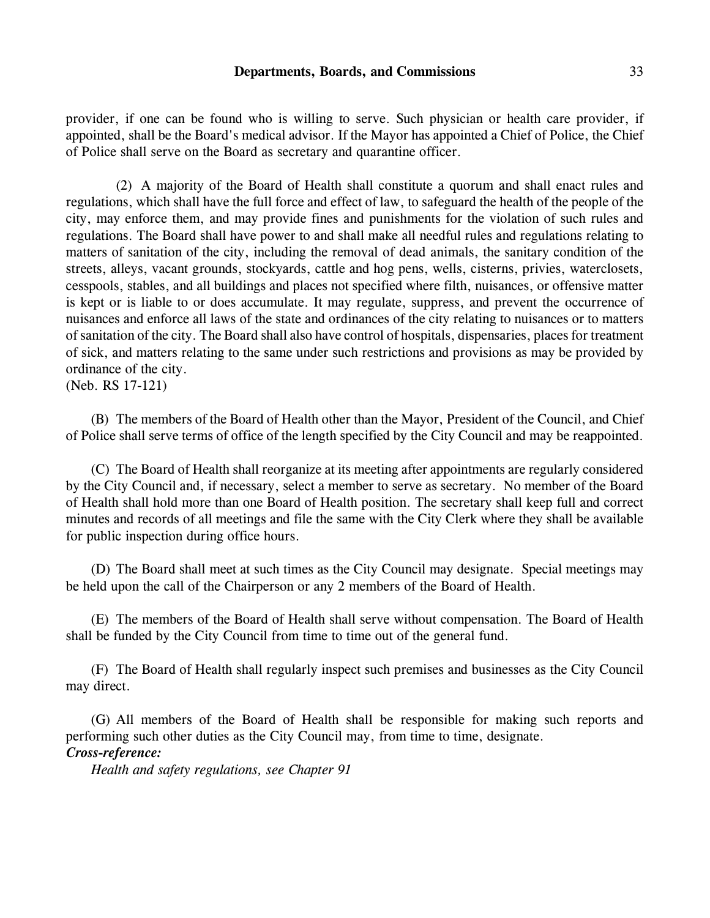#### **Departments, Boards, and Commissions** 33

provider, if one can be found who is willing to serve. Such physician or health care provider, if appointed, shall be the Board's medical advisor. If the Mayor has appointed a Chief of Police, the Chief of Police shall serve on the Board as secretary and quarantine officer.

(2) A majority of the Board of Health shall constitute a quorum and shall enact rules and regulations, which shall have the full force and effect of law, to safeguard the health of the people of the city, may enforce them, and may provide fines and punishments for the violation of such rules and regulations. The Board shall have power to and shall make all needful rules and regulations relating to matters of sanitation of the city, including the removal of dead animals, the sanitary condition of the streets, alleys, vacant grounds, stockyards, cattle and hog pens, wells, cisterns, privies, waterclosets, cesspools, stables, and all buildings and places not specified where filth, nuisances, or offensive matter is kept or is liable to or does accumulate. It may regulate, suppress, and prevent the occurrence of nuisances and enforce all laws of the state and ordinances of the city relating to nuisances or to matters of sanitation of the city. The Board shall also have control of hospitals, dispensaries, places for treatment of sick, and matters relating to the same under such restrictions and provisions as may be provided by ordinance of the city.

```
(Neb. RS 17-121)
```
(B) The members of the Board of Health other than the Mayor, President of the Council, and Chief of Police shall serve terms of office of the length specified by the City Council and may be reappointed.

(C) The Board of Health shall reorganize at its meeting after appointments are regularly considered by the City Council and, if necessary, select a member to serve as secretary. No member of the Board of Health shall hold more than one Board of Health position. The secretary shall keep full and correct minutes and records of all meetings and file the same with the City Clerk where they shall be available for public inspection during office hours.

(D) The Board shall meet at such times as the City Council may designate. Special meetings may be held upon the call of the Chairperson or any 2 members of the Board of Health.

(E) The members of the Board of Health shall serve without compensation. The Board of Health shall be funded by the City Council from time to time out of the general fund.

(F) The Board of Health shall regularly inspect such premises and businesses as the City Council may direct.

(G) All members of the Board of Health shall be responsible for making such reports and performing such other duties as the City Council may, from time to time, designate. *Cross-reference:*

*Health and safety regulations, see Chapter 91*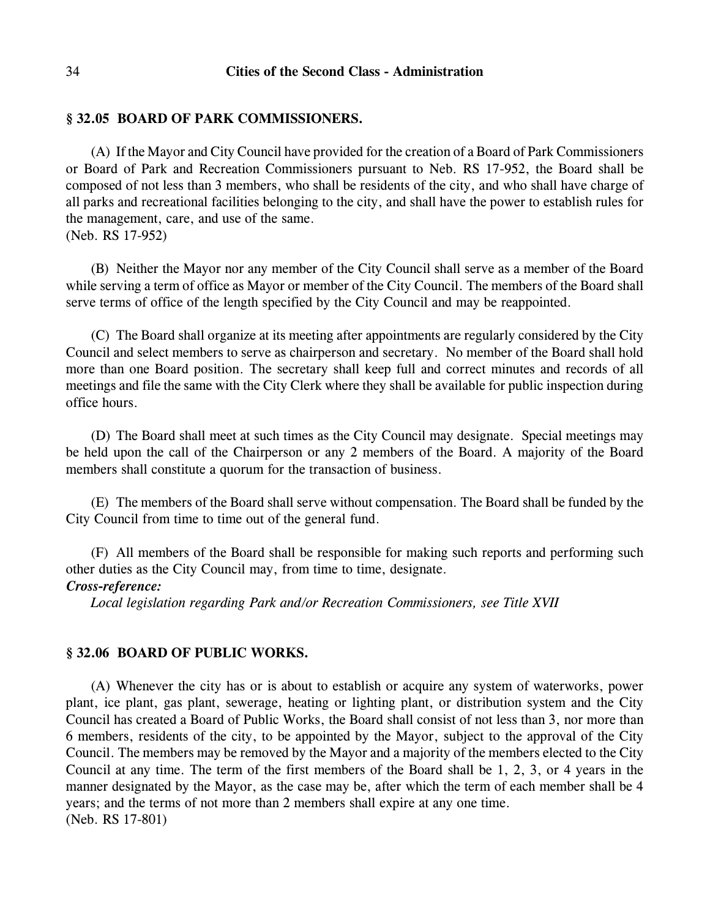# **§ 32.05 BOARD OF PARK COMMISSIONERS.**

(A) If the Mayor and City Council have provided for the creation of a Board of Park Commissioners or Board of Park and Recreation Commissioners pursuant to Neb. RS 17-952, the Board shall be composed of not less than 3 members, who shall be residents of the city, and who shall have charge of all parks and recreational facilities belonging to the city, and shall have the power to establish rules for the management, care, and use of the same. (Neb. RS 17-952)

(B) Neither the Mayor nor any member of the City Council shall serve as a member of the Board while serving a term of office as Mayor or member of the City Council. The members of the Board shall serve terms of office of the length specified by the City Council and may be reappointed.

(C) The Board shall organize at its meeting after appointments are regularly considered by the City Council and select members to serve as chairperson and secretary. No member of the Board shall hold more than one Board position. The secretary shall keep full and correct minutes and records of all meetings and file the same with the City Clerk where they shall be available for public inspection during office hours.

(D) The Board shall meet at such times as the City Council may designate. Special meetings may be held upon the call of the Chairperson or any 2 members of the Board. A majority of the Board members shall constitute a quorum for the transaction of business.

(E) The members of the Board shall serve without compensation. The Board shall be funded by the City Council from time to time out of the general fund.

(F) All members of the Board shall be responsible for making such reports and performing such other duties as the City Council may, from time to time, designate.

# *Cross-reference:*

*Local legislation regarding Park and/or Recreation Commissioners, see Title XVII*

# **§ 32.06 BOARD OF PUBLIC WORKS.**

(A) Whenever the city has or is about to establish or acquire any system of waterworks, power plant, ice plant, gas plant, sewerage, heating or lighting plant, or distribution system and the City Council has created a Board of Public Works, the Board shall consist of not less than 3, nor more than 6 members, residents of the city, to be appointed by the Mayor, subject to the approval of the City Council. The members may be removed by the Mayor and a majority of the members elected to the City Council at any time. The term of the first members of the Board shall be 1, 2, 3, or 4 years in the manner designated by the Mayor, as the case may be, after which the term of each member shall be 4 years; and the terms of not more than 2 members shall expire at any one time. (Neb. RS 17-801)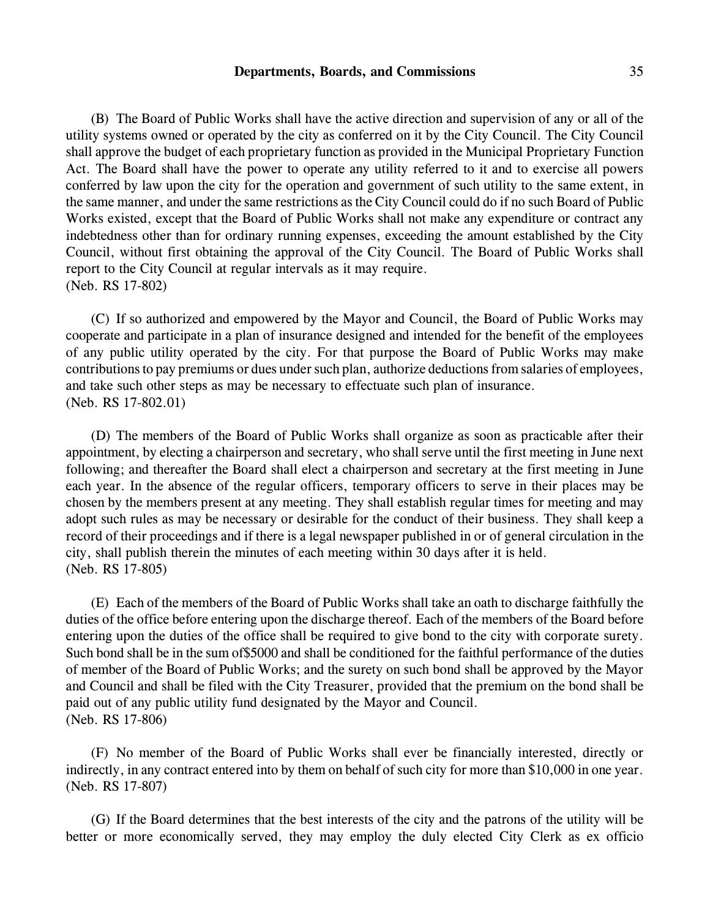#### **Departments, Boards, and Commissions** 35

(B) The Board of Public Works shall have the active direction and supervision of any or all of the utility systems owned or operated by the city as conferred on it by the City Council. The City Council shall approve the budget of each proprietary function as provided in the Municipal Proprietary Function Act. The Board shall have the power to operate any utility referred to it and to exercise all powers conferred by law upon the city for the operation and government of such utility to the same extent, in the same manner, and under the same restrictions as the City Council could do if no such Board of Public Works existed, except that the Board of Public Works shall not make any expenditure or contract any indebtedness other than for ordinary running expenses, exceeding the amount established by the City Council, without first obtaining the approval of the City Council. The Board of Public Works shall report to the City Council at regular intervals as it may require. (Neb. RS 17-802)

(C) If so authorized and empowered by the Mayor and Council, the Board of Public Works may cooperate and participate in a plan of insurance designed and intended for the benefit of the employees of any public utility operated by the city. For that purpose the Board of Public Works may make contributions to pay premiums or dues under such plan, authorize deductions from salaries of employees, and take such other steps as may be necessary to effectuate such plan of insurance. (Neb. RS 17-802.01)

(D) The members of the Board of Public Works shall organize as soon as practicable after their appointment, by electing a chairperson and secretary, who shall serve until the first meeting in June next following; and thereafter the Board shall elect a chairperson and secretary at the first meeting in June each year. In the absence of the regular officers, temporary officers to serve in their places may be chosen by the members present at any meeting. They shall establish regular times for meeting and may adopt such rules as may be necessary or desirable for the conduct of their business. They shall keep a record of their proceedings and if there is a legal newspaper published in or of general circulation in the city, shall publish therein the minutes of each meeting within 30 days after it is held. (Neb. RS 17-805)

(E) Each of the members of the Board of Public Works shall take an oath to discharge faithfully the duties of the office before entering upon the discharge thereof. Each of the members of the Board before entering upon the duties of the office shall be required to give bond to the city with corporate surety. Such bond shall be in the sum of\$5000 and shall be conditioned for the faithful performance of the duties of member of the Board of Public Works; and the surety on such bond shall be approved by the Mayor and Council and shall be filed with the City Treasurer, provided that the premium on the bond shall be paid out of any public utility fund designated by the Mayor and Council. (Neb. RS 17-806)

(F) No member of the Board of Public Works shall ever be financially interested, directly or indirectly, in any contract entered into by them on behalf of such city for more than \$10,000 in one year. (Neb. RS 17-807)

(G) If the Board determines that the best interests of the city and the patrons of the utility will be better or more economically served, they may employ the duly elected City Clerk as ex officio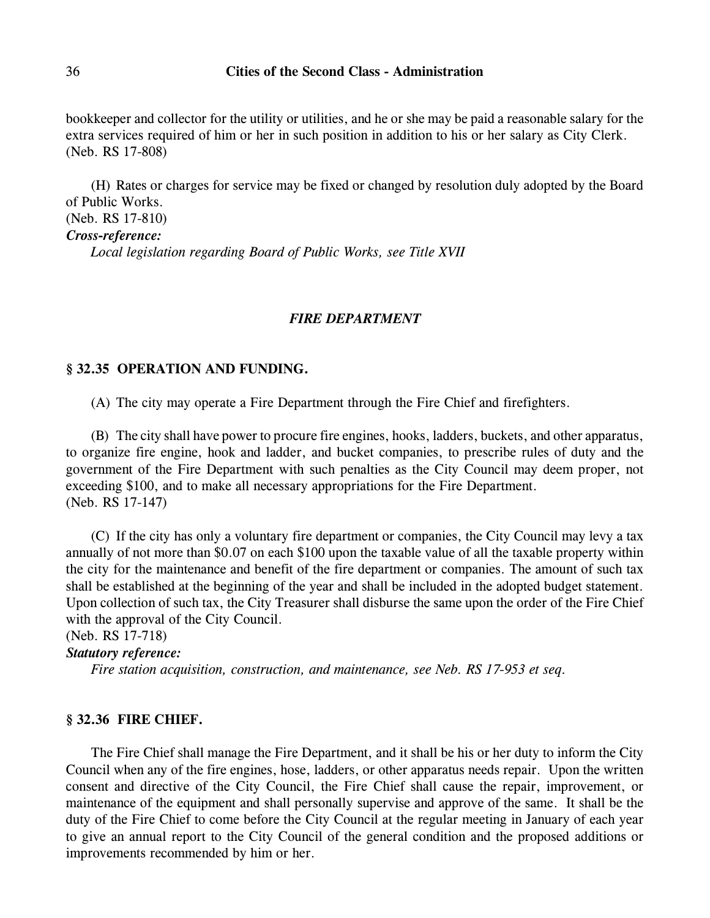bookkeeper and collector for the utility or utilities, and he or she may be paid a reasonable salary for the extra services required of him or her in such position in addition to his or her salary as City Clerk. (Neb. RS 17-808)

(H) Rates or charges for service may be fixed or changed by resolution duly adopted by the Board of Public Works.

(Neb. RS 17-810)

*Cross-reference:*

*Local legislation regarding Board of Public Works, see Title XVII*

### *FIRE DEPARTMENT*

#### **§ 32.35 OPERATION AND FUNDING.**

(A) The city may operate a Fire Department through the Fire Chief and firefighters.

(B) The city shall have power to procure fire engines, hooks, ladders, buckets, and other apparatus, to organize fire engine, hook and ladder, and bucket companies, to prescribe rules of duty and the government of the Fire Department with such penalties as the City Council may deem proper, not exceeding \$100, and to make all necessary appropriations for the Fire Department. (Neb. RS 17-147)

(C) If the city has only a voluntary fire department or companies, the City Council may levy a tax annually of not more than \$0.07 on each \$100 upon the taxable value of all the taxable property within the city for the maintenance and benefit of the fire department or companies. The amount of such tax shall be established at the beginning of the year and shall be included in the adopted budget statement. Upon collection of such tax, the City Treasurer shall disburse the same upon the order of the Fire Chief with the approval of the City Council.

(Neb. RS 17-718)

### *Statutory reference:*

*Fire station acquisition, construction, and maintenance, see Neb. RS 17-953 et seq.*

#### **§ 32.36 FIRE CHIEF.**

The Fire Chief shall manage the Fire Department, and it shall be his or her duty to inform the City Council when any of the fire engines, hose, ladders, or other apparatus needs repair. Upon the written consent and directive of the City Council, the Fire Chief shall cause the repair, improvement, or maintenance of the equipment and shall personally supervise and approve of the same. It shall be the duty of the Fire Chief to come before the City Council at the regular meeting in January of each year to give an annual report to the City Council of the general condition and the proposed additions or improvements recommended by him or her.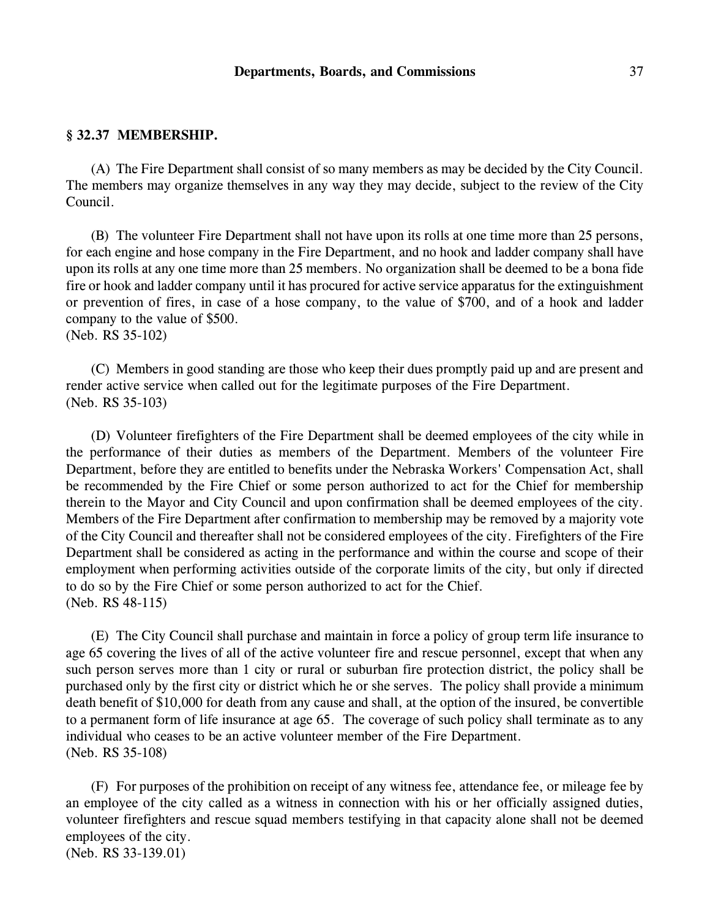# **§ 32.37 MEMBERSHIP.**

(A) The Fire Department shall consist of so many members as may be decided by the City Council. The members may organize themselves in any way they may decide, subject to the review of the City Council.

(B) The volunteer Fire Department shall not have upon its rolls at one time more than 25 persons, for each engine and hose company in the Fire Department, and no hook and ladder company shall have upon its rolls at any one time more than 25 members. No organization shall be deemed to be a bona fide fire or hook and ladder company until it has procured for active service apparatus for the extinguishment or prevention of fires, in case of a hose company, to the value of \$700, and of a hook and ladder company to the value of \$500.

(Neb. RS 35-102)

(C) Members in good standing are those who keep their dues promptly paid up and are present and render active service when called out for the legitimate purposes of the Fire Department. (Neb. RS 35-103)

(D) Volunteer firefighters of the Fire Department shall be deemed employees of the city while in the performance of their duties as members of the Department. Members of the volunteer Fire Department, before they are entitled to benefits under the Nebraska Workers' Compensation Act, shall be recommended by the Fire Chief or some person authorized to act for the Chief for membership therein to the Mayor and City Council and upon confirmation shall be deemed employees of the city. Members of the Fire Department after confirmation to membership may be removed by a majority vote of the City Council and thereafter shall not be considered employees of the city. Firefighters of the Fire Department shall be considered as acting in the performance and within the course and scope of their employment when performing activities outside of the corporate limits of the city, but only if directed to do so by the Fire Chief or some person authorized to act for the Chief. (Neb. RS 48-115)

(E) The City Council shall purchase and maintain in force a policy of group term life insurance to age 65 covering the lives of all of the active volunteer fire and rescue personnel, except that when any such person serves more than 1 city or rural or suburban fire protection district, the policy shall be purchased only by the first city or district which he or she serves. The policy shall provide a minimum death benefit of \$10,000 for death from any cause and shall, at the option of the insured, be convertible to a permanent form of life insurance at age 65. The coverage of such policy shall terminate as to any individual who ceases to be an active volunteer member of the Fire Department. (Neb. RS 35-108)

(F) For purposes of the prohibition on receipt of any witness fee, attendance fee, or mileage fee by an employee of the city called as a witness in connection with his or her officially assigned duties, volunteer firefighters and rescue squad members testifying in that capacity alone shall not be deemed employees of the city. (Neb. RS 33-139.01)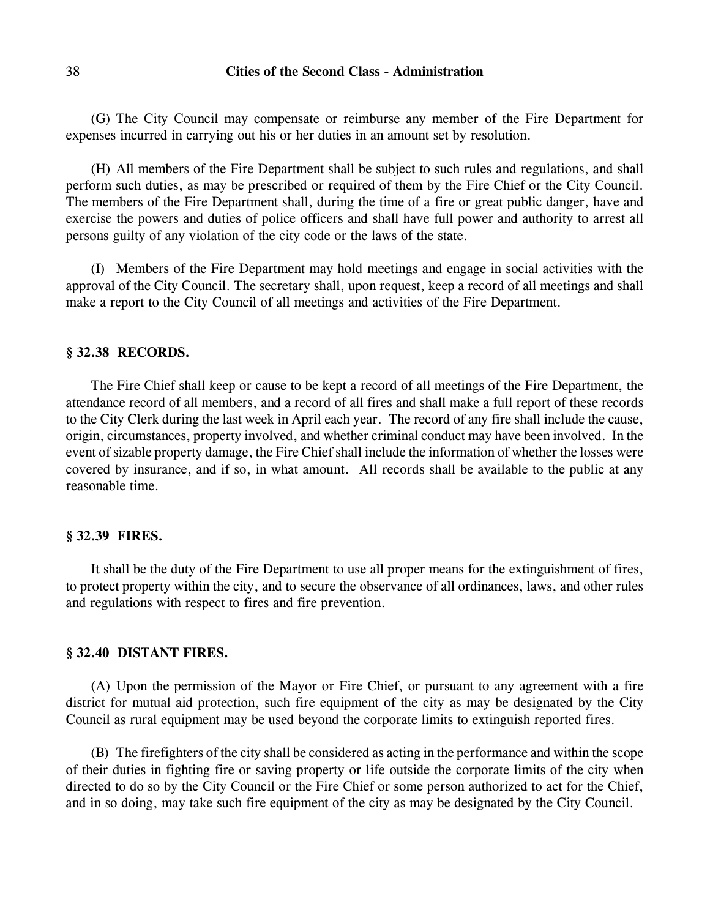## 38 **Cities of the Second Class - Administration**

(G) The City Council may compensate or reimburse any member of the Fire Department for expenses incurred in carrying out his or her duties in an amount set by resolution.

(H) All members of the Fire Department shall be subject to such rules and regulations, and shall perform such duties, as may be prescribed or required of them by the Fire Chief or the City Council. The members of the Fire Department shall, during the time of a fire or great public danger, have and exercise the powers and duties of police officers and shall have full power and authority to arrest all persons guilty of any violation of the city code or the laws of the state.

(I) Members of the Fire Department may hold meetings and engage in social activities with the approval of the City Council. The secretary shall, upon request, keep a record of all meetings and shall make a report to the City Council of all meetings and activities of the Fire Department.

#### **§ 32.38 RECORDS.**

The Fire Chief shall keep or cause to be kept a record of all meetings of the Fire Department, the attendance record of all members, and a record of all fires and shall make a full report of these records to the City Clerk during the last week in April each year. The record of any fire shall include the cause, origin, circumstances, property involved, and whether criminal conduct may have been involved. In the event of sizable property damage, the Fire Chief shall include the information of whether the losses were covered by insurance, and if so, in what amount. All records shall be available to the public at any reasonable time.

#### **§ 32.39 FIRES.**

It shall be the duty of the Fire Department to use all proper means for the extinguishment of fires, to protect property within the city, and to secure the observance of all ordinances, laws, and other rules and regulations with respect to fires and fire prevention.

#### **§ 32.40 DISTANT FIRES.**

(A) Upon the permission of the Mayor or Fire Chief, or pursuant to any agreement with a fire district for mutual aid protection, such fire equipment of the city as may be designated by the City Council as rural equipment may be used beyond the corporate limits to extinguish reported fires.

(B) The firefighters of the city shall be considered as acting in the performance and within the scope of their duties in fighting fire or saving property or life outside the corporate limits of the city when directed to do so by the City Council or the Fire Chief or some person authorized to act for the Chief, and in so doing, may take such fire equipment of the city as may be designated by the City Council.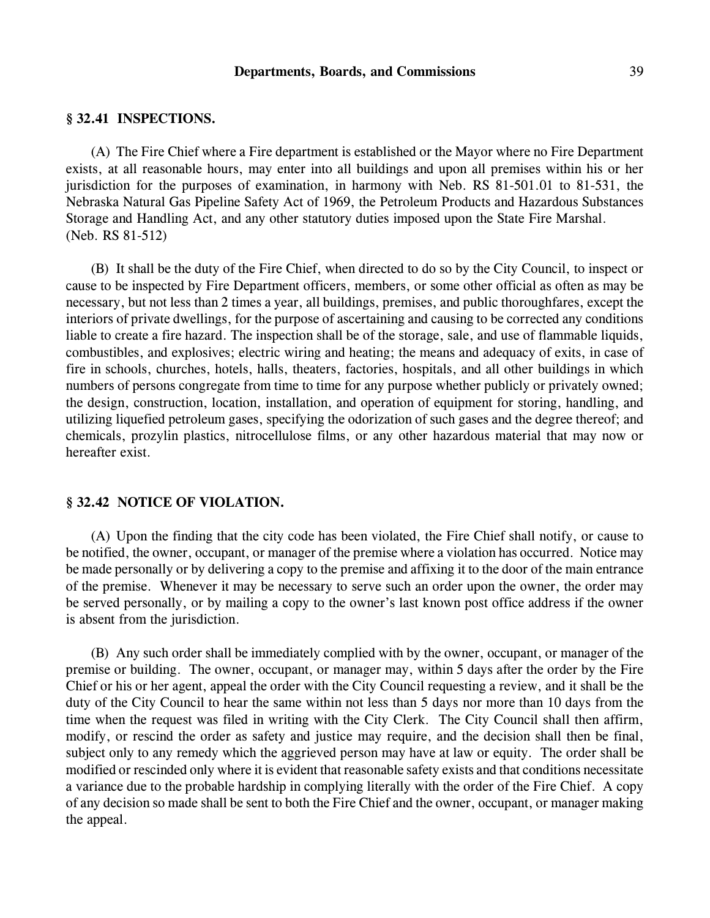#### **Departments, Boards, and Commissions** 39

## **§ 32.41 INSPECTIONS.**

(A) The Fire Chief where a Fire department is established or the Mayor where no Fire Department exists, at all reasonable hours, may enter into all buildings and upon all premises within his or her jurisdiction for the purposes of examination, in harmony with Neb. RS 81-501.01 to 81-531, the Nebraska Natural Gas Pipeline Safety Act of 1969, the Petroleum Products and Hazardous Substances Storage and Handling Act, and any other statutory duties imposed upon the State Fire Marshal. (Neb. RS 81-512)

(B) It shall be the duty of the Fire Chief, when directed to do so by the City Council, to inspect or cause to be inspected by Fire Department officers, members, or some other official as often as may be necessary, but not less than 2 times a year, all buildings, premises, and public thoroughfares, except the interiors of private dwellings, for the purpose of ascertaining and causing to be corrected any conditions liable to create a fire hazard. The inspection shall be of the storage, sale, and use of flammable liquids, combustibles, and explosives; electric wiring and heating; the means and adequacy of exits, in case of fire in schools, churches, hotels, halls, theaters, factories, hospitals, and all other buildings in which numbers of persons congregate from time to time for any purpose whether publicly or privately owned; the design, construction, location, installation, and operation of equipment for storing, handling, and utilizing liquefied petroleum gases, specifying the odorization of such gases and the degree thereof; and chemicals, prozylin plastics, nitrocellulose films, or any other hazardous material that may now or hereafter exist.

#### **§ 32.42 NOTICE OF VIOLATION.**

(A) Upon the finding that the city code has been violated, the Fire Chief shall notify, or cause to be notified, the owner, occupant, or manager of the premise where a violation has occurred. Notice may be made personally or by delivering a copy to the premise and affixing it to the door of the main entrance of the premise. Whenever it may be necessary to serve such an order upon the owner, the order may be served personally, or by mailing a copy to the owner's last known post office address if the owner is absent from the jurisdiction.

(B) Any such order shall be immediately complied with by the owner, occupant, or manager of the premise or building. The owner, occupant, or manager may, within 5 days after the order by the Fire Chief or his or her agent, appeal the order with the City Council requesting a review, and it shall be the duty of the City Council to hear the same within not less than 5 days nor more than 10 days from the time when the request was filed in writing with the City Clerk. The City Council shall then affirm, modify, or rescind the order as safety and justice may require, and the decision shall then be final, subject only to any remedy which the aggrieved person may have at law or equity. The order shall be modified or rescinded only where it is evident that reasonable safety exists and that conditions necessitate a variance due to the probable hardship in complying literally with the order of the Fire Chief. A copy of any decision so made shall be sent to both the Fire Chief and the owner, occupant, or manager making the appeal.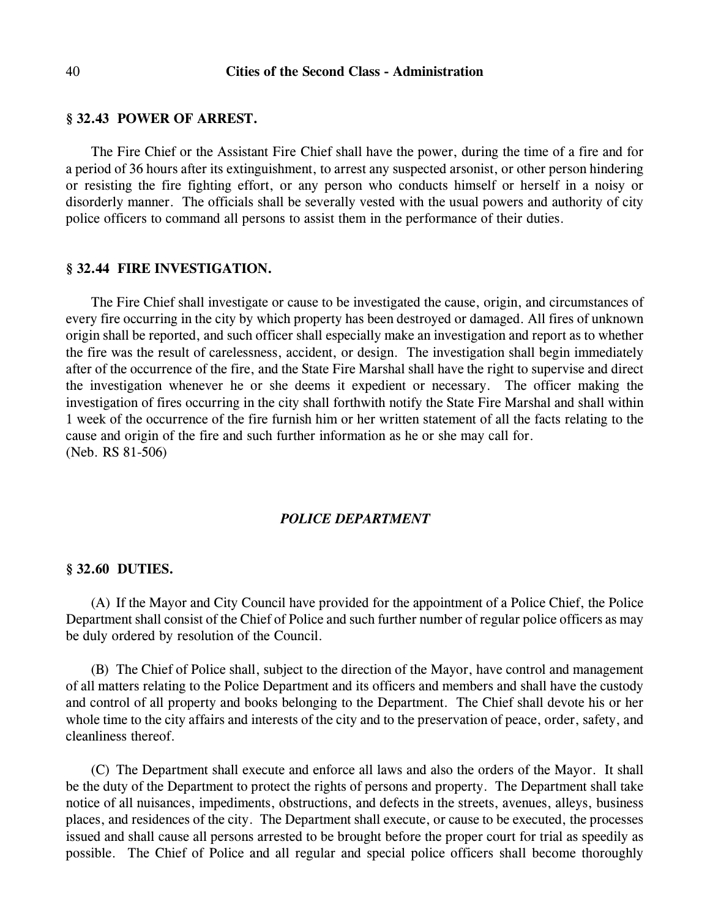#### **§ 32.43 POWER OF ARREST.**

The Fire Chief or the Assistant Fire Chief shall have the power, during the time of a fire and for a period of 36 hours after its extinguishment, to arrest any suspected arsonist, or other person hindering or resisting the fire fighting effort, or any person who conducts himself or herself in a noisy or disorderly manner. The officials shall be severally vested with the usual powers and authority of city police officers to command all persons to assist them in the performance of their duties.

#### **§ 32.44 FIRE INVESTIGATION.**

The Fire Chief shall investigate or cause to be investigated the cause, origin, and circumstances of every fire occurring in the city by which property has been destroyed or damaged. All fires of unknown origin shall be reported, and such officer shall especially make an investigation and report as to whether the fire was the result of carelessness, accident, or design. The investigation shall begin immediately after of the occurrence of the fire, and the State Fire Marshal shall have the right to supervise and direct the investigation whenever he or she deems it expedient or necessary. The officer making the investigation of fires occurring in the city shall forthwith notify the State Fire Marshal and shall within 1 week of the occurrence of the fire furnish him or her written statement of all the facts relating to the cause and origin of the fire and such further information as he or she may call for. (Neb. RS 81-506)

#### *POLICE DEPARTMENT*

#### **§ 32.60 DUTIES.**

(A) If the Mayor and City Council have provided for the appointment of a Police Chief, the Police Department shall consist of the Chief of Police and such further number of regular police officers as may be duly ordered by resolution of the Council.

(B) The Chief of Police shall, subject to the direction of the Mayor, have control and management of all matters relating to the Police Department and its officers and members and shall have the custody and control of all property and books belonging to the Department. The Chief shall devote his or her whole time to the city affairs and interests of the city and to the preservation of peace, order, safety, and cleanliness thereof.

(C) The Department shall execute and enforce all laws and also the orders of the Mayor. It shall be the duty of the Department to protect the rights of persons and property. The Department shall take notice of all nuisances, impediments, obstructions, and defects in the streets, avenues, alleys, business places, and residences of the city. The Department shall execute, or cause to be executed, the processes issued and shall cause all persons arrested to be brought before the proper court for trial as speedily as possible. The Chief of Police and all regular and special police officers shall become thoroughly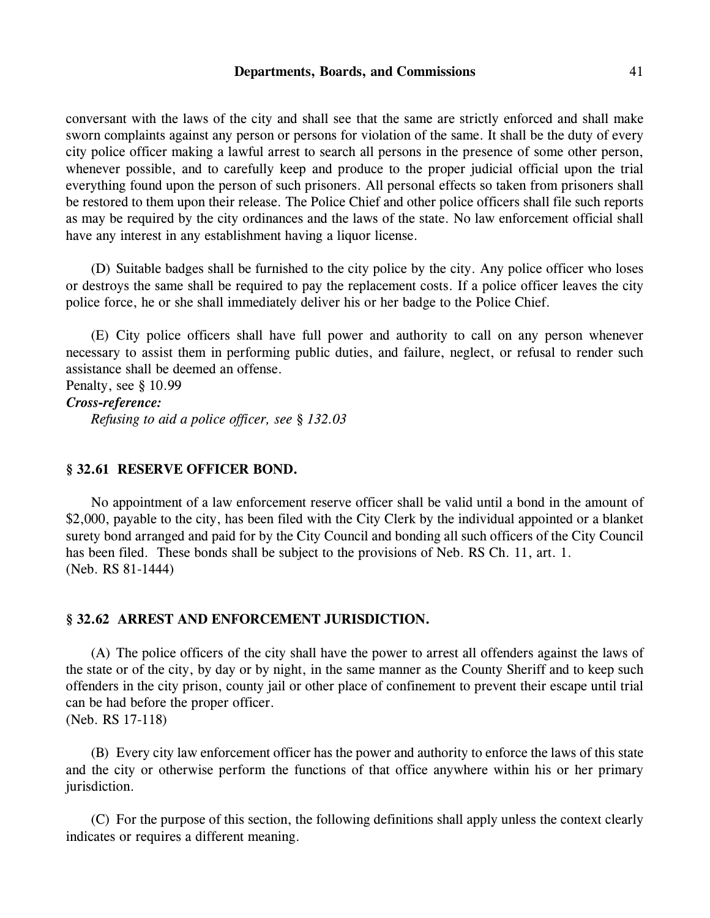#### **Departments, Boards, and Commissions** 41

conversant with the laws of the city and shall see that the same are strictly enforced and shall make sworn complaints against any person or persons for violation of the same. It shall be the duty of every city police officer making a lawful arrest to search all persons in the presence of some other person, whenever possible, and to carefully keep and produce to the proper judicial official upon the trial everything found upon the person of such prisoners. All personal effects so taken from prisoners shall be restored to them upon their release. The Police Chief and other police officers shall file such reports as may be required by the city ordinances and the laws of the state. No law enforcement official shall have any interest in any establishment having a liquor license.

(D) Suitable badges shall be furnished to the city police by the city. Any police officer who loses or destroys the same shall be required to pay the replacement costs. If a police officer leaves the city police force, he or she shall immediately deliver his or her badge to the Police Chief.

(E) City police officers shall have full power and authority to call on any person whenever necessary to assist them in performing public duties, and failure, neglect, or refusal to render such assistance shall be deemed an offense.

Penalty, see § 10.99 *Cross-reference: Refusing to aid a police officer, see § 132.03*

## **§ 32.61 RESERVE OFFICER BOND.**

No appointment of a law enforcement reserve officer shall be valid until a bond in the amount of \$2,000, payable to the city, has been filed with the City Clerk by the individual appointed or a blanket surety bond arranged and paid for by the City Council and bonding all such officers of the City Council has been filed. These bonds shall be subject to the provisions of Neb. RS Ch. 11, art. 1. (Neb. RS 81-1444)

## **§ 32.62 ARREST AND ENFORCEMENT JURISDICTION.**

(A) The police officers of the city shall have the power to arrest all offenders against the laws of the state or of the city, by day or by night, in the same manner as the County Sheriff and to keep such offenders in the city prison, county jail or other place of confinement to prevent their escape until trial can be had before the proper officer. (Neb. RS 17-118)

(B) Every city law enforcement officer has the power and authority to enforce the laws of this state and the city or otherwise perform the functions of that office anywhere within his or her primary jurisdiction.

(C) For the purpose of this section, the following definitions shall apply unless the context clearly indicates or requires a different meaning.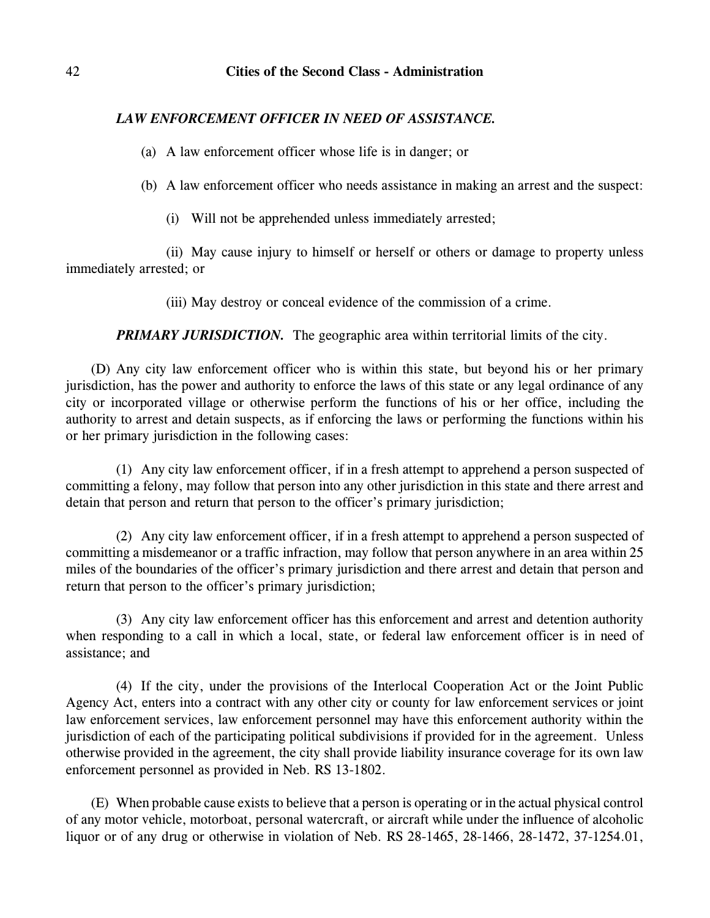# *LAW ENFORCEMENT OFFICER IN NEED OF ASSISTANCE.*

(a) A law enforcement officer whose life is in danger; or

(b) A law enforcement officer who needs assistance in making an arrest and the suspect:

(i) Will not be apprehended unless immediately arrested;

(ii) May cause injury to himself or herself or others or damage to property unless immediately arrested; or

(iii) May destroy or conceal evidence of the commission of a crime.

*PRIMARY JURISDICTION.* The geographic area within territorial limits of the city.

(D) Any city law enforcement officer who is within this state, but beyond his or her primary jurisdiction, has the power and authority to enforce the laws of this state or any legal ordinance of any city or incorporated village or otherwise perform the functions of his or her office, including the authority to arrest and detain suspects, as if enforcing the laws or performing the functions within his or her primary jurisdiction in the following cases:

(1) Any city law enforcement officer, if in a fresh attempt to apprehend a person suspected of committing a felony, may follow that person into any other jurisdiction in this state and there arrest and detain that person and return that person to the officer's primary jurisdiction;

(2) Any city law enforcement officer, if in a fresh attempt to apprehend a person suspected of committing a misdemeanor or a traffic infraction, may follow that person anywhere in an area within 25 miles of the boundaries of the officer's primary jurisdiction and there arrest and detain that person and return that person to the officer's primary jurisdiction;

(3) Any city law enforcement officer has this enforcement and arrest and detention authority when responding to a call in which a local, state, or federal law enforcement officer is in need of assistance; and

(4) If the city, under the provisions of the Interlocal Cooperation Act or the Joint Public Agency Act, enters into a contract with any other city or county for law enforcement services or joint law enforcement services, law enforcement personnel may have this enforcement authority within the jurisdiction of each of the participating political subdivisions if provided for in the agreement. Unless otherwise provided in the agreement, the city shall provide liability insurance coverage for its own law enforcement personnel as provided in Neb. RS 13-1802.

(E) When probable cause exists to believe that a person is operating or in the actual physical control of any motor vehicle, motorboat, personal watercraft, or aircraft while under the influence of alcoholic liquor or of any drug or otherwise in violation of Neb. RS 28-1465, 28-1466, 28-1472, 37-1254.01,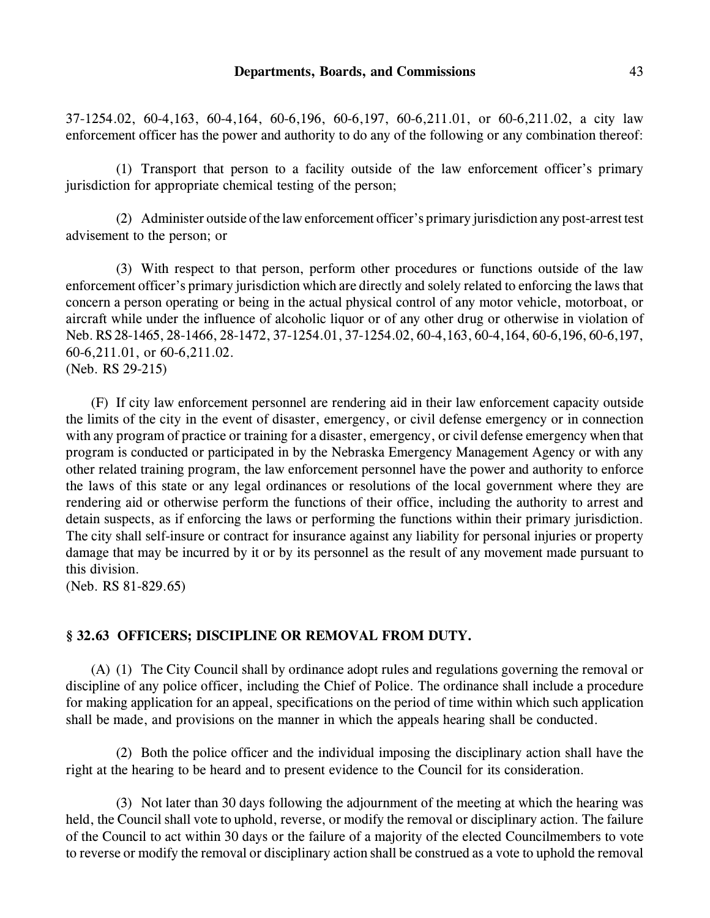37-1254.02, 60-4,163, 60-4,164, 60-6,196, 60-6,197, 60-6,211.01, or 60-6,211.02, a city law enforcement officer has the power and authority to do any of the following or any combination thereof:

(1) Transport that person to a facility outside of the law enforcement officer's primary jurisdiction for appropriate chemical testing of the person;

(2) Administer outside of the law enforcement officer's primary jurisdiction any post-arrest test advisement to the person; or

(3) With respect to that person, perform other procedures or functions outside of the law enforcement officer's primary jurisdiction which are directly and solely related to enforcing the laws that concern a person operating or being in the actual physical control of any motor vehicle, motorboat, or aircraft while under the influence of alcoholic liquor or of any other drug or otherwise in violation of Neb. RS 28-1465, 28-1466, 28-1472, 37-1254.01, 37-1254.02, 60-4,163, 60-4,164, 60-6,196, 60-6,197, 60-6,211.01, or 60-6,211.02. (Neb. RS 29-215)

(F) If city law enforcement personnel are rendering aid in their law enforcement capacity outside the limits of the city in the event of disaster, emergency, or civil defense emergency or in connection with any program of practice or training for a disaster, emergency, or civil defense emergency when that program is conducted or participated in by the Nebraska Emergency Management Agency or with any other related training program, the law enforcement personnel have the power and authority to enforce the laws of this state or any legal ordinances or resolutions of the local government where they are rendering aid or otherwise perform the functions of their office, including the authority to arrest and detain suspects, as if enforcing the laws or performing the functions within their primary jurisdiction. The city shall self-insure or contract for insurance against any liability for personal injuries or property damage that may be incurred by it or by its personnel as the result of any movement made pursuant to this division.

(Neb. RS 81-829.65)

# **§ 32.63 OFFICERS; DISCIPLINE OR REMOVAL FROM DUTY.**

(A) (1) The City Council shall by ordinance adopt rules and regulations governing the removal or discipline of any police officer, including the Chief of Police. The ordinance shall include a procedure for making application for an appeal, specifications on the period of time within which such application shall be made, and provisions on the manner in which the appeals hearing shall be conducted.

(2) Both the police officer and the individual imposing the disciplinary action shall have the right at the hearing to be heard and to present evidence to the Council for its consideration.

(3) Not later than 30 days following the adjournment of the meeting at which the hearing was held, the Council shall vote to uphold, reverse, or modify the removal or disciplinary action. The failure of the Council to act within 30 days or the failure of a majority of the elected Councilmembers to vote to reverse or modify the removal or disciplinary action shall be construed as a vote to uphold the removal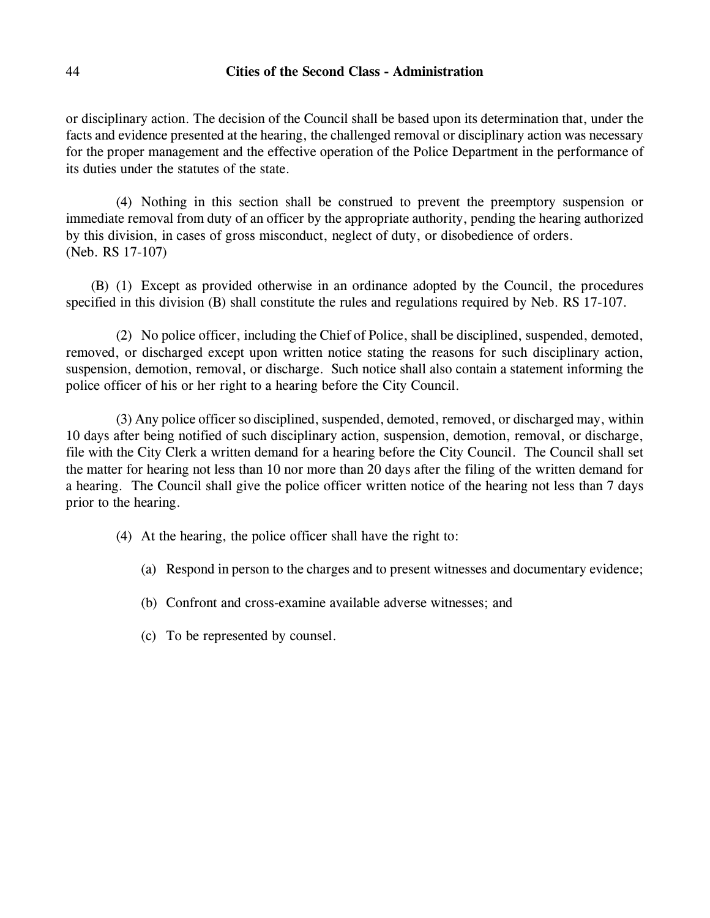## 44 **Cities of the Second Class - Administration**

or disciplinary action. The decision of the Council shall be based upon its determination that, under the facts and evidence presented at the hearing, the challenged removal or disciplinary action was necessary for the proper management and the effective operation of the Police Department in the performance of its duties under the statutes of the state.

(4) Nothing in this section shall be construed to prevent the preemptory suspension or immediate removal from duty of an officer by the appropriate authority, pending the hearing authorized by this division, in cases of gross misconduct, neglect of duty, or disobedience of orders. (Neb. RS 17-107)

(B) (1) Except as provided otherwise in an ordinance adopted by the Council, the procedures specified in this division (B) shall constitute the rules and regulations required by Neb. RS 17-107.

(2) No police officer, including the Chief of Police, shall be disciplined, suspended, demoted, removed, or discharged except upon written notice stating the reasons for such disciplinary action, suspension, demotion, removal, or discharge. Such notice shall also contain a statement informing the police officer of his or her right to a hearing before the City Council.

(3) Any police officer so disciplined, suspended, demoted, removed, or discharged may, within 10 days after being notified of such disciplinary action, suspension, demotion, removal, or discharge, file with the City Clerk a written demand for a hearing before the City Council. The Council shall set the matter for hearing not less than 10 nor more than 20 days after the filing of the written demand for a hearing. The Council shall give the police officer written notice of the hearing not less than 7 days prior to the hearing.

- (4) At the hearing, the police officer shall have the right to:
	- (a) Respond in person to the charges and to present witnesses and documentary evidence;
	- (b) Confront and cross-examine available adverse witnesses; and
	- (c) To be represented by counsel.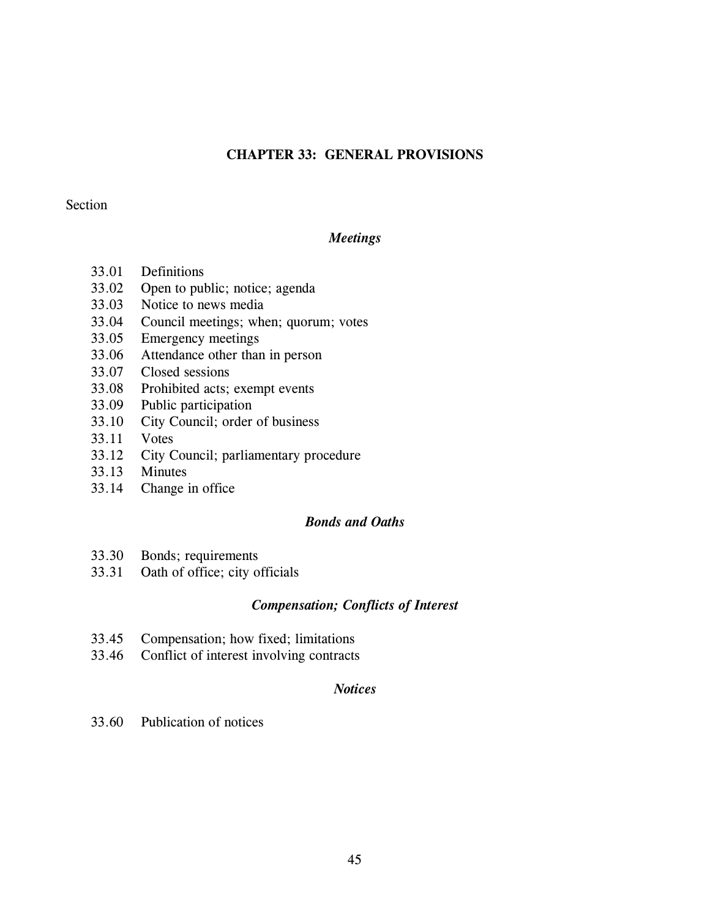# **CHAPTER 33: GENERAL PROVISIONS**

## Section

# *Meetings*

- 33.01 Definitions
- 33.02 Open to public; notice; agenda
- 33.03 Notice to news media
- 33.04 Council meetings; when; quorum; votes
- 33.05 Emergency meetings
- 33.06 Attendance other than in person
- 33.07 Closed sessions
- 33.08 Prohibited acts; exempt events
- 33.09 Public participation
- 33.10 City Council; order of business
- 33.11 Votes
- 33.12 City Council; parliamentary procedure
- 33.13 Minutes
- 33.14 Change in office

# *Bonds and Oaths*

- 33.30 Bonds; requirements
- 33.31 Oath of office; city officials

# *Compensation; Conflicts of Interest*

- 33.45 Compensation; how fixed; limitations
- 33.46 Conflict of interest involving contracts

## *Notices*

33.60 Publication of notices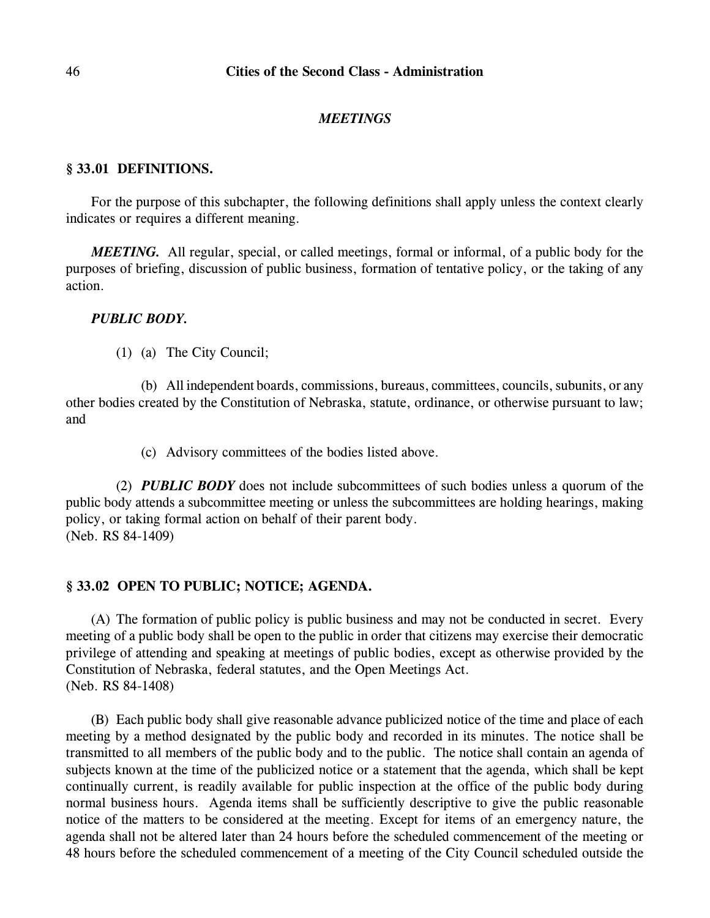#### *MEETINGS*

## **§ 33.01 DEFINITIONS.**

For the purpose of this subchapter, the following definitions shall apply unless the context clearly indicates or requires a different meaning.

*MEETING.* All regular, special, or called meetings, formal or informal, of a public body for the purposes of briefing, discussion of public business, formation of tentative policy, or the taking of any action.

## *PUBLIC BODY.*

(1) (a) The City Council;

(b) All independent boards, commissions, bureaus, committees, councils, subunits, or any other bodies created by the Constitution of Nebraska, statute, ordinance, or otherwise pursuant to law; and

(c) Advisory committees of the bodies listed above.

(2) *PUBLIC BODY* does not include subcommittees of such bodies unless a quorum of the public body attends a subcommittee meeting or unless the subcommittees are holding hearings, making policy, or taking formal action on behalf of their parent body. (Neb. RS 84-1409)

## **§ 33.02 OPEN TO PUBLIC; NOTICE; AGENDA.**

(A) The formation of public policy is public business and may not be conducted in secret. Every meeting of a public body shall be open to the public in order that citizens may exercise their democratic privilege of attending and speaking at meetings of public bodies, except as otherwise provided by the Constitution of Nebraska, federal statutes, and the Open Meetings Act. (Neb. RS 84-1408)

(B) Each public body shall give reasonable advance publicized notice of the time and place of each meeting by a method designated by the public body and recorded in its minutes. The notice shall be transmitted to all members of the public body and to the public. The notice shall contain an agenda of subjects known at the time of the publicized notice or a statement that the agenda, which shall be kept continually current, is readily available for public inspection at the office of the public body during normal business hours. Agenda items shall be sufficiently descriptive to give the public reasonable notice of the matters to be considered at the meeting. Except for items of an emergency nature, the agenda shall not be altered later than 24 hours before the scheduled commencement of the meeting or 48 hours before the scheduled commencement of a meeting of the City Council scheduled outside the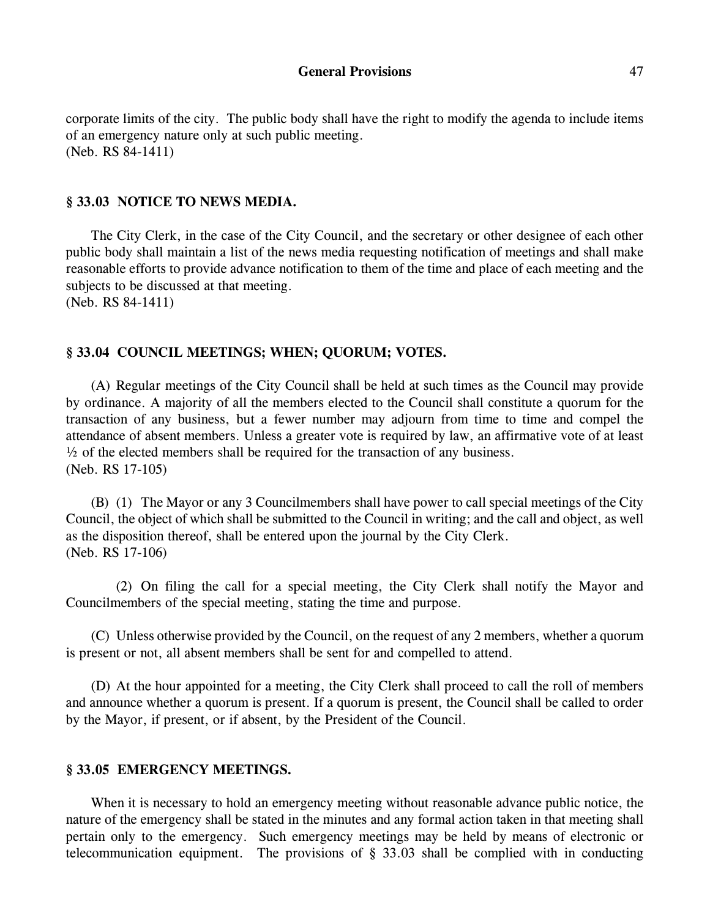corporate limits of the city. The public body shall have the right to modify the agenda to include items of an emergency nature only at such public meeting. (Neb. RS 84-1411)

## **§ 33.03 NOTICE TO NEWS MEDIA.**

The City Clerk, in the case of the City Council, and the secretary or other designee of each other public body shall maintain a list of the news media requesting notification of meetings and shall make reasonable efforts to provide advance notification to them of the time and place of each meeting and the subjects to be discussed at that meeting. (Neb. RS 84-1411)

### **§ 33.04 COUNCIL MEETINGS; WHEN; QUORUM; VOTES.**

(A) Regular meetings of the City Council shall be held at such times as the Council may provide by ordinance. A majority of all the members elected to the Council shall constitute a quorum for the transaction of any business, but a fewer number may adjourn from time to time and compel the attendance of absent members. Unless a greater vote is required by law, an affirmative vote of at least  $\frac{1}{2}$  of the elected members shall be required for the transaction of any business. (Neb. RS 17-105)

(B) (1) The Mayor or any 3 Councilmembers shall have power to call special meetings of the City Council, the object of which shall be submitted to the Council in writing; and the call and object, as well as the disposition thereof, shall be entered upon the journal by the City Clerk. (Neb. RS 17-106)

(2) On filing the call for a special meeting, the City Clerk shall notify the Mayor and Councilmembers of the special meeting, stating the time and purpose.

(C) Unless otherwise provided by the Council, on the request of any 2 members, whether a quorum is present or not, all absent members shall be sent for and compelled to attend.

(D) At the hour appointed for a meeting, the City Clerk shall proceed to call the roll of members and announce whether a quorum is present. If a quorum is present, the Council shall be called to order by the Mayor, if present, or if absent, by the President of the Council.

### **§ 33.05 EMERGENCY MEETINGS.**

When it is necessary to hold an emergency meeting without reasonable advance public notice, the nature of the emergency shall be stated in the minutes and any formal action taken in that meeting shall pertain only to the emergency. Such emergency meetings may be held by means of electronic or telecommunication equipment. The provisions of § 33.03 shall be complied with in conducting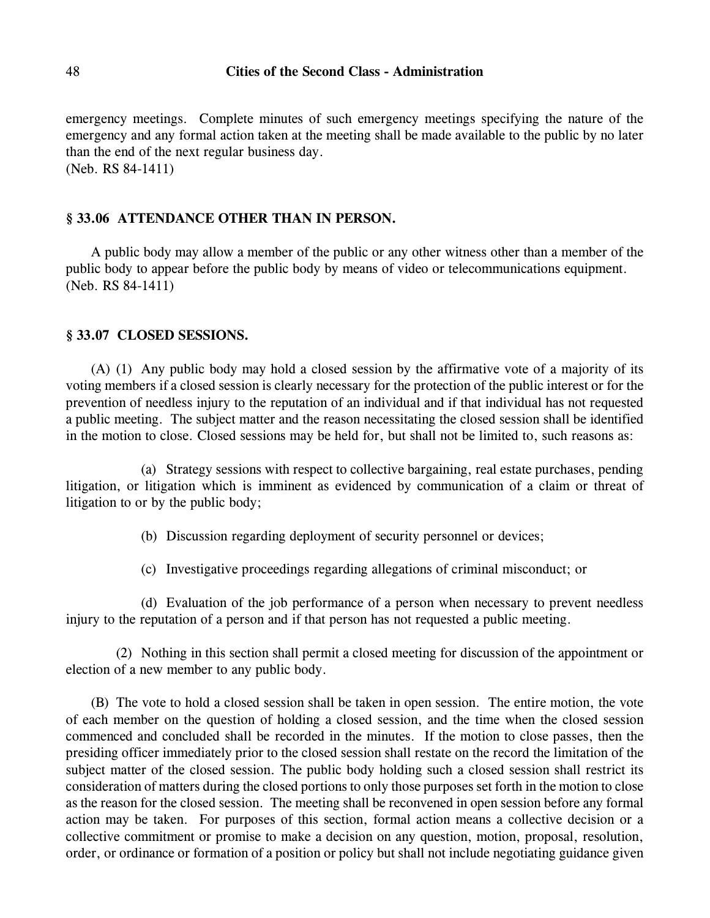emergency meetings. Complete minutes of such emergency meetings specifying the nature of the emergency and any formal action taken at the meeting shall be made available to the public by no later than the end of the next regular business day. (Neb. RS 84-1411)

# **§ 33.06 ATTENDANCE OTHER THAN IN PERSON.**

A public body may allow a member of the public or any other witness other than a member of the public body to appear before the public body by means of video or telecommunications equipment. (Neb. RS 84-1411)

## **§ 33.07 CLOSED SESSIONS.**

(A) (1) Any public body may hold a closed session by the affirmative vote of a majority of its voting members if a closed session is clearly necessary for the protection of the public interest or for the prevention of needless injury to the reputation of an individual and if that individual has not requested a public meeting. The subject matter and the reason necessitating the closed session shall be identified in the motion to close. Closed sessions may be held for, but shall not be limited to, such reasons as:

(a) Strategy sessions with respect to collective bargaining, real estate purchases, pending litigation, or litigation which is imminent as evidenced by communication of a claim or threat of litigation to or by the public body;

(b) Discussion regarding deployment of security personnel or devices;

(c) Investigative proceedings regarding allegations of criminal misconduct; or

(d) Evaluation of the job performance of a person when necessary to prevent needless injury to the reputation of a person and if that person has not requested a public meeting.

(2) Nothing in this section shall permit a closed meeting for discussion of the appointment or election of a new member to any public body.

(B) The vote to hold a closed session shall be taken in open session. The entire motion, the vote of each member on the question of holding a closed session, and the time when the closed session commenced and concluded shall be recorded in the minutes. If the motion to close passes, then the presiding officer immediately prior to the closed session shall restate on the record the limitation of the subject matter of the closed session. The public body holding such a closed session shall restrict its consideration of matters during the closed portions to only those purposes set forth in the motion to close as the reason for the closed session. The meeting shall be reconvened in open session before any formal action may be taken. For purposes of this section, formal action means a collective decision or a collective commitment or promise to make a decision on any question, motion, proposal, resolution, order, or ordinance or formation of a position or policy but shall not include negotiating guidance given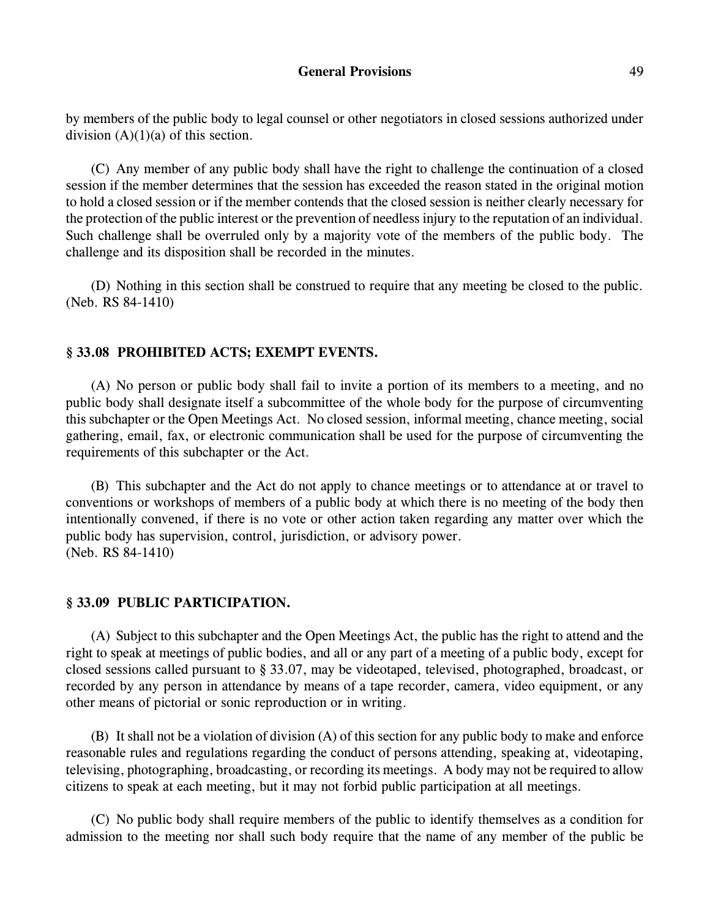by members of the public body to legal counsel or other negotiators in closed sessions authorized under division  $(A)(1)(a)$  of this section.

(C) Any member of any public body shall have the right to challenge the continuation of a closed session if the member determines that the session has exceeded the reason stated in the original motion to hold a closed session or if the member contends that the closed session is neither clearly necessary for the protection of the public interest or the prevention of needless injury to the reputation of an individual. Such challenge shall be overruled only by a majority vote of the members of the public body. The challenge and its disposition shall be recorded in the minutes.

(D) Nothing in this section shall be construed to require that any meeting be closed to the public. (Neb. RS 84-1410)

## **§ 33.08 PROHIBITED ACTS; EXEMPT EVENTS.**

(A) No person or public body shall fail to invite a portion of its members to a meeting, and no public body shall designate itself a subcommittee of the whole body for the purpose of circumventing this subchapter or the Open Meetings Act. No closed session, informal meeting, chance meeting, social gathering, email, fax, or electronic communication shall be used for the purpose of circumventing the requirements of this subchapter or the Act.

(B) This subchapter and the Act do not apply to chance meetings or to attendance at or travel to conventions or workshops of members of a public body at which there is no meeting of the body then intentionally convened, if there is no vote or other action taken regarding any matter over which the public body has supervision, control, jurisdiction, or advisory power. (Neb. RS 84-1410)

### **§ 33.09 PUBLIC PARTICIPATION.**

(A) Subject to this subchapter and the Open Meetings Act, the public has the right to attend and the right to speak at meetings of public bodies, and all or any part of a meeting of a public body, except for closed sessions called pursuant to § 33.07, may be videotaped, televised, photographed, broadcast, or recorded by any person in attendance by means of a tape recorder, camera, video equipment, or any other means of pictorial or sonic reproduction or in writing.

(B) It shall not be a violation of division (A) of this section for any public body to make and enforce reasonable rules and regulations regarding the conduct of persons attending, speaking at, videotaping, televising, photographing, broadcasting, or recording its meetings. A body may not be required to allow citizens to speak at each meeting, but it may not forbid public participation at all meetings.

(C) No public body shall require members of the public to identify themselves as a condition for admission to the meeting nor shall such body require that the name of any member of the public be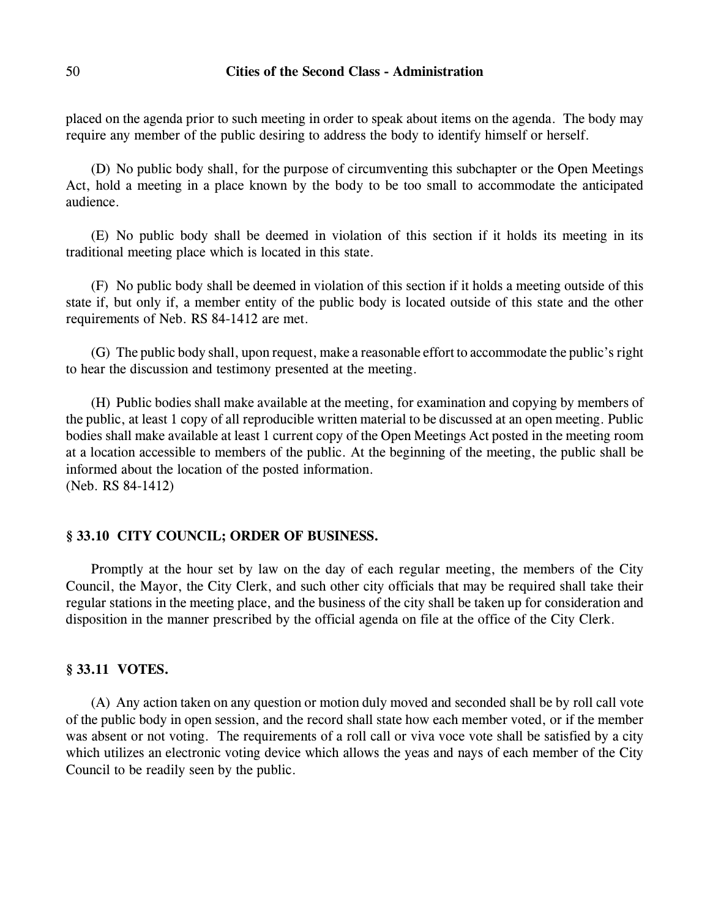placed on the agenda prior to such meeting in order to speak about items on the agenda. The body may require any member of the public desiring to address the body to identify himself or herself.

(D) No public body shall, for the purpose of circumventing this subchapter or the Open Meetings Act, hold a meeting in a place known by the body to be too small to accommodate the anticipated audience.

(E) No public body shall be deemed in violation of this section if it holds its meeting in its traditional meeting place which is located in this state.

(F) No public body shall be deemed in violation of this section if it holds a meeting outside of this state if, but only if, a member entity of the public body is located outside of this state and the other requirements of Neb. RS 84-1412 are met.

(G) The public body shall, upon request, make a reasonable effort to accommodate the public's right to hear the discussion and testimony presented at the meeting.

(H) Public bodies shall make available at the meeting, for examination and copying by members of the public, at least 1 copy of all reproducible written material to be discussed at an open meeting. Public bodies shall make available at least 1 current copy of the Open Meetings Act posted in the meeting room at a location accessible to members of the public. At the beginning of the meeting, the public shall be informed about the location of the posted information. (Neb. RS 84-1412)

# **§ 33.10 CITY COUNCIL; ORDER OF BUSINESS.**

Promptly at the hour set by law on the day of each regular meeting, the members of the City Council, the Mayor, the City Clerk, and such other city officials that may be required shall take their regular stations in the meeting place, and the business of the city shall be taken up for consideration and disposition in the manner prescribed by the official agenda on file at the office of the City Clerk.

# **§ 33.11 VOTES.**

(A) Any action taken on any question or motion duly moved and seconded shall be by roll call vote of the public body in open session, and the record shall state how each member voted, or if the member was absent or not voting. The requirements of a roll call or viva voce vote shall be satisfied by a city which utilizes an electronic voting device which allows the yeas and nays of each member of the City Council to be readily seen by the public.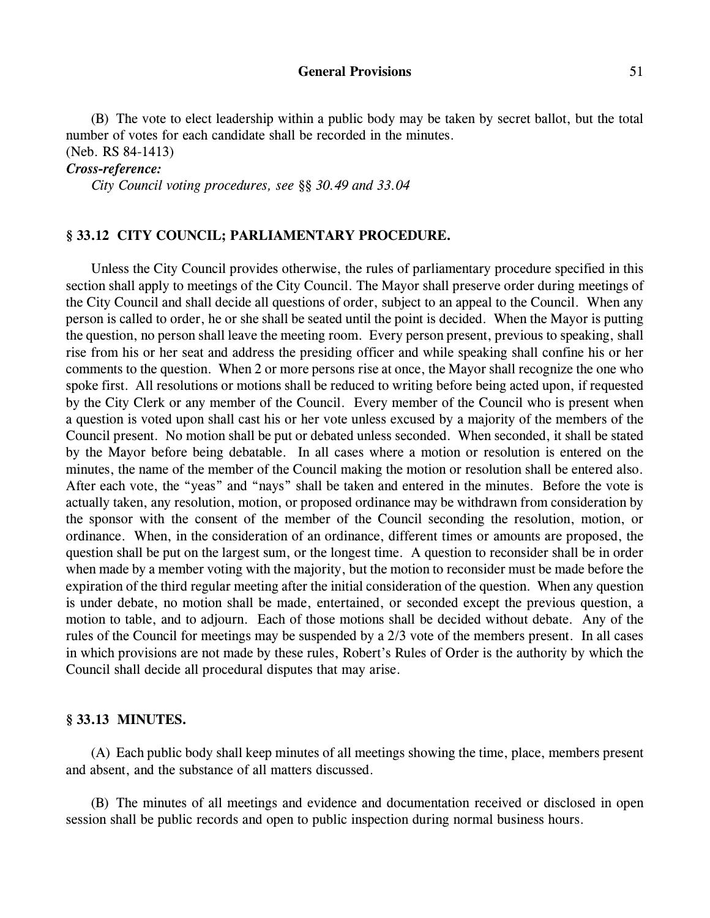#### General Provisions 51

(B) The vote to elect leadership within a public body may be taken by secret ballot, but the total number of votes for each candidate shall be recorded in the minutes. (Neb. RS 84-1413)

#### *Cross-reference:*

*City Council voting procedures, see §§ 30.49 and 33.04*

# **§ 33.12 CITY COUNCIL; PARLIAMENTARY PROCEDURE.**

Unless the City Council provides otherwise, the rules of parliamentary procedure specified in this section shall apply to meetings of the City Council. The Mayor shall preserve order during meetings of the City Council and shall decide all questions of order, subject to an appeal to the Council. When any person is called to order, he or she shall be seated until the point is decided. When the Mayor is putting the question, no person shall leave the meeting room. Every person present, previous to speaking, shall rise from his or her seat and address the presiding officer and while speaking shall confine his or her comments to the question. When 2 or more persons rise at once, the Mayor shall recognize the one who spoke first. All resolutions or motions shall be reduced to writing before being acted upon, if requested by the City Clerk or any member of the Council. Every member of the Council who is present when a question is voted upon shall cast his or her vote unless excused by a majority of the members of the Council present. No motion shall be put or debated unless seconded. When seconded, it shall be stated by the Mayor before being debatable. In all cases where a motion or resolution is entered on the minutes, the name of the member of the Council making the motion or resolution shall be entered also. After each vote, the "yeas" and "nays" shall be taken and entered in the minutes. Before the vote is actually taken, any resolution, motion, or proposed ordinance may be withdrawn from consideration by the sponsor with the consent of the member of the Council seconding the resolution, motion, or ordinance. When, in the consideration of an ordinance, different times or amounts are proposed, the question shall be put on the largest sum, or the longest time. A question to reconsider shall be in order when made by a member voting with the majority, but the motion to reconsider must be made before the expiration of the third regular meeting after the initial consideration of the question. When any question is under debate, no motion shall be made, entertained, or seconded except the previous question, a motion to table, and to adjourn. Each of those motions shall be decided without debate. Any of the rules of the Council for meetings may be suspended by a 2/3 vote of the members present. In all cases in which provisions are not made by these rules, Robert's Rules of Order is the authority by which the Council shall decide all procedural disputes that may arise.

### **§ 33.13 MINUTES.**

(A) Each public body shall keep minutes of all meetings showing the time, place, members present and absent, and the substance of all matters discussed.

(B) The minutes of all meetings and evidence and documentation received or disclosed in open session shall be public records and open to public inspection during normal business hours.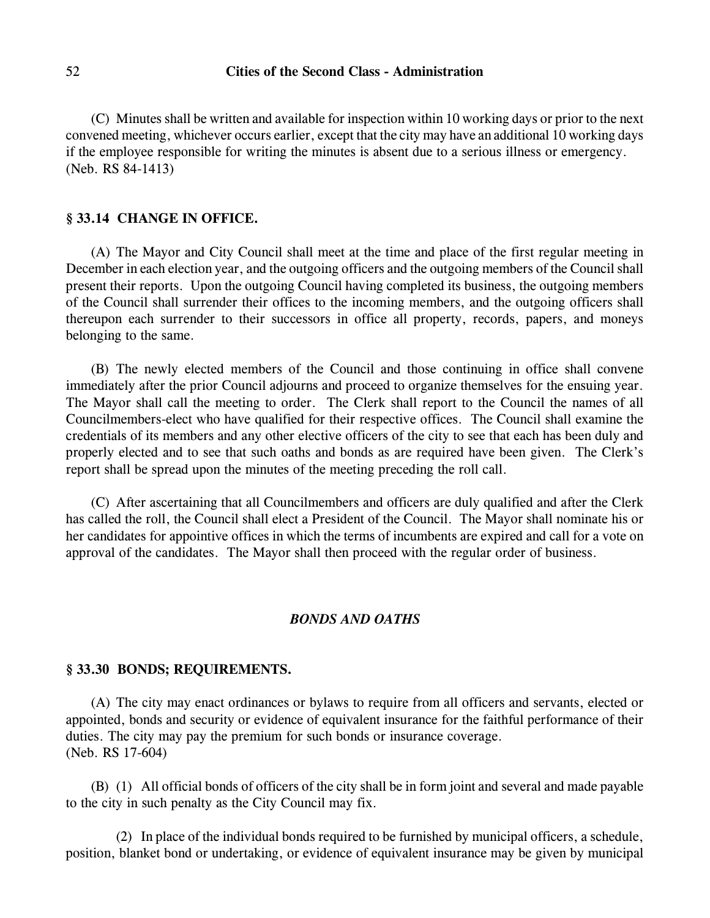(C) Minutes shall be written and available for inspection within 10 working days or prior to the next convened meeting, whichever occurs earlier, except that the city may have an additional 10 working days if the employee responsible for writing the minutes is absent due to a serious illness or emergency. (Neb. RS 84-1413)

### **§ 33.14 CHANGE IN OFFICE.**

(A) The Mayor and City Council shall meet at the time and place of the first regular meeting in December in each election year, and the outgoing officers and the outgoing members of the Council shall present their reports. Upon the outgoing Council having completed its business, the outgoing members of the Council shall surrender their offices to the incoming members, and the outgoing officers shall thereupon each surrender to their successors in office all property, records, papers, and moneys belonging to the same.

(B) The newly elected members of the Council and those continuing in office shall convene immediately after the prior Council adjourns and proceed to organize themselves for the ensuing year. The Mayor shall call the meeting to order. The Clerk shall report to the Council the names of all Councilmembers-elect who have qualified for their respective offices. The Council shall examine the credentials of its members and any other elective officers of the city to see that each has been duly and properly elected and to see that such oaths and bonds as are required have been given. The Clerk's report shall be spread upon the minutes of the meeting preceding the roll call.

(C) After ascertaining that all Councilmembers and officers are duly qualified and after the Clerk has called the roll, the Council shall elect a President of the Council. The Mayor shall nominate his or her candidates for appointive offices in which the terms of incumbents are expired and call for a vote on approval of the candidates. The Mayor shall then proceed with the regular order of business.

## *BONDS AND OATHS*

#### **§ 33.30 BONDS; REQUIREMENTS.**

(A) The city may enact ordinances or bylaws to require from all officers and servants, elected or appointed, bonds and security or evidence of equivalent insurance for the faithful performance of their duties. The city may pay the premium for such bonds or insurance coverage. (Neb. RS 17-604)

(B) (1) All official bonds of officers of the city shall be in form joint and several and made payable to the city in such penalty as the City Council may fix.

(2) In place of the individual bonds required to be furnished by municipal officers, a schedule, position, blanket bond or undertaking, or evidence of equivalent insurance may be given by municipal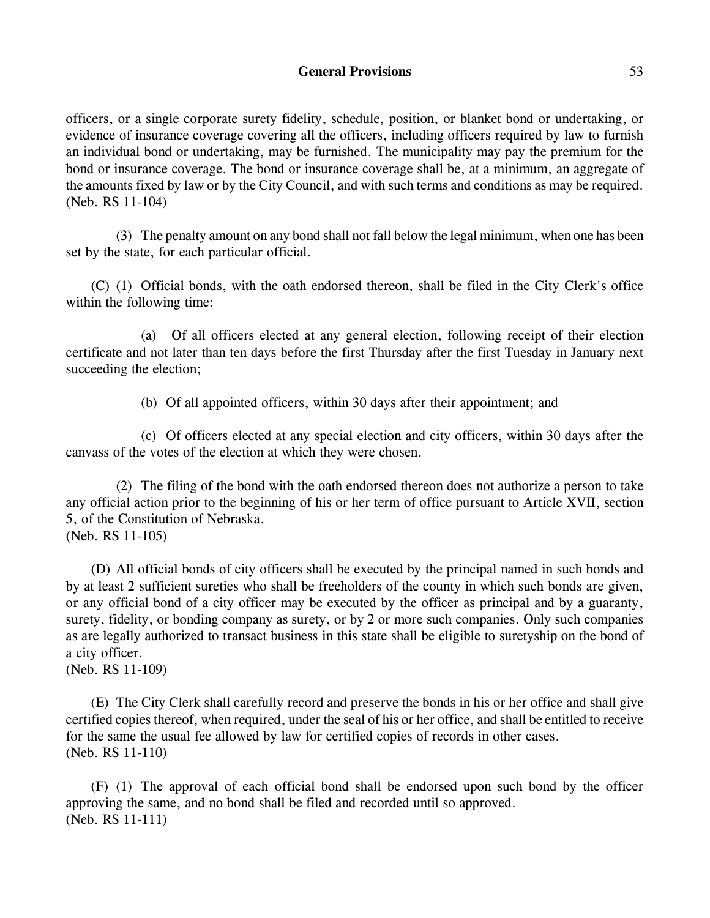# **General Provisions** 53

officers, or a single corporate surety fidelity, schedule, position, or blanket bond or undertaking, or evidence of insurance coverage covering all the officers, including officers required by law to furnish an individual bond or undertaking, may be furnished. The municipality may pay the premium for the bond or insurance coverage. The bond or insurance coverage shall be, at a minimum, an aggregate of the amounts fixed by law or by the City Council, and with such terms and conditions as may be required. (Neb. RS 11-104)

(3) The penalty amount on any bond shall not fall below the legal minimum, when one has been set by the state, for each particular official.

(C) (1) Official bonds, with the oath endorsed thereon, shall be filed in the City Clerk's office within the following time:

(a) Of all officers elected at any general election, following receipt of their election certificate and not later than ten days before the first Thursday after the first Tuesday in January next succeeding the election;

(b) Of all appointed officers, within 30 days after their appointment; and

(c) Of officers elected at any special election and city officers, within 30 days after the canvass of the votes of the election at which they were chosen.

(2) The filing of the bond with the oath endorsed thereon does not authorize a person to take any official action prior to the beginning of his or her term of office pursuant to Article XVII, section 5, of the Constitution of Nebraska. (Neb. RS 11-105)

(D) All official bonds of city officers shall be executed by the principal named in such bonds and by at least 2 sufficient sureties who shall be freeholders of the county in which such bonds are given, or any official bond of a city officer may be executed by the officer as principal and by a guaranty, surety, fidelity, or bonding company as surety, or by 2 or more such companies. Only such companies as are legally authorized to transact business in this state shall be eligible to suretyship on the bond of a city officer.

(Neb. RS 11-109)

(E) The City Clerk shall carefully record and preserve the bonds in his or her office and shall give certified copies thereof, when required, under the seal of his or her office, and shall be entitled to receive for the same the usual fee allowed by law for certified copies of records in other cases. (Neb. RS 11-110)

(F) (1) The approval of each official bond shall be endorsed upon such bond by the officer approving the same, and no bond shall be filed and recorded until so approved. (Neb. RS 11-111)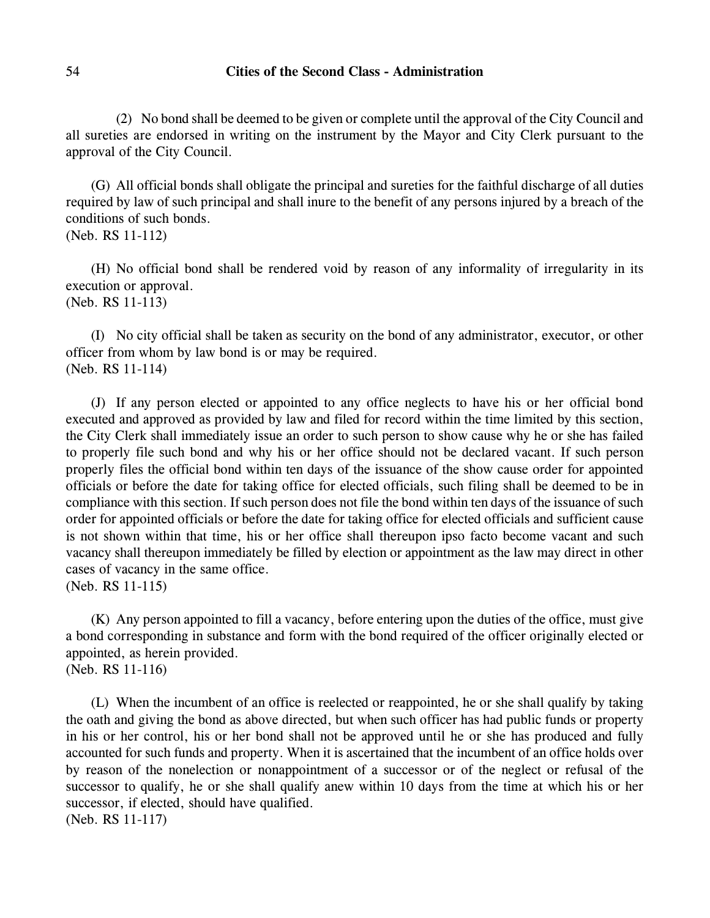## 54 **Cities of the Second Class - Administration**

(2) No bond shall be deemed to be given or complete until the approval of the City Council and all sureties are endorsed in writing on the instrument by the Mayor and City Clerk pursuant to the approval of the City Council.

(G) All official bonds shall obligate the principal and sureties for the faithful discharge of all duties required by law of such principal and shall inure to the benefit of any persons injured by a breach of the conditions of such bonds.

```
(Neb. RS 11-112)
```
(H) No official bond shall be rendered void by reason of any informality of irregularity in its execution or approval. (Neb. RS 11-113)

(I) No city official shall be taken as security on the bond of any administrator, executor, or other officer from whom by law bond is or may be required. (Neb. RS 11-114)

(J) If any person elected or appointed to any office neglects to have his or her official bond executed and approved as provided by law and filed for record within the time limited by this section, the City Clerk shall immediately issue an order to such person to show cause why he or she has failed to properly file such bond and why his or her office should not be declared vacant. If such person properly files the official bond within ten days of the issuance of the show cause order for appointed officials or before the date for taking office for elected officials, such filing shall be deemed to be in compliance with this section. If such person does not file the bond within ten days of the issuance of such order for appointed officials or before the date for taking office for elected officials and sufficient cause is not shown within that time, his or her office shall thereupon ipso facto become vacant and such vacancy shall thereupon immediately be filled by election or appointment as the law may direct in other cases of vacancy in the same office.

(Neb. RS 11-115)

(K) Any person appointed to fill a vacancy, before entering upon the duties of the office, must give a bond corresponding in substance and form with the bond required of the officer originally elected or appointed, as herein provided. (Neb. RS 11-116)

(L) When the incumbent of an office is reelected or reappointed, he or she shall qualify by taking the oath and giving the bond as above directed, but when such officer has had public funds or property in his or her control, his or her bond shall not be approved until he or she has produced and fully accounted for such funds and property. When it is ascertained that the incumbent of an office holds over by reason of the nonelection or nonappointment of a successor or of the neglect or refusal of the successor to qualify, he or she shall qualify anew within 10 days from the time at which his or her successor, if elected, should have qualified. (Neb. RS 11-117)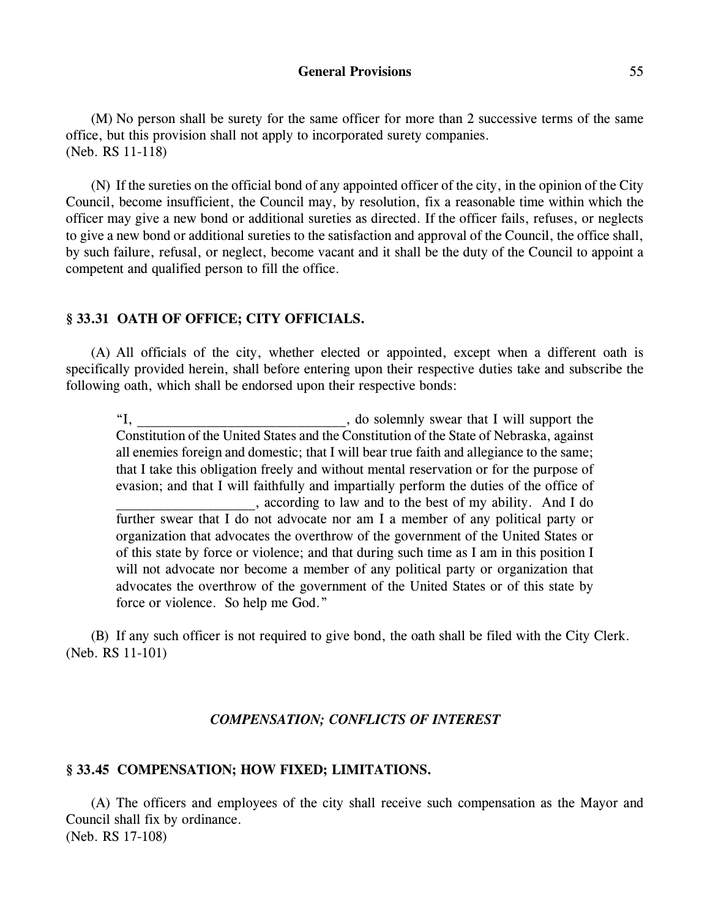#### **General Provisions** 55

(M) No person shall be surety for the same officer for more than 2 successive terms of the same office, but this provision shall not apply to incorporated surety companies. (Neb. RS 11-118)

(N) If the sureties on the official bond of any appointed officer of the city, in the opinion of the City Council, become insufficient, the Council may, by resolution, fix a reasonable time within which the officer may give a new bond or additional sureties as directed. If the officer fails, refuses, or neglects to give a new bond or additional sureties to the satisfaction and approval of the Council, the office shall, by such failure, refusal, or neglect, become vacant and it shall be the duty of the Council to appoint a competent and qualified person to fill the office.

# **§ 33.31 OATH OF OFFICE; CITY OFFICIALS.**

(A) All officials of the city, whether elected or appointed, except when a different oath is specifically provided herein, shall before entering upon their respective duties take and subscribe the following oath, which shall be endorsed upon their respective bonds:

"I, \_\_\_\_\_\_\_\_\_\_\_\_\_\_\_\_\_\_\_\_\_\_\_\_\_\_\_\_\_\_, do solemnly swear that I will support the Constitution of the United States and the Constitution of the State of Nebraska, against all enemies foreign and domestic; that I will bear true faith and allegiance to the same; that I take this obligation freely and without mental reservation or for the purpose of evasion; and that I will faithfully and impartially perform the duties of the office of \_\_\_\_\_\_\_\_\_\_\_\_\_\_\_\_\_\_\_\_, according to law and to the best of my ability. And I do further swear that I do not advocate nor am I a member of any political party or organization that advocates the overthrow of the government of the United States or of this state by force or violence; and that during such time as I am in this position I will not advocate nor become a member of any political party or organization that advocates the overthrow of the government of the United States or of this state by force or violence. So help me God."

(B) If any such officer is not required to give bond, the oath shall be filed with the City Clerk. (Neb. RS 11-101)

# *COMPENSATION; CONFLICTS OF INTEREST*

#### **§ 33.45 COMPENSATION; HOW FIXED; LIMITATIONS.**

(A) The officers and employees of the city shall receive such compensation as the Mayor and Council shall fix by ordinance. (Neb. RS 17-108)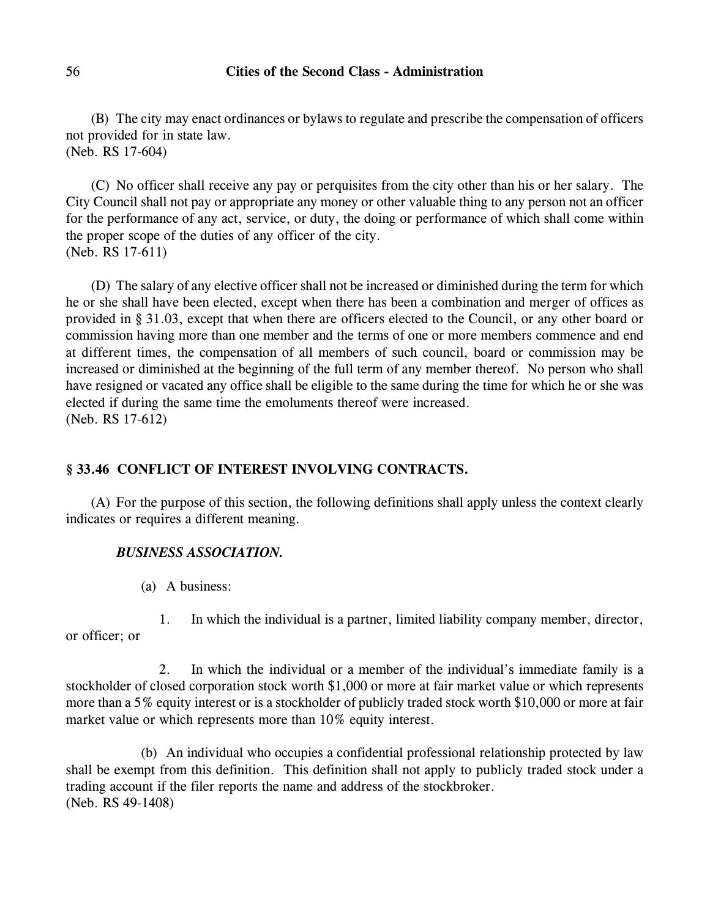(B) The city may enact ordinances or bylaws to regulate and prescribe the compensation of officers not provided for in state law. (Neb. RS 17-604)

(C) No officer shall receive any pay or perquisites from the city other than his or her salary. The City Council shall not pay or appropriate any money or other valuable thing to any person not an officer for the performance of any act, service, or duty, the doing or performance of which shall come within the proper scope of the duties of any officer of the city. (Neb. RS 17-611)

(D) The salary of any elective officer shall not be increased or diminished during the term for which he or she shall have been elected, except when there has been a combination and merger of offices as provided in § 31.03, except that when there are officers elected to the Council, or any other board or commission having more than one member and the terms of one or more members commence and end at different times, the compensation of all members of such council, board or commission may be increased or diminished at the beginning of the full term of any member thereof. No person who shall have resigned or vacated any office shall be eligible to the same during the time for which he or she was elected if during the same time the emoluments thereof were increased. (Neb. RS 17-612)

# **§ 33.46 CONFLICT OF INTEREST INVOLVING CONTRACTS.**

(A) For the purpose of this section, the following definitions shall apply unless the context clearly indicates or requires a different meaning.

# *BUSINESS ASSOCIATION.*

(a) A business:

1. In which the individual is a partner, limited liability company member, director, or officer; or

2. In which the individual or a member of the individual's immediate family is a stockholder of closed corporation stock worth \$1,000 or more at fair market value or which represents more than a 5% equity interest or is a stockholder of publicly traded stock worth \$10,000 or more at fair market value or which represents more than 10% equity interest.

(b) An individual who occupies a confidential professional relationship protected by law shall be exempt from this definition. This definition shall not apply to publicly traded stock under a trading account if the filer reports the name and address of the stockbroker. (Neb. RS 49-1408)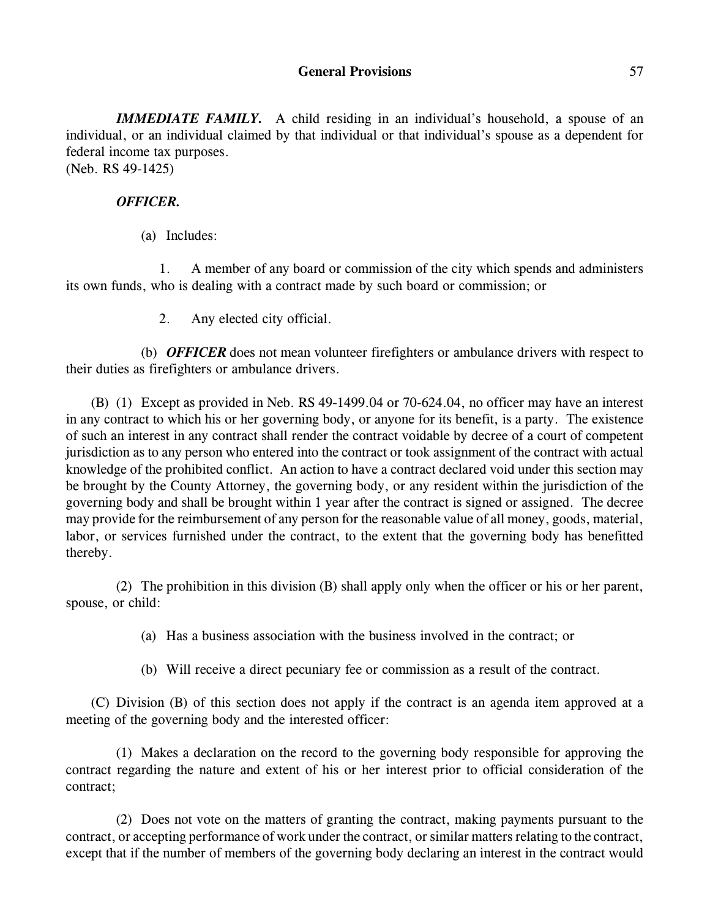# **General Provisions** 57

*IMMEDIATE FAMILY.* A child residing in an individual's household, a spouse of an individual, or an individual claimed by that individual or that individual's spouse as a dependent for federal income tax purposes. (Neb. RS 49-1425)

# *OFFICER.*

(a) Includes:

1. A member of any board or commission of the city which spends and administers its own funds, who is dealing with a contract made by such board or commission; or

2. Any elected city official.

(b) *OFFICER* does not mean volunteer firefighters or ambulance drivers with respect to their duties as firefighters or ambulance drivers.

(B) (1) Except as provided in Neb. RS 49-1499.04 or 70-624.04, no officer may have an interest in any contract to which his or her governing body, or anyone for its benefit, is a party. The existence of such an interest in any contract shall render the contract voidable by decree of a court of competent jurisdiction as to any person who entered into the contract or took assignment of the contract with actual knowledge of the prohibited conflict. An action to have a contract declared void under this section may be brought by the County Attorney, the governing body, or any resident within the jurisdiction of the governing body and shall be brought within 1 year after the contract is signed or assigned. The decree may provide for the reimbursement of any person for the reasonable value of all money, goods, material, labor, or services furnished under the contract, to the extent that the governing body has benefitted thereby.

(2) The prohibition in this division (B) shall apply only when the officer or his or her parent, spouse, or child:

(a) Has a business association with the business involved in the contract; or

(b) Will receive a direct pecuniary fee or commission as a result of the contract.

(C) Division (B) of this section does not apply if the contract is an agenda item approved at a meeting of the governing body and the interested officer:

(1) Makes a declaration on the record to the governing body responsible for approving the contract regarding the nature and extent of his or her interest prior to official consideration of the contract;

(2) Does not vote on the matters of granting the contract, making payments pursuant to the contract, or accepting performance of work under the contract, or similar matters relating to the contract, except that if the number of members of the governing body declaring an interest in the contract would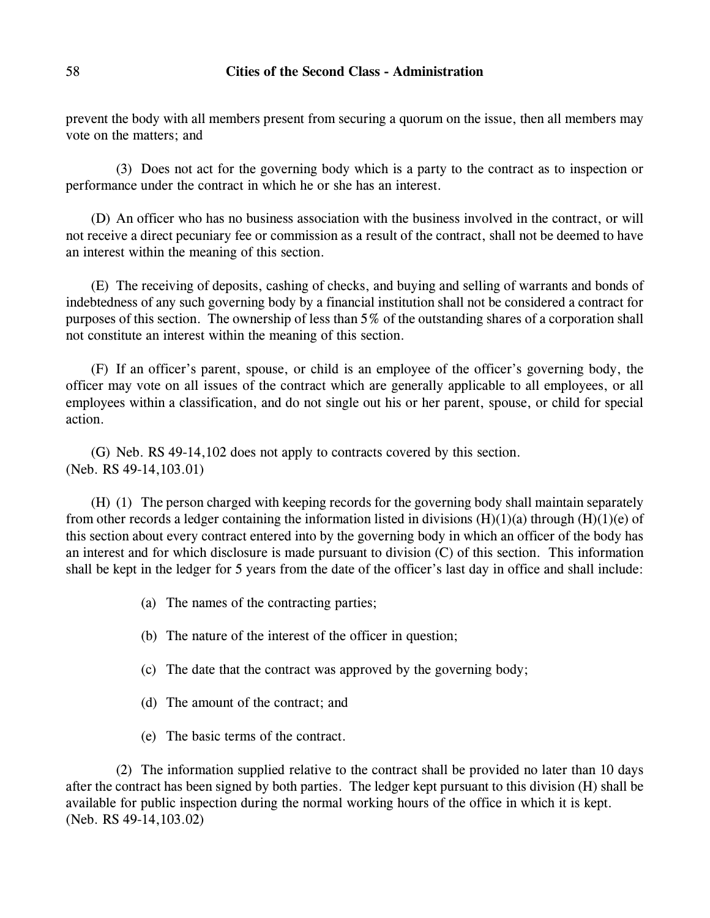prevent the body with all members present from securing a quorum on the issue, then all members may vote on the matters; and

(3) Does not act for the governing body which is a party to the contract as to inspection or performance under the contract in which he or she has an interest.

(D) An officer who has no business association with the business involved in the contract, or will not receive a direct pecuniary fee or commission as a result of the contract, shall not be deemed to have an interest within the meaning of this section.

(E) The receiving of deposits, cashing of checks, and buying and selling of warrants and bonds of indebtedness of any such governing body by a financial institution shall not be considered a contract for purposes of this section. The ownership of less than 5% of the outstanding shares of a corporation shall not constitute an interest within the meaning of this section.

(F) If an officer's parent, spouse, or child is an employee of the officer's governing body, the officer may vote on all issues of the contract which are generally applicable to all employees, or all employees within a classification, and do not single out his or her parent, spouse, or child for special action.

(G) Neb. RS 49-14,102 does not apply to contracts covered by this section. (Neb. RS 49-14,103.01)

(H) (1) The person charged with keeping records for the governing body shall maintain separately from other records a ledger containing the information listed in divisions  $(H)(1)(a)$  through  $(H)(1)(e)$  of this section about every contract entered into by the governing body in which an officer of the body has an interest and for which disclosure is made pursuant to division (C) of this section. This information shall be kept in the ledger for 5 years from the date of the officer's last day in office and shall include:

- (a) The names of the contracting parties;
- (b) The nature of the interest of the officer in question;
- (c) The date that the contract was approved by the governing body;
- (d) The amount of the contract; and
- (e) The basic terms of the contract.

(2) The information supplied relative to the contract shall be provided no later than 10 days after the contract has been signed by both parties. The ledger kept pursuant to this division (H) shall be available for public inspection during the normal working hours of the office in which it is kept. (Neb. RS 49-14,103.02)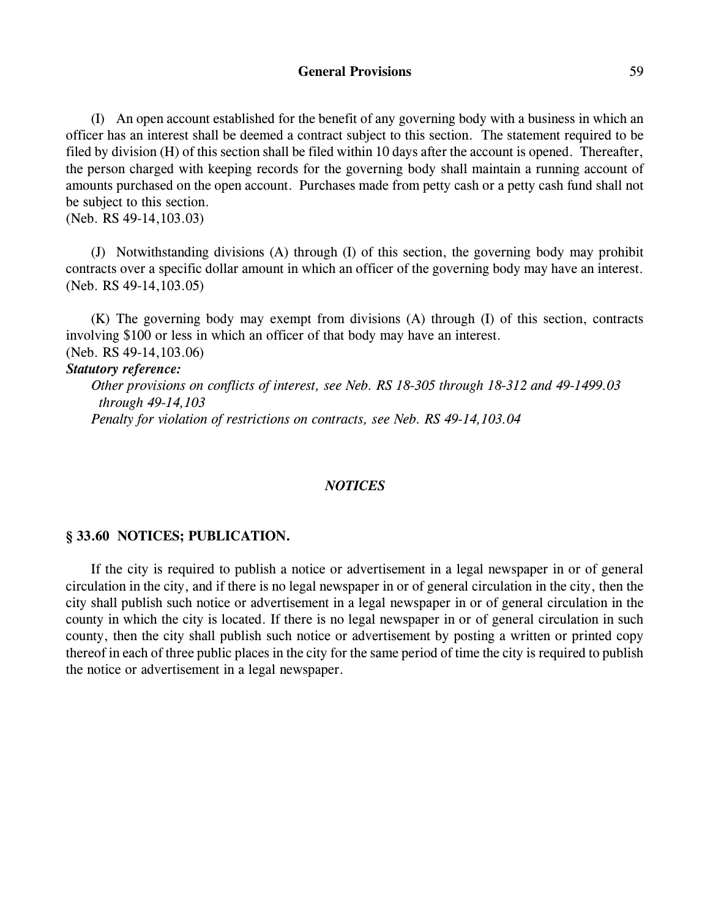## **General Provisions** 59

(I) An open account established for the benefit of any governing body with a business in which an officer has an interest shall be deemed a contract subject to this section. The statement required to be filed by division (H) of this section shall be filed within 10 days after the account is opened. Thereafter, the person charged with keeping records for the governing body shall maintain a running account of amounts purchased on the open account. Purchases made from petty cash or a petty cash fund shall not be subject to this section.

(Neb. RS 49-14,103.03)

(J) Notwithstanding divisions (A) through (I) of this section, the governing body may prohibit contracts over a specific dollar amount in which an officer of the governing body may have an interest. (Neb. RS 49-14,103.05)

(K) The governing body may exempt from divisions (A) through (I) of this section, contracts involving \$100 or less in which an officer of that body may have an interest. (Neb. RS 49-14,103.06)

#### *Statutory reference:*

*Other provisions on conflicts of interest, see Neb. RS 18-305 through 18-312 and 49-1499.03 through 49-14,103 Penalty for violation of restrictions on contracts, see Neb. RS 49-14,103.04*

### *NOTICES*

### **§ 33.60 NOTICES; PUBLICATION.**

If the city is required to publish a notice or advertisement in a legal newspaper in or of general circulation in the city, and if there is no legal newspaper in or of general circulation in the city, then the city shall publish such notice or advertisement in a legal newspaper in or of general circulation in the county in which the city is located. If there is no legal newspaper in or of general circulation in such county, then the city shall publish such notice or advertisement by posting a written or printed copy thereof in each of three public places in the city for the same period of time the city is required to publish the notice or advertisement in a legal newspaper.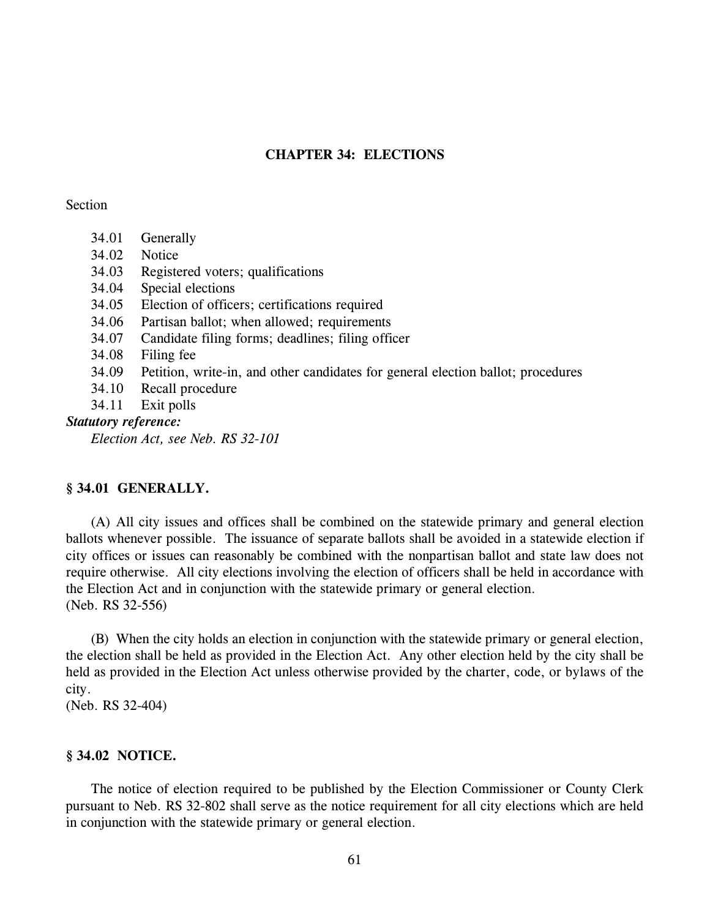# **CHAPTER 34: ELECTIONS**

#### Section

- 34.01 Generally
- 34.02 Notice
- 34.03 Registered voters; qualifications
- 34.04 Special elections
- 34.05 Election of officers; certifications required
- 34.06 Partisan ballot; when allowed; requirements
- 34.07 Candidate filing forms; deadlines; filing officer
- 34.08 Filing fee
- 34.09 Petition, write-in, and other candidates for general election ballot; procedures
- 34.10 Recall procedure
- 34.11 Exit polls

### *Statutory reference:*

*Election Act, see Neb. RS 32-101*

# **§ 34.01 GENERALLY.**

(A) All city issues and offices shall be combined on the statewide primary and general election ballots whenever possible. The issuance of separate ballots shall be avoided in a statewide election if city offices or issues can reasonably be combined with the nonpartisan ballot and state law does not require otherwise. All city elections involving the election of officers shall be held in accordance with the Election Act and in conjunction with the statewide primary or general election. (Neb. RS 32-556)

(B) When the city holds an election in conjunction with the statewide primary or general election, the election shall be held as provided in the Election Act. Any other election held by the city shall be held as provided in the Election Act unless otherwise provided by the charter, code, or bylaws of the city.

(Neb. RS 32-404)

### **§ 34.02 NOTICE.**

The notice of election required to be published by the Election Commissioner or County Clerk pursuant to Neb. RS 32-802 shall serve as the notice requirement for all city elections which are held in conjunction with the statewide primary or general election.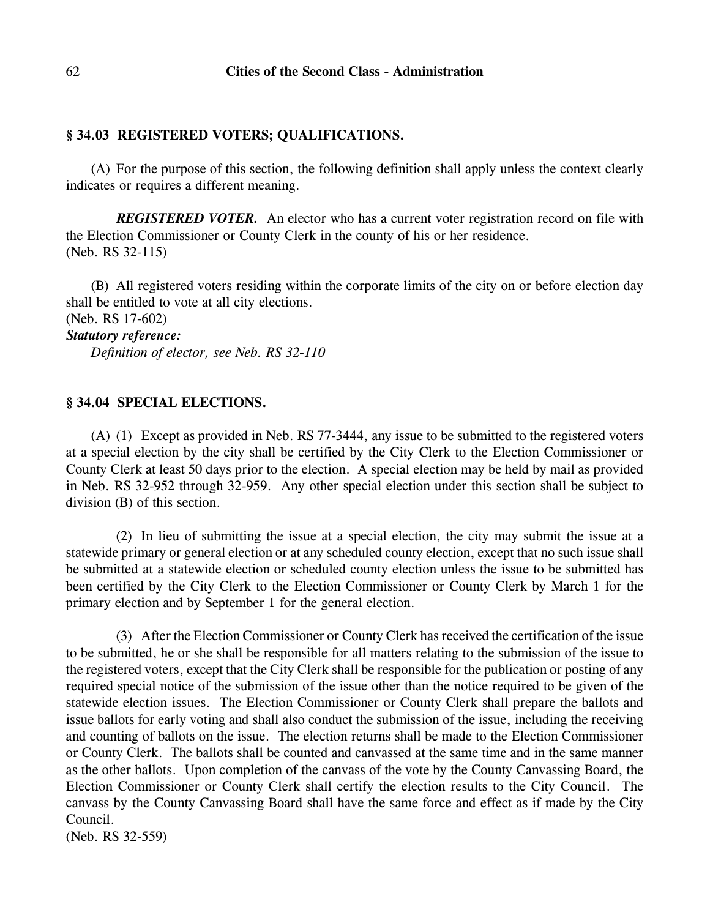## **§ 34.03 REGISTERED VOTERS; QUALIFICATIONS.**

(A) For the purpose of this section, the following definition shall apply unless the context clearly indicates or requires a different meaning.

*REGISTERED VOTER.* An elector who has a current voter registration record on file with the Election Commissioner or County Clerk in the county of his or her residence. (Neb. RS 32-115)

(B) All registered voters residing within the corporate limits of the city on or before election day shall be entitled to vote at all city elections.

(Neb. RS 17-602)

# *Statutory reference:*

*Definition of elector, see Neb. RS 32-110*

## **§ 34.04 SPECIAL ELECTIONS.**

(A) (1) Except as provided in Neb. RS 77-3444, any issue to be submitted to the registered voters at a special election by the city shall be certified by the City Clerk to the Election Commissioner or County Clerk at least 50 days prior to the election. A special election may be held by mail as provided in Neb. RS 32-952 through 32-959. Any other special election under this section shall be subject to division (B) of this section.

(2) In lieu of submitting the issue at a special election, the city may submit the issue at a statewide primary or general election or at any scheduled county election, except that no such issue shall be submitted at a statewide election or scheduled county election unless the issue to be submitted has been certified by the City Clerk to the Election Commissioner or County Clerk by March 1 for the primary election and by September 1 for the general election.

(3) After the Election Commissioner or County Clerk hasreceived the certification of the issue to be submitted, he or she shall be responsible for all matters relating to the submission of the issue to the registered voters, except that the City Clerk shall be responsible for the publication or posting of any required special notice of the submission of the issue other than the notice required to be given of the statewide election issues. The Election Commissioner or County Clerk shall prepare the ballots and issue ballots for early voting and shall also conduct the submission of the issue, including the receiving and counting of ballots on the issue. The election returns shall be made to the Election Commissioner or County Clerk. The ballots shall be counted and canvassed at the same time and in the same manner as the other ballots. Upon completion of the canvass of the vote by the County Canvassing Board, the Election Commissioner or County Clerk shall certify the election results to the City Council. The canvass by the County Canvassing Board shall have the same force and effect as if made by the City Council. (Neb. RS 32-559)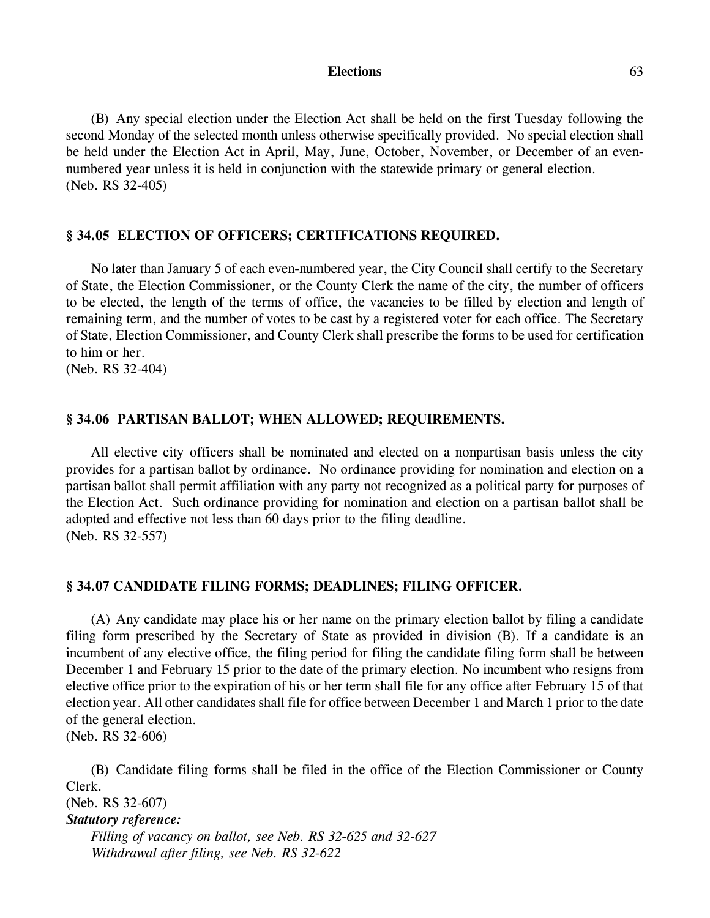#### **Elections** 63

(B) Any special election under the Election Act shall be held on the first Tuesday following the second Monday of the selected month unless otherwise specifically provided. No special election shall be held under the Election Act in April, May, June, October, November, or December of an evennumbered year unless it is held in conjunction with the statewide primary or general election. (Neb. RS 32-405)

## **§ 34.05 ELECTION OF OFFICERS; CERTIFICATIONS REQUIRED.**

No later than January 5 of each even-numbered year, the City Council shall certify to the Secretary of State, the Election Commissioner, or the County Clerk the name of the city, the number of officers to be elected, the length of the terms of office, the vacancies to be filled by election and length of remaining term, and the number of votes to be cast by a registered voter for each office. The Secretary of State, Election Commissioner, and County Clerk shall prescribe the forms to be used for certification to him or her.

(Neb. RS 32-404)

### **§ 34.06 PARTISAN BALLOT; WHEN ALLOWED; REQUIREMENTS.**

All elective city officers shall be nominated and elected on a nonpartisan basis unless the city provides for a partisan ballot by ordinance. No ordinance providing for nomination and election on a partisan ballot shall permit affiliation with any party not recognized as a political party for purposes of the Election Act. Such ordinance providing for nomination and election on a partisan ballot shall be adopted and effective not less than 60 days prior to the filing deadline. (Neb. RS 32-557)

#### **§ 34.07 CANDIDATE FILING FORMS; DEADLINES; FILING OFFICER.**

(A) Any candidate may place his or her name on the primary election ballot by filing a candidate filing form prescribed by the Secretary of State as provided in division (B). If a candidate is an incumbent of any elective office, the filing period for filing the candidate filing form shall be between December 1 and February 15 prior to the date of the primary election. No incumbent who resigns from elective office prior to the expiration of his or her term shall file for any office after February 15 of that election year. All other candidates shall file for office between December 1 and March 1 prior to the date of the general election.

(Neb. RS 32-606)

(B) Candidate filing forms shall be filed in the office of the Election Commissioner or County Clerk.

(Neb. RS 32-607) *Statutory reference: Filling of vacancy on ballot, see Neb. RS 32-625 and 32-627 Withdrawal after filing, see Neb. RS 32-622*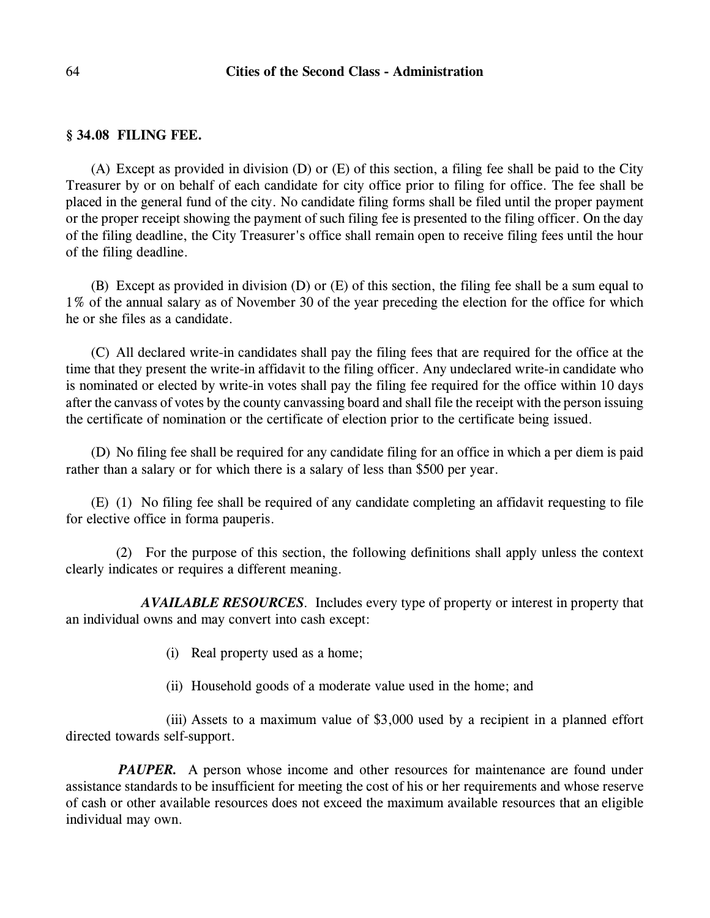## 64 **Cities of the Second Class - Administration**

#### **§ 34.08 FILING FEE.**

(A) Except as provided in division (D) or (E) of this section, a filing fee shall be paid to the City Treasurer by or on behalf of each candidate for city office prior to filing for office. The fee shall be placed in the general fund of the city. No candidate filing forms shall be filed until the proper payment or the proper receipt showing the payment of such filing fee is presented to the filing officer. On the day of the filing deadline, the City Treasurer's office shall remain open to receive filing fees until the hour of the filing deadline.

(B) Except as provided in division (D) or (E) of this section, the filing fee shall be a sum equal to 1% of the annual salary as of November 30 of the year preceding the election for the office for which he or she files as a candidate.

(C) All declared write-in candidates shall pay the filing fees that are required for the office at the time that they present the write-in affidavit to the filing officer. Any undeclared write-in candidate who is nominated or elected by write-in votes shall pay the filing fee required for the office within 10 days after the canvass of votes by the county canvassing board and shall file the receipt with the person issuing the certificate of nomination or the certificate of election prior to the certificate being issued.

(D) No filing fee shall be required for any candidate filing for an office in which a per diem is paid rather than a salary or for which there is a salary of less than \$500 per year.

(E) (1) No filing fee shall be required of any candidate completing an affidavit requesting to file for elective office in forma pauperis.

(2) For the purpose of this section, the following definitions shall apply unless the context clearly indicates or requires a different meaning.

*AVAILABLE RESOURCES*. Includes every type of property or interest in property that an individual owns and may convert into cash except:

- (i) Real property used as a home;
- (ii) Household goods of a moderate value used in the home; and

(iii) Assets to a maximum value of \$3,000 used by a recipient in a planned effort directed towards self-support.

*PAUPER.* A person whose income and other resources for maintenance are found under assistance standards to be insufficient for meeting the cost of his or her requirements and whose reserve of cash or other available resources does not exceed the maximum available resources that an eligible individual may own.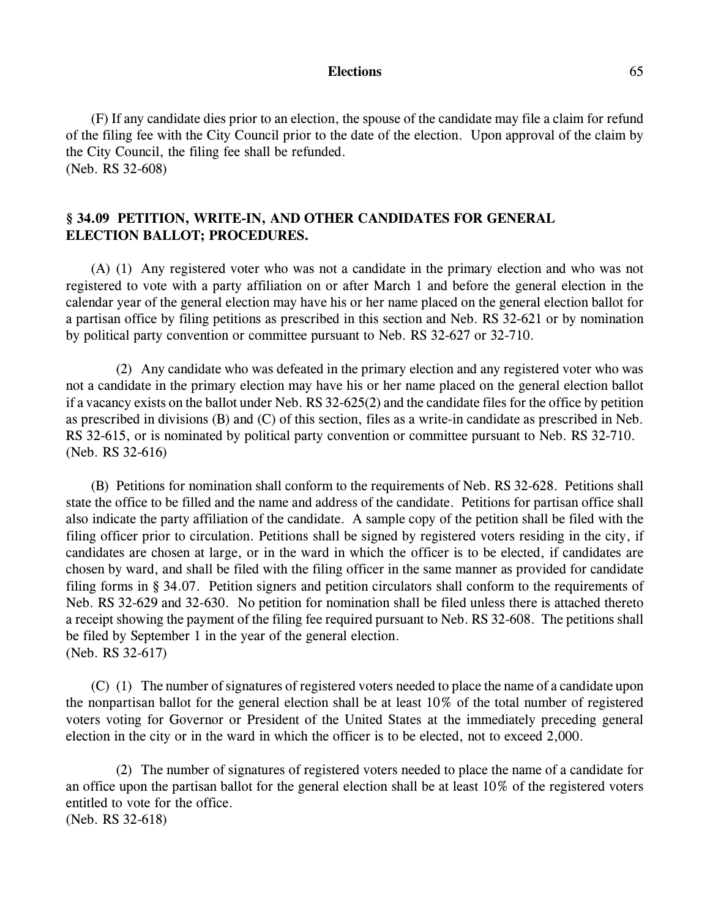#### **Elections** 65

(F) If any candidate dies prior to an election, the spouse of the candidate may file a claim for refund of the filing fee with the City Council prior to the date of the election. Upon approval of the claim by the City Council, the filing fee shall be refunded. (Neb. RS 32-608)

## **§ 34.09 PETITION, WRITE-IN, AND OTHER CANDIDATES FOR GENERAL ELECTION BALLOT; PROCEDURES.**

(A) (1) Any registered voter who was not a candidate in the primary election and who was not registered to vote with a party affiliation on or after March 1 and before the general election in the calendar year of the general election may have his or her name placed on the general election ballot for a partisan office by filing petitions as prescribed in this section and Neb. RS 32-621 or by nomination by political party convention or committee pursuant to Neb. RS 32-627 or 32-710.

(2) Any candidate who was defeated in the primary election and any registered voter who was not a candidate in the primary election may have his or her name placed on the general election ballot if a vacancy exists on the ballot under Neb. RS 32-625(2) and the candidate files for the office by petition as prescribed in divisions (B) and (C) of this section, files as a write-in candidate as prescribed in Neb. RS 32-615, or is nominated by political party convention or committee pursuant to Neb. RS 32-710. (Neb. RS 32-616)

(B) Petitions for nomination shall conform to the requirements of Neb. RS 32-628. Petitions shall state the office to be filled and the name and address of the candidate. Petitions for partisan office shall also indicate the party affiliation of the candidate. A sample copy of the petition shall be filed with the filing officer prior to circulation. Petitions shall be signed by registered voters residing in the city, if candidates are chosen at large, or in the ward in which the officer is to be elected, if candidates are chosen by ward, and shall be filed with the filing officer in the same manner as provided for candidate filing forms in § 34.07. Petition signers and petition circulators shall conform to the requirements of Neb. RS 32-629 and 32-630. No petition for nomination shall be filed unless there is attached thereto a receipt showing the payment of the filing fee required pursuant to Neb. RS 32-608. The petitions shall be filed by September 1 in the year of the general election. (Neb. RS 32-617)

(C) (1) The number of signatures of registered voters needed to place the name of a candidate upon the nonpartisan ballot for the general election shall be at least 10% of the total number of registered voters voting for Governor or President of the United States at the immediately preceding general election in the city or in the ward in which the officer is to be elected, not to exceed 2,000.

(2) The number of signatures of registered voters needed to place the name of a candidate for an office upon the partisan ballot for the general election shall be at least 10% of the registered voters entitled to vote for the office. (Neb. RS 32-618)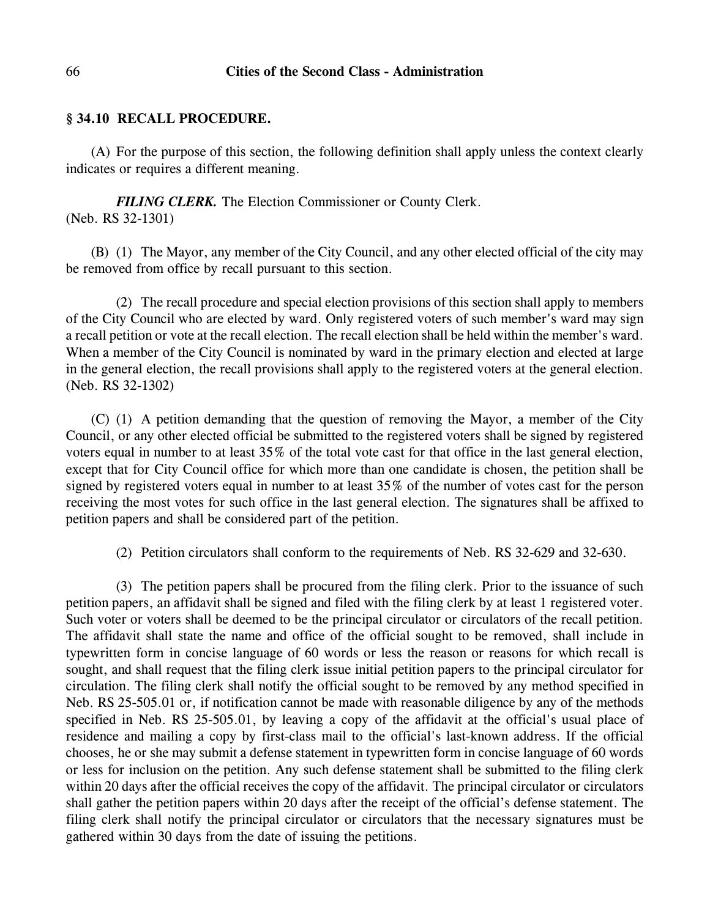## **§ 34.10 RECALL PROCEDURE.**

(A) For the purpose of this section, the following definition shall apply unless the context clearly indicates or requires a different meaning.

*FILING CLERK.* The Election Commissioner or County Clerk. (Neb. RS 32-1301)

(B) (1) The Mayor, any member of the City Council, and any other elected official of the city may be removed from office by recall pursuant to this section.

(2) The recall procedure and special election provisions of this section shall apply to members of the City Council who are elected by ward. Only registered voters of such member's ward may sign a recall petition or vote at the recall election. The recall election shall be held within the member's ward. When a member of the City Council is nominated by ward in the primary election and elected at large in the general election, the recall provisions shall apply to the registered voters at the general election. (Neb. RS 32-1302)

(C) (1) A petition demanding that the question of removing the Mayor, a member of the City Council, or any other elected official be submitted to the registered voters shall be signed by registered voters equal in number to at least 35% of the total vote cast for that office in the last general election, except that for City Council office for which more than one candidate is chosen, the petition shall be signed by registered voters equal in number to at least 35% of the number of votes cast for the person receiving the most votes for such office in the last general election. The signatures shall be affixed to petition papers and shall be considered part of the petition.

(2) Petition circulators shall conform to the requirements of Neb. RS 32-629 and 32-630.

(3) The petition papers shall be procured from the filing clerk. Prior to the issuance of such petition papers, an affidavit shall be signed and filed with the filing clerk by at least 1 registered voter. Such voter or voters shall be deemed to be the principal circulator or circulators of the recall petition. The affidavit shall state the name and office of the official sought to be removed, shall include in typewritten form in concise language of 60 words or less the reason or reasons for which recall is sought, and shall request that the filing clerk issue initial petition papers to the principal circulator for circulation. The filing clerk shall notify the official sought to be removed by any method specified in Neb. RS 25-505.01 or, if notification cannot be made with reasonable diligence by any of the methods specified in Neb. RS 25-505.01, by leaving a copy of the affidavit at the official's usual place of residence and mailing a copy by first-class mail to the official's last-known address. If the official chooses, he or she may submit a defense statement in typewritten form in concise language of 60 words or less for inclusion on the petition. Any such defense statement shall be submitted to the filing clerk within 20 days after the official receives the copy of the affidavit. The principal circulator or circulators shall gather the petition papers within 20 days after the receipt of the official's defense statement. The filing clerk shall notify the principal circulator or circulators that the necessary signatures must be gathered within 30 days from the date of issuing the petitions.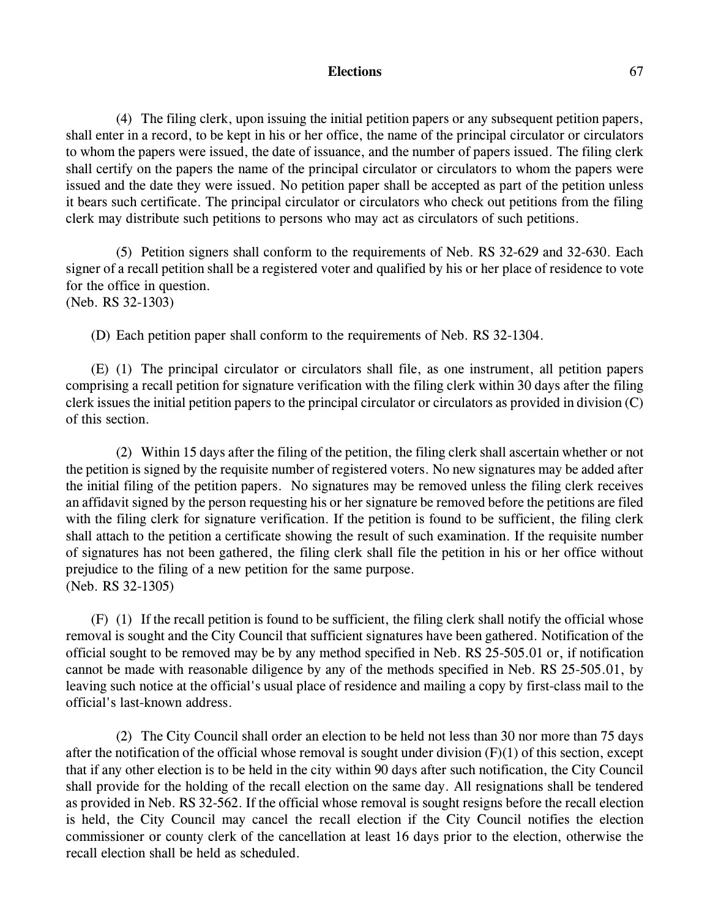#### **Elections** 67

(4) The filing clerk, upon issuing the initial petition papers or any subsequent petition papers, shall enter in a record, to be kept in his or her office, the name of the principal circulator or circulators to whom the papers were issued, the date of issuance, and the number of papers issued. The filing clerk shall certify on the papers the name of the principal circulator or circulators to whom the papers were issued and the date they were issued. No petition paper shall be accepted as part of the petition unless it bears such certificate. The principal circulator or circulators who check out petitions from the filing clerk may distribute such petitions to persons who may act as circulators of such petitions.

(5) Petition signers shall conform to the requirements of Neb. RS 32-629 and 32-630. Each signer of a recall petition shall be a registered voter and qualified by his or her place of residence to vote for the office in question. (Neb. RS 32-1303)

(D) Each petition paper shall conform to the requirements of Neb. RS 32-1304.

(E) (1) The principal circulator or circulators shall file, as one instrument, all petition papers comprising a recall petition for signature verification with the filing clerk within 30 days after the filing clerk issues the initial petition papers to the principal circulator or circulators as provided in division (C) of this section.

(2) Within 15 days after the filing of the petition, the filing clerk shall ascertain whether or not the petition is signed by the requisite number of registered voters. No new signatures may be added after the initial filing of the petition papers. No signatures may be removed unless the filing clerk receives an affidavit signed by the person requesting his or her signature be removed before the petitions are filed with the filing clerk for signature verification. If the petition is found to be sufficient, the filing clerk shall attach to the petition a certificate showing the result of such examination. If the requisite number of signatures has not been gathered, the filing clerk shall file the petition in his or her office without prejudice to the filing of a new petition for the same purpose. (Neb. RS 32-1305)

(F) (1) If the recall petition is found to be sufficient, the filing clerk shall notify the official whose removal is sought and the City Council that sufficient signatures have been gathered. Notification of the official sought to be removed may be by any method specified in Neb. RS 25-505.01 or, if notification cannot be made with reasonable diligence by any of the methods specified in Neb. RS 25-505.01, by leaving such notice at the official's usual place of residence and mailing a copy by first-class mail to the official's last-known address.

(2) The City Council shall order an election to be held not less than 30 nor more than 75 days after the notification of the official whose removal is sought under division  $(F)(1)$  of this section, except that if any other election is to be held in the city within 90 days after such notification, the City Council shall provide for the holding of the recall election on the same day. All resignations shall be tendered as provided in Neb. RS 32-562. If the official whose removal is sought resigns before the recall election is held, the City Council may cancel the recall election if the City Council notifies the election commissioner or county clerk of the cancellation at least 16 days prior to the election, otherwise the recall election shall be held as scheduled.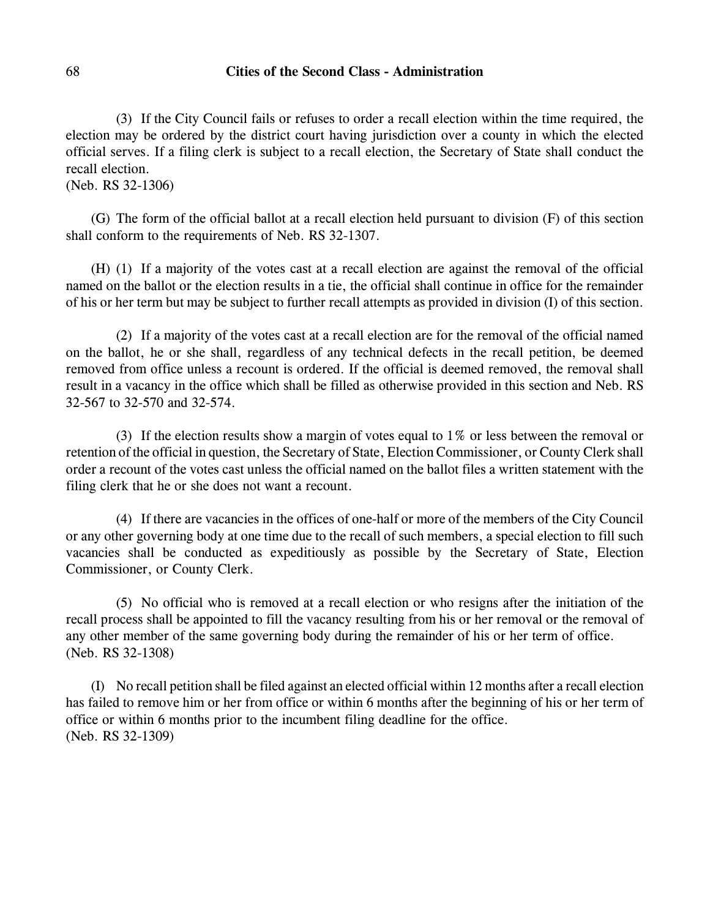## 68 **Cities of the Second Class - Administration**

(3) If the City Council fails or refuses to order a recall election within the time required, the election may be ordered by the district court having jurisdiction over a county in which the elected official serves. If a filing clerk is subject to a recall election, the Secretary of State shall conduct the recall election.

(Neb. RS 32-1306)

(G) The form of the official ballot at a recall election held pursuant to division (F) of this section shall conform to the requirements of Neb. RS 32-1307.

(H) (1) If a majority of the votes cast at a recall election are against the removal of the official named on the ballot or the election results in a tie, the official shall continue in office for the remainder of his or her term but may be subject to further recall attempts as provided in division (I) of this section.

(2) If a majority of the votes cast at a recall election are for the removal of the official named on the ballot, he or she shall, regardless of any technical defects in the recall petition, be deemed removed from office unless a recount is ordered. If the official is deemed removed, the removal shall result in a vacancy in the office which shall be filled as otherwise provided in this section and Neb. RS 32-567 to 32-570 and 32-574.

(3) If the election results show a margin of votes equal to 1% or less between the removal or retention of the official in question, the Secretary of State, Election Commissioner, or County Clerk shall order a recount of the votes cast unless the official named on the ballot files a written statement with the filing clerk that he or she does not want a recount.

(4) If there are vacancies in the offices of one-half or more of the members of the City Council or any other governing body at one time due to the recall of such members, a special election to fill such vacancies shall be conducted as expeditiously as possible by the Secretary of State, Election Commissioner, or County Clerk.

(5) No official who is removed at a recall election or who resigns after the initiation of the recall process shall be appointed to fill the vacancy resulting from his or her removal or the removal of any other member of the same governing body during the remainder of his or her term of office. (Neb. RS 32-1308)

(I) No recall petition shall be filed against an elected official within 12 months after a recall election has failed to remove him or her from office or within 6 months after the beginning of his or her term of office or within 6 months prior to the incumbent filing deadline for the office. (Neb. RS 32-1309)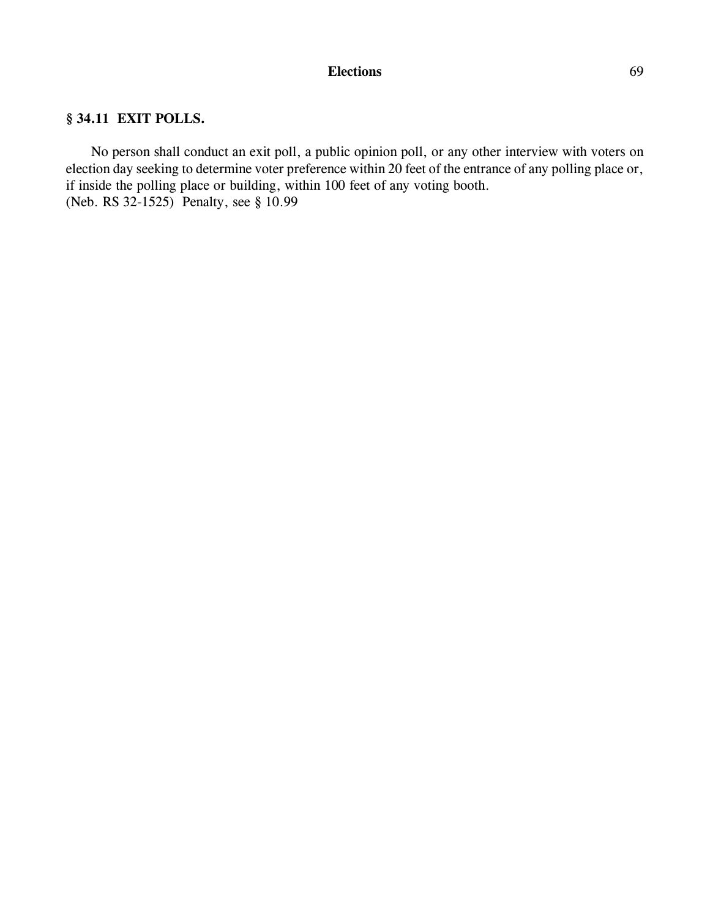# **Elections** 69

# **§ 34.11 EXIT POLLS.**

No person shall conduct an exit poll, a public opinion poll, or any other interview with voters on election day seeking to determine voter preference within 20 feet of the entrance of any polling place or, if inside the polling place or building, within 100 feet of any voting booth. (Neb. RS 32-1525) Penalty, see § 10.99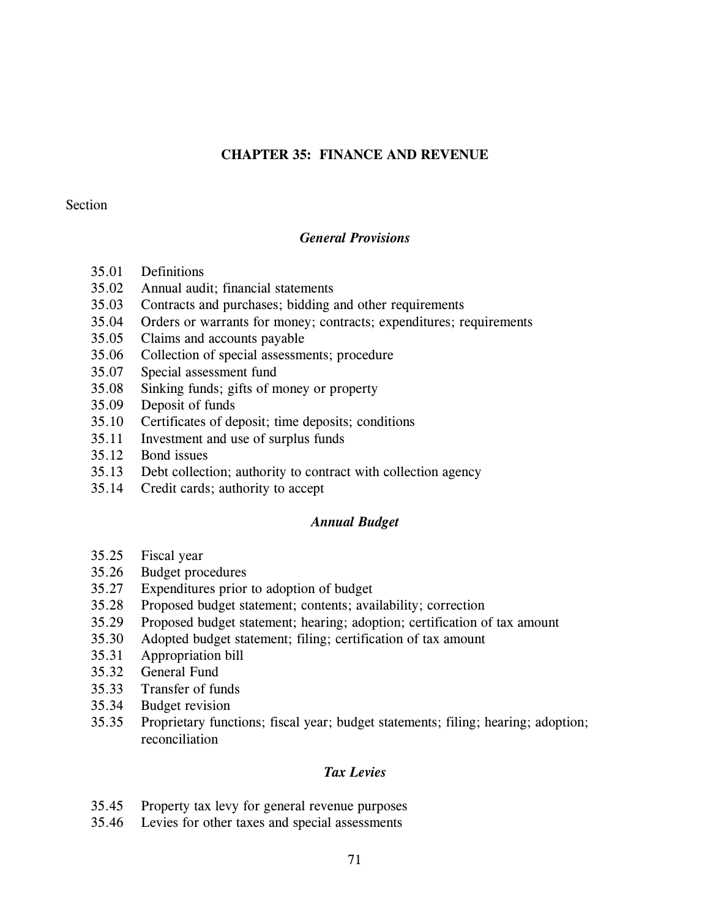# **CHAPTER 35: FINANCE AND REVENUE**

## Section

# *General Provisions*

- 35.01 Definitions
- 35.02 Annual audit; financial statements
- 35.03 Contracts and purchases; bidding and other requirements
- 35.04 Orders or warrants for money; contracts; expenditures; requirements
- 35.05 Claims and accounts payable
- 35.06 Collection of special assessments; procedure
- 35.07 Special assessment fund
- 35.08 Sinking funds; gifts of money or property
- 35.09 Deposit of funds
- 35.10 Certificates of deposit; time deposits; conditions
- 35.11 Investment and use of surplus funds
- 35.12 Bond issues
- 35.13 Debt collection; authority to contract with collection agency
- 35.14 Credit cards; authority to accept

# *Annual Budget*

- 35.25 Fiscal year
- 35.26 Budget procedures
- 35.27 Expenditures prior to adoption of budget
- 35.28 Proposed budget statement; contents; availability; correction
- 35.29 Proposed budget statement; hearing; adoption; certification of tax amount
- 35.30 Adopted budget statement; filing; certification of tax amount
- 35.31 Appropriation bill
- 35.32 General Fund
- 35.33 Transfer of funds
- 35.34 Budget revision
- 35.35 Proprietary functions; fiscal year; budget statements; filing; hearing; adoption; reconciliation

# *Tax Levies*

- 35.45 Property tax levy for general revenue purposes
- 35.46 Levies for other taxes and special assessments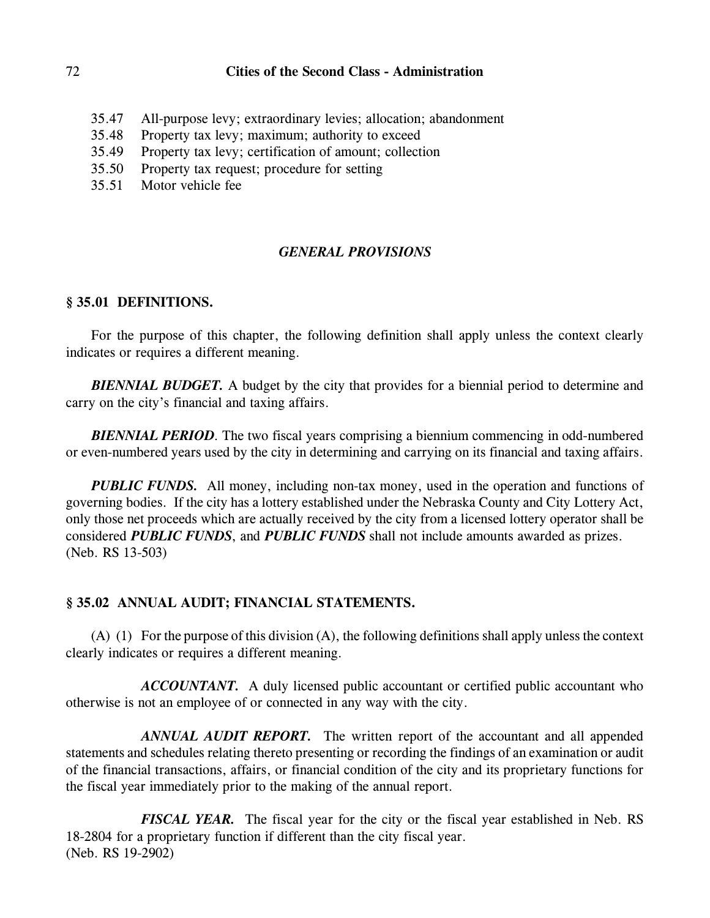# 72 **Cities of the Second Class - Administration**

- 35.47 All-purpose levy; extraordinary levies; allocation; abandonment
- 35.48 Property tax levy; maximum; authority to exceed
- 35.49 Property tax levy; certification of amount; collection
- 35.50 Property tax request; procedure for setting
- 35.51 Motor vehicle fee

# *GENERAL PROVISIONS*

# **§ 35.01 DEFINITIONS.**

For the purpose of this chapter, the following definition shall apply unless the context clearly indicates or requires a different meaning.

*BIENNIAL BUDGET.* A budget by the city that provides for a biennial period to determine and carry on the city's financial and taxing affairs.

*BIENNIAL PERIOD*. The two fiscal years comprising a biennium commencing in odd-numbered or even-numbered years used by the city in determining and carrying on its financial and taxing affairs.

*PUBLIC FUNDS.* All money, including non-tax money, used in the operation and functions of governing bodies. If the city has a lottery established under the Nebraska County and City Lottery Act, only those net proceeds which are actually received by the city from a licensed lottery operator shall be considered *PUBLIC FUNDS*, and *PUBLIC FUNDS* shall not include amounts awarded as prizes. (Neb. RS 13-503)

# **§ 35.02 ANNUAL AUDIT; FINANCIAL STATEMENTS.**

(A) (1) For the purpose of this division (A), the following definitions shall apply unless the context clearly indicates or requires a different meaning.

*ACCOUNTANT.* A duly licensed public accountant or certified public accountant who otherwise is not an employee of or connected in any way with the city.

*ANNUAL AUDIT REPORT.* The written report of the accountant and all appended statements and schedules relating thereto presenting or recording the findings of an examination or audit of the financial transactions, affairs, or financial condition of the city and its proprietary functions for the fiscal year immediately prior to the making of the annual report.

*FISCAL YEAR.* The fiscal year for the city or the fiscal year established in Neb. RS 18-2804 for a proprietary function if different than the city fiscal year. (Neb. RS 19-2902)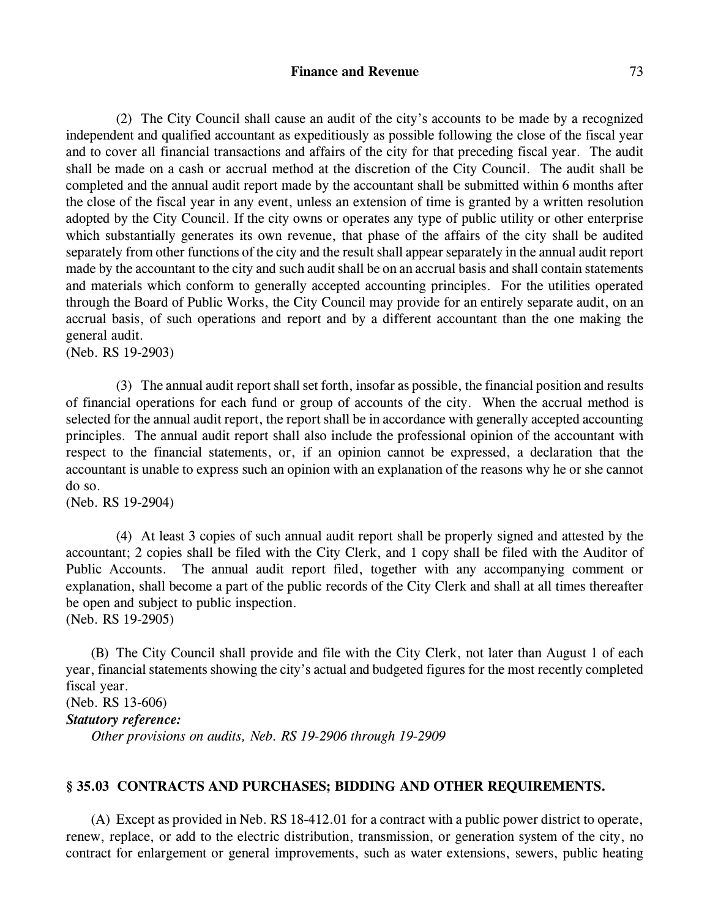#### **Finance and Revenue** 73

(2) The City Council shall cause an audit of the city's accounts to be made by a recognized independent and qualified accountant as expeditiously as possible following the close of the fiscal year and to cover all financial transactions and affairs of the city for that preceding fiscal year. The audit shall be made on a cash or accrual method at the discretion of the City Council. The audit shall be completed and the annual audit report made by the accountant shall be submitted within 6 months after the close of the fiscal year in any event, unless an extension of time is granted by a written resolution adopted by the City Council. If the city owns or operates any type of public utility or other enterprise which substantially generates its own revenue, that phase of the affairs of the city shall be audited separately from other functions of the city and the result shall appear separately in the annual audit report made by the accountant to the city and such audit shall be on an accrual basis and shall contain statements and materials which conform to generally accepted accounting principles. For the utilities operated through the Board of Public Works, the City Council may provide for an entirely separate audit, on an accrual basis, of such operations and report and by a different accountant than the one making the general audit.

(Neb. RS 19-2903)

(3) The annual audit report shall set forth, insofar as possible, the financial position and results of financial operations for each fund or group of accounts of the city. When the accrual method is selected for the annual audit report, the report shall be in accordance with generally accepted accounting principles. The annual audit report shall also include the professional opinion of the accountant with respect to the financial statements, or, if an opinion cannot be expressed, a declaration that the accountant is unable to express such an opinion with an explanation of the reasons why he or she cannot do so.

(Neb. RS 19-2904)

(4) At least 3 copies of such annual audit report shall be properly signed and attested by the accountant; 2 copies shall be filed with the City Clerk, and 1 copy shall be filed with the Auditor of Public Accounts. The annual audit report filed, together with any accompanying comment or explanation, shall become a part of the public records of the City Clerk and shall at all times thereafter be open and subject to public inspection.

(Neb. RS 19-2905)

(B) The City Council shall provide and file with the City Clerk, not later than August 1 of each year, financial statements showing the city's actual and budgeted figures for the most recently completed fiscal year. (Neb. RS 13-606)

```
Statutory reference:
```
*Other provisions on audits, Neb. RS 19-2906 through 19-2909*

### **§ 35.03 CONTRACTS AND PURCHASES; BIDDING AND OTHER REQUIREMENTS.**

(A) Except as provided in Neb. RS 18-412.01 for a contract with a public power district to operate, renew, replace, or add to the electric distribution, transmission, or generation system of the city, no contract for enlargement or general improvements, such as water extensions, sewers, public heating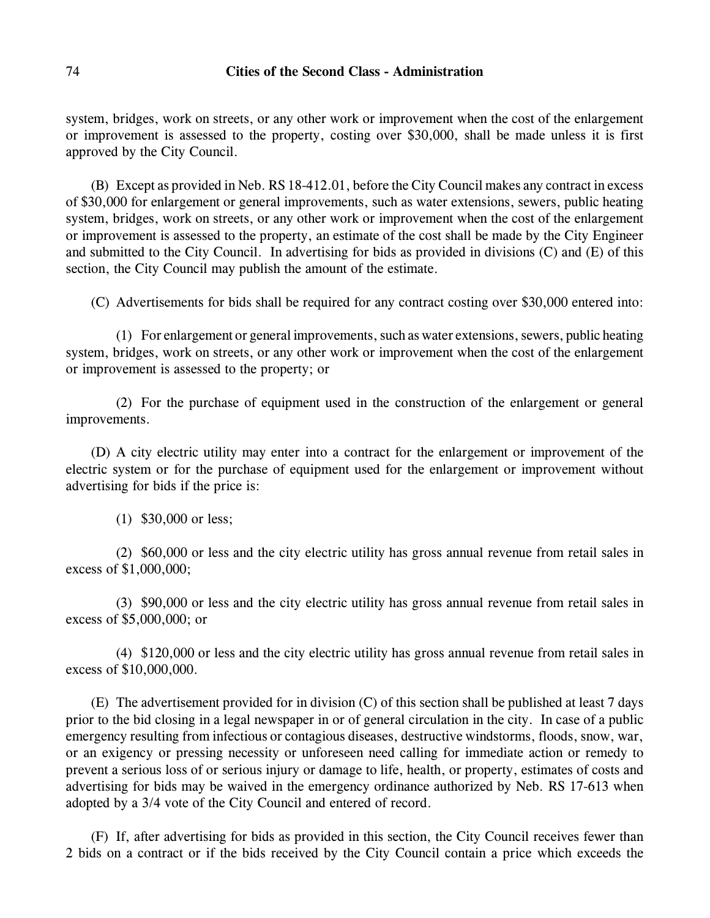system, bridges, work on streets, or any other work or improvement when the cost of the enlargement or improvement is assessed to the property, costing over \$30,000, shall be made unless it is first approved by the City Council.

(B) Except as provided in Neb. RS 18-412.01, before the City Council makes any contract in excess of \$30,000 for enlargement or general improvements, such as water extensions, sewers, public heating system, bridges, work on streets, or any other work or improvement when the cost of the enlargement or improvement is assessed to the property, an estimate of the cost shall be made by the City Engineer and submitted to the City Council. In advertising for bids as provided in divisions (C) and (E) of this section, the City Council may publish the amount of the estimate.

(C) Advertisements for bids shall be required for any contract costing over \$30,000 entered into:

(1) For enlargement or general improvements, such as water extensions, sewers, public heating system, bridges, work on streets, or any other work or improvement when the cost of the enlargement or improvement is assessed to the property; or

(2) For the purchase of equipment used in the construction of the enlargement or general improvements.

(D) A city electric utility may enter into a contract for the enlargement or improvement of the electric system or for the purchase of equipment used for the enlargement or improvement without advertising for bids if the price is:

(1) \$30,000 or less;

(2) \$60,000 or less and the city electric utility has gross annual revenue from retail sales in excess of \$1,000,000;

(3) \$90,000 or less and the city electric utility has gross annual revenue from retail sales in excess of \$5,000,000; or

(4) \$120,000 or less and the city electric utility has gross annual revenue from retail sales in excess of \$10,000,000.

(E) The advertisement provided for in division (C) of this section shall be published at least 7 days prior to the bid closing in a legal newspaper in or of general circulation in the city. In case of a public emergency resulting from infectious or contagious diseases, destructive windstorms, floods, snow, war, or an exigency or pressing necessity or unforeseen need calling for immediate action or remedy to prevent a serious loss of or serious injury or damage to life, health, or property, estimates of costs and advertising for bids may be waived in the emergency ordinance authorized by Neb. RS 17-613 when adopted by a 3/4 vote of the City Council and entered of record.

(F) If, after advertising for bids as provided in this section, the City Council receives fewer than 2 bids on a contract or if the bids received by the City Council contain a price which exceeds the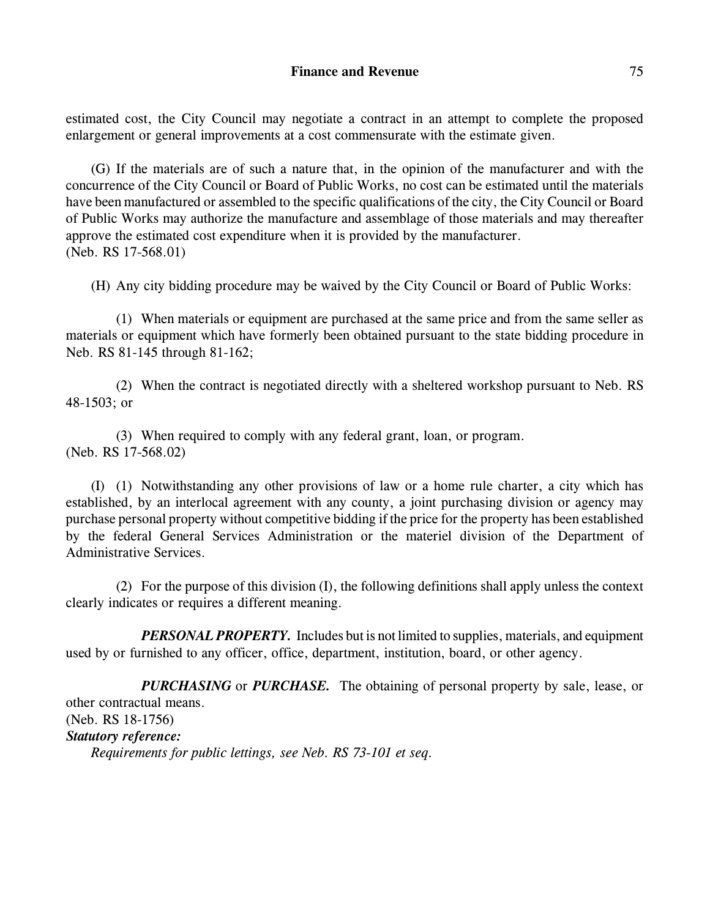estimated cost, the City Council may negotiate a contract in an attempt to complete the proposed enlargement or general improvements at a cost commensurate with the estimate given.

(G) If the materials are of such a nature that, in the opinion of the manufacturer and with the concurrence of the City Council or Board of Public Works, no cost can be estimated until the materials have been manufactured or assembled to the specific qualifications of the city, the City Council or Board of Public Works may authorize the manufacture and assemblage of those materials and may thereafter approve the estimated cost expenditure when it is provided by the manufacturer. (Neb. RS 17-568.01)

(H) Any city bidding procedure may be waived by the City Council or Board of Public Works:

(1) When materials or equipment are purchased at the same price and from the same seller as materials or equipment which have formerly been obtained pursuant to the state bidding procedure in Neb. RS 81-145 through 81-162;

(2) When the contract is negotiated directly with a sheltered workshop pursuant to Neb. RS 48-1503; or

(3) When required to comply with any federal grant, loan, or program. (Neb. RS 17-568.02)

(I) (1) Notwithstanding any other provisions of law or a home rule charter, a city which has established, by an interlocal agreement with any county, a joint purchasing division or agency may purchase personal property without competitive bidding if the price for the property has been established by the federal General Services Administration or the materiel division of the Department of Administrative Services.

(2) For the purpose of this division (I), the following definitions shall apply unless the context clearly indicates or requires a different meaning.

*PERSONAL PROPERTY.* Includes but is not limited to supplies, materials, and equipment used by or furnished to any officer, office, department, institution, board, or other agency.

*PURCHASING* or *PURCHASE.* The obtaining of personal property by sale, lease, or other contractual means. (Neb. RS 18-1756) *Statutory reference: Requirements for public lettings, see Neb. RS 73-101 et seq.*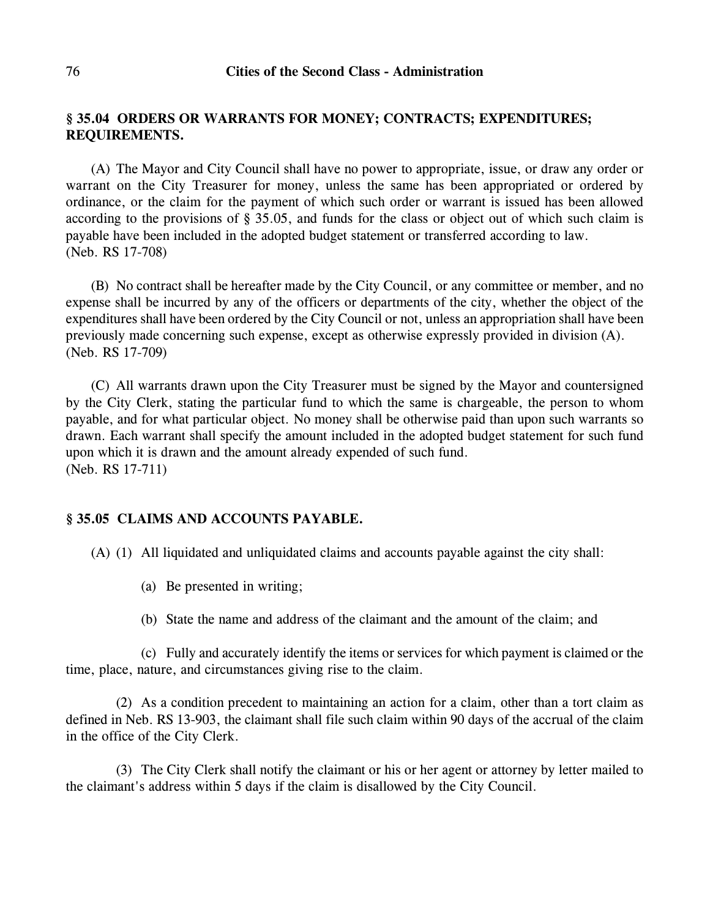## **§ 35.04 ORDERS OR WARRANTS FOR MONEY; CONTRACTS; EXPENDITURES; REQUIREMENTS.**

(A) The Mayor and City Council shall have no power to appropriate, issue, or draw any order or warrant on the City Treasurer for money, unless the same has been appropriated or ordered by ordinance, or the claim for the payment of which such order or warrant is issued has been allowed according to the provisions of § 35.05, and funds for the class or object out of which such claim is payable have been included in the adopted budget statement or transferred according to law. (Neb. RS 17-708)

(B) No contract shall be hereafter made by the City Council, or any committee or member, and no expense shall be incurred by any of the officers or departments of the city, whether the object of the expenditures shall have been ordered by the City Council or not, unless an appropriation shall have been previously made concerning such expense, except as otherwise expressly provided in division (A). (Neb. RS 17-709)

(C) All warrants drawn upon the City Treasurer must be signed by the Mayor and countersigned by the City Clerk, stating the particular fund to which the same is chargeable, the person to whom payable, and for what particular object. No money shall be otherwise paid than upon such warrants so drawn. Each warrant shall specify the amount included in the adopted budget statement for such fund upon which it is drawn and the amount already expended of such fund. (Neb. RS 17-711)

## **§ 35.05 CLAIMS AND ACCOUNTS PAYABLE.**

(A) (1) All liquidated and unliquidated claims and accounts payable against the city shall:

- (a) Be presented in writing;
- (b) State the name and address of the claimant and the amount of the claim; and

(c) Fully and accurately identify the items or services for which payment is claimed or the time, place, nature, and circumstances giving rise to the claim.

(2) As a condition precedent to maintaining an action for a claim, other than a tort claim as defined in Neb. RS 13-903, the claimant shall file such claim within 90 days of the accrual of the claim in the office of the City Clerk.

(3) The City Clerk shall notify the claimant or his or her agent or attorney by letter mailed to the claimant's address within 5 days if the claim is disallowed by the City Council.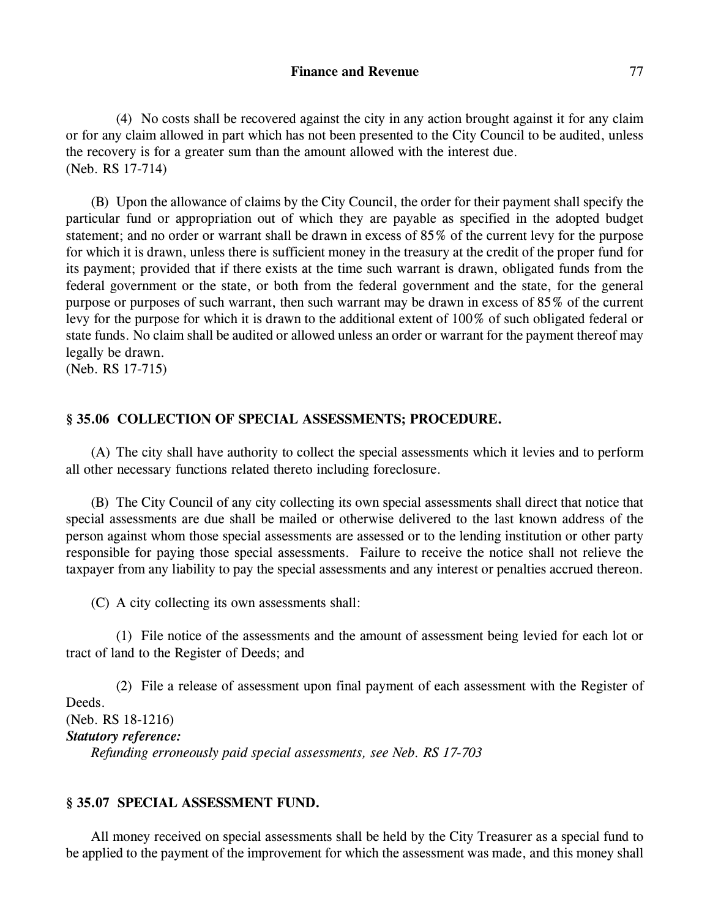(4) No costs shall be recovered against the city in any action brought against it for any claim or for any claim allowed in part which has not been presented to the City Council to be audited, unless the recovery is for a greater sum than the amount allowed with the interest due. (Neb. RS 17-714)

(B) Upon the allowance of claims by the City Council, the order for their payment shall specify the particular fund or appropriation out of which they are payable as specified in the adopted budget statement; and no order or warrant shall be drawn in excess of 85% of the current levy for the purpose for which it is drawn, unless there is sufficient money in the treasury at the credit of the proper fund for its payment; provided that if there exists at the time such warrant is drawn, obligated funds from the federal government or the state, or both from the federal government and the state, for the general purpose or purposes of such warrant, then such warrant may be drawn in excess of 85% of the current levy for the purpose for which it is drawn to the additional extent of 100% of such obligated federal or state funds. No claim shall be audited or allowed unless an order or warrant for the payment thereof may legally be drawn.

(Neb. RS 17-715)

## **§ 35.06 COLLECTION OF SPECIAL ASSESSMENTS; PROCEDURE.**

(A) The city shall have authority to collect the special assessments which it levies and to perform all other necessary functions related thereto including foreclosure.

(B) The City Council of any city collecting its own special assessments shall direct that notice that special assessments are due shall be mailed or otherwise delivered to the last known address of the person against whom those special assessments are assessed or to the lending institution or other party responsible for paying those special assessments. Failure to receive the notice shall not relieve the taxpayer from any liability to pay the special assessments and any interest or penalties accrued thereon.

(C) A city collecting its own assessments shall:

(1) File notice of the assessments and the amount of assessment being levied for each lot or tract of land to the Register of Deeds; and

(2) File a release of assessment upon final payment of each assessment with the Register of Deeds. (Neb. RS 18-1216) *Statutory reference: Refunding erroneously paid special assessments, see Neb. RS 17-703*

## **§ 35.07 SPECIAL ASSESSMENT FUND.**

All money received on special assessments shall be held by the City Treasurer as a special fund to be applied to the payment of the improvement for which the assessment was made, and this money shall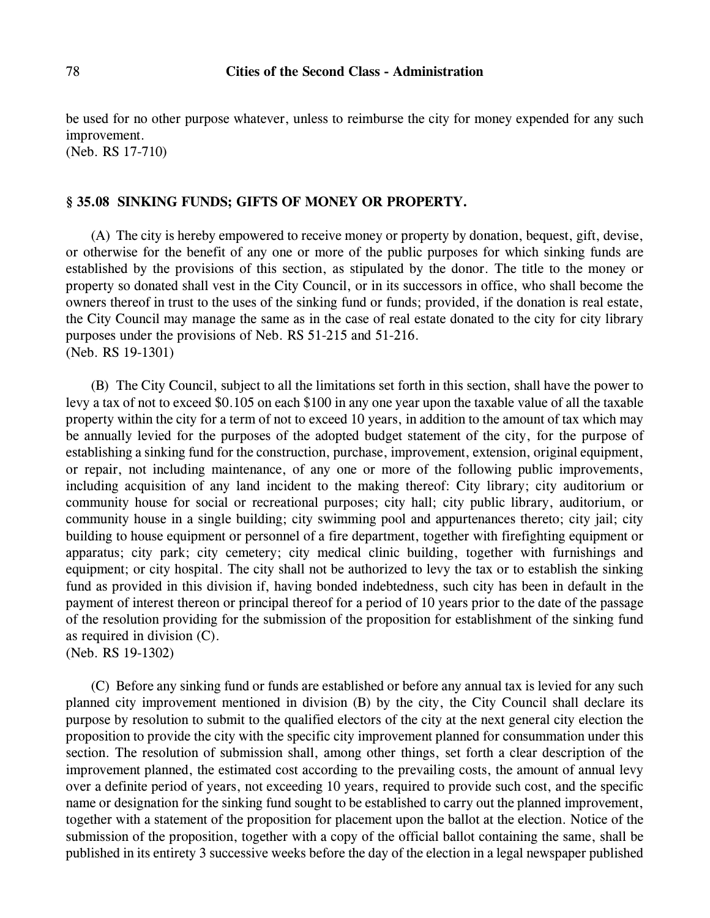be used for no other purpose whatever, unless to reimburse the city for money expended for any such improvement.

(Neb. RS 17-710)

#### **§ 35.08 SINKING FUNDS; GIFTS OF MONEY OR PROPERTY.**

(A) The city is hereby empowered to receive money or property by donation, bequest, gift, devise, or otherwise for the benefit of any one or more of the public purposes for which sinking funds are established by the provisions of this section, as stipulated by the donor. The title to the money or property so donated shall vest in the City Council, or in its successors in office, who shall become the owners thereof in trust to the uses of the sinking fund or funds; provided, if the donation is real estate, the City Council may manage the same as in the case of real estate donated to the city for city library purposes under the provisions of Neb. RS 51-215 and 51-216. (Neb. RS 19-1301)

(B) The City Council, subject to all the limitations set forth in this section, shall have the power to levy a tax of not to exceed \$0.105 on each \$100 in any one year upon the taxable value of all the taxable property within the city for a term of not to exceed 10 years, in addition to the amount of tax which may be annually levied for the purposes of the adopted budget statement of the city, for the purpose of establishing a sinking fund for the construction, purchase, improvement, extension, original equipment, or repair, not including maintenance, of any one or more of the following public improvements, including acquisition of any land incident to the making thereof: City library; city auditorium or community house for social or recreational purposes; city hall; city public library, auditorium, or community house in a single building; city swimming pool and appurtenances thereto; city jail; city building to house equipment or personnel of a fire department, together with firefighting equipment or apparatus; city park; city cemetery; city medical clinic building, together with furnishings and equipment; or city hospital. The city shall not be authorized to levy the tax or to establish the sinking fund as provided in this division if, having bonded indebtedness, such city has been in default in the payment of interest thereon or principal thereof for a period of 10 years prior to the date of the passage of the resolution providing for the submission of the proposition for establishment of the sinking fund as required in division (C).

(Neb. RS 19-1302)

(C) Before any sinking fund or funds are established or before any annual tax is levied for any such planned city improvement mentioned in division (B) by the city, the City Council shall declare its purpose by resolution to submit to the qualified electors of the city at the next general city election the proposition to provide the city with the specific city improvement planned for consummation under this section. The resolution of submission shall, among other things, set forth a clear description of the improvement planned, the estimated cost according to the prevailing costs, the amount of annual levy over a definite period of years, not exceeding 10 years, required to provide such cost, and the specific name or designation for the sinking fund sought to be established to carry out the planned improvement, together with a statement of the proposition for placement upon the ballot at the election. Notice of the submission of the proposition, together with a copy of the official ballot containing the same, shall be published in its entirety 3 successive weeks before the day of the election in a legal newspaper published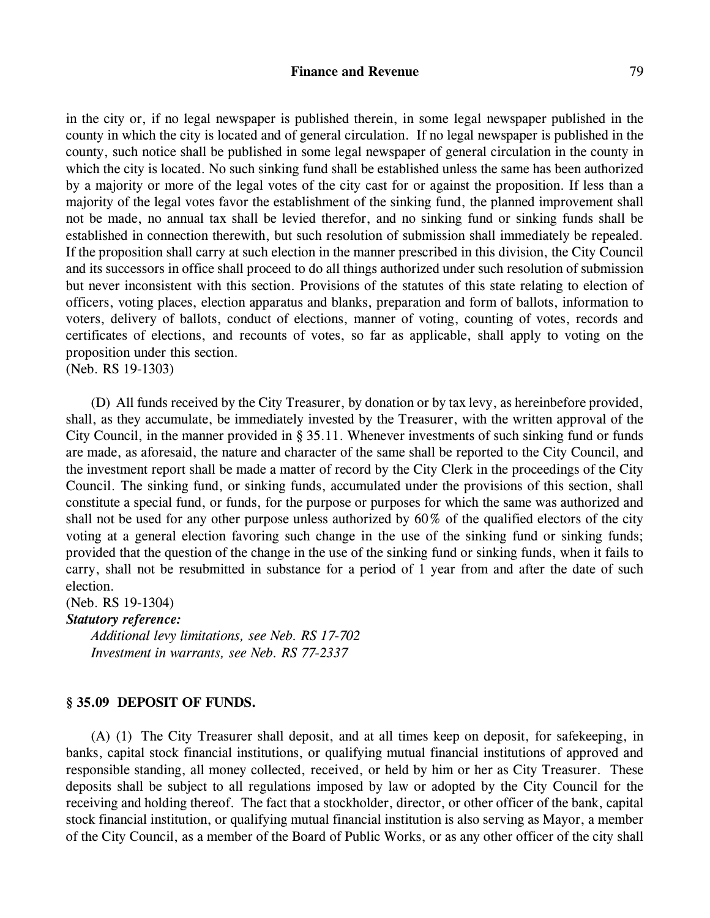#### **Finance and Revenue** 79

in the city or, if no legal newspaper is published therein, in some legal newspaper published in the county in which the city is located and of general circulation. If no legal newspaper is published in the county, such notice shall be published in some legal newspaper of general circulation in the county in which the city is located. No such sinking fund shall be established unless the same has been authorized by a majority or more of the legal votes of the city cast for or against the proposition. If less than a majority of the legal votes favor the establishment of the sinking fund, the planned improvement shall not be made, no annual tax shall be levied therefor, and no sinking fund or sinking funds shall be established in connection therewith, but such resolution of submission shall immediately be repealed. If the proposition shall carry at such election in the manner prescribed in this division, the City Council and its successors in office shall proceed to do all things authorized under such resolution of submission but never inconsistent with this section. Provisions of the statutes of this state relating to election of officers, voting places, election apparatus and blanks, preparation and form of ballots, information to voters, delivery of ballots, conduct of elections, manner of voting, counting of votes, records and certificates of elections, and recounts of votes, so far as applicable, shall apply to voting on the proposition under this section.

(Neb. RS 19-1303)

(D) All funds received by the City Treasurer, by donation or by tax levy, as hereinbefore provided, shall, as they accumulate, be immediately invested by the Treasurer, with the written approval of the City Council, in the manner provided in § 35.11. Whenever investments of such sinking fund or funds are made, as aforesaid, the nature and character of the same shall be reported to the City Council, and the investment report shall be made a matter of record by the City Clerk in the proceedings of the City Council. The sinking fund, or sinking funds, accumulated under the provisions of this section, shall constitute a special fund, or funds, for the purpose or purposes for which the same was authorized and shall not be used for any other purpose unless authorized by 60% of the qualified electors of the city voting at a general election favoring such change in the use of the sinking fund or sinking funds; provided that the question of the change in the use of the sinking fund or sinking funds, when it fails to carry, shall not be resubmitted in substance for a period of 1 year from and after the date of such election.

(Neb. RS 19-1304)

#### *Statutory reference:*

*Additional levy limitations, see Neb. RS 17-702 Investment in warrants, see Neb. RS 77-2337*

## **§ 35.09 DEPOSIT OF FUNDS.**

(A) (1) The City Treasurer shall deposit, and at all times keep on deposit, for safekeeping, in banks, capital stock financial institutions, or qualifying mutual financial institutions of approved and responsible standing, all money collected, received, or held by him or her as City Treasurer. These deposits shall be subject to all regulations imposed by law or adopted by the City Council for the receiving and holding thereof. The fact that a stockholder, director, or other officer of the bank, capital stock financial institution, or qualifying mutual financial institution is also serving as Mayor, a member of the City Council, as a member of the Board of Public Works, or as any other officer of the city shall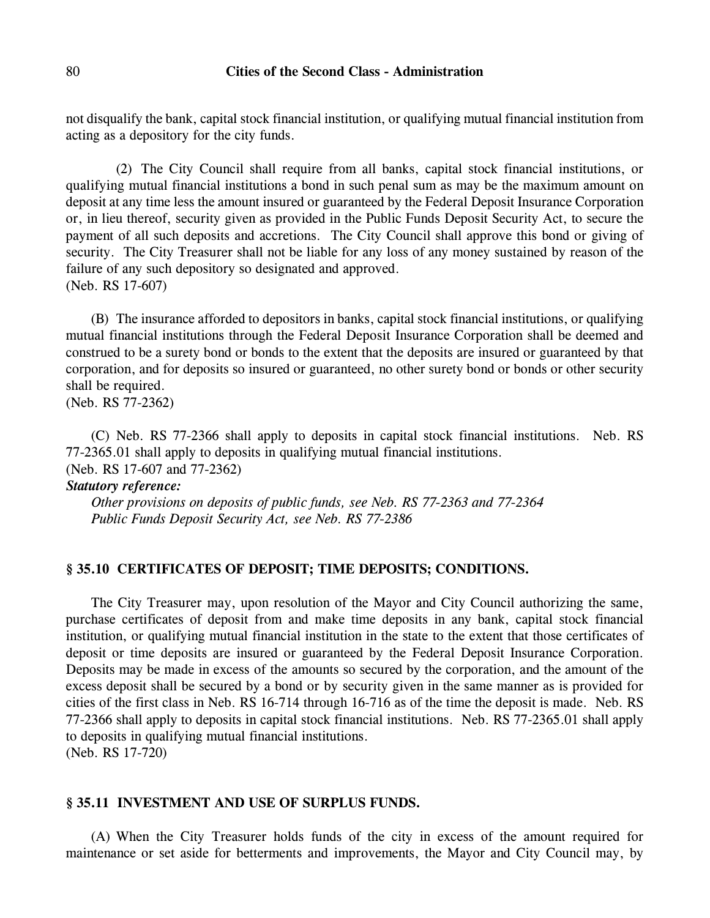not disqualify the bank, capital stock financial institution, or qualifying mutual financial institution from acting as a depository for the city funds.

(2) The City Council shall require from all banks, capital stock financial institutions, or qualifying mutual financial institutions a bond in such penal sum as may be the maximum amount on deposit at any time less the amount insured or guaranteed by the Federal Deposit Insurance Corporation or, in lieu thereof, security given as provided in the Public Funds Deposit Security Act, to secure the payment of all such deposits and accretions. The City Council shall approve this bond or giving of security. The City Treasurer shall not be liable for any loss of any money sustained by reason of the failure of any such depository so designated and approved. (Neb. RS 17-607)

(B) The insurance afforded to depositors in banks, capital stock financial institutions, or qualifying mutual financial institutions through the Federal Deposit Insurance Corporation shall be deemed and construed to be a surety bond or bonds to the extent that the deposits are insured or guaranteed by that corporation, and for deposits so insured or guaranteed, no other surety bond or bonds or other security shall be required.

(Neb. RS 77-2362)

(C) Neb. RS 77-2366 shall apply to deposits in capital stock financial institutions. Neb. RS 77-2365.01 shall apply to deposits in qualifying mutual financial institutions. (Neb. RS 17-607 and 77-2362)

#### *Statutory reference:*

*Other provisions on deposits of public funds, see Neb. RS 77-2363 and 77-2364 Public Funds Deposit Security Act, see Neb. RS 77-2386*

## **§ 35.10 CERTIFICATES OF DEPOSIT; TIME DEPOSITS; CONDITIONS.**

The City Treasurer may, upon resolution of the Mayor and City Council authorizing the same, purchase certificates of deposit from and make time deposits in any bank, capital stock financial institution, or qualifying mutual financial institution in the state to the extent that those certificates of deposit or time deposits are insured or guaranteed by the Federal Deposit Insurance Corporation. Deposits may be made in excess of the amounts so secured by the corporation, and the amount of the excess deposit shall be secured by a bond or by security given in the same manner as is provided for cities of the first class in Neb. RS 16-714 through 16-716 as of the time the deposit is made. Neb. RS 77-2366 shall apply to deposits in capital stock financial institutions. Neb. RS 77-2365.01 shall apply to deposits in qualifying mutual financial institutions. (Neb. RS 17-720)

## **§ 35.11 INVESTMENT AND USE OF SURPLUS FUNDS.**

(A) When the City Treasurer holds funds of the city in excess of the amount required for maintenance or set aside for betterments and improvements, the Mayor and City Council may, by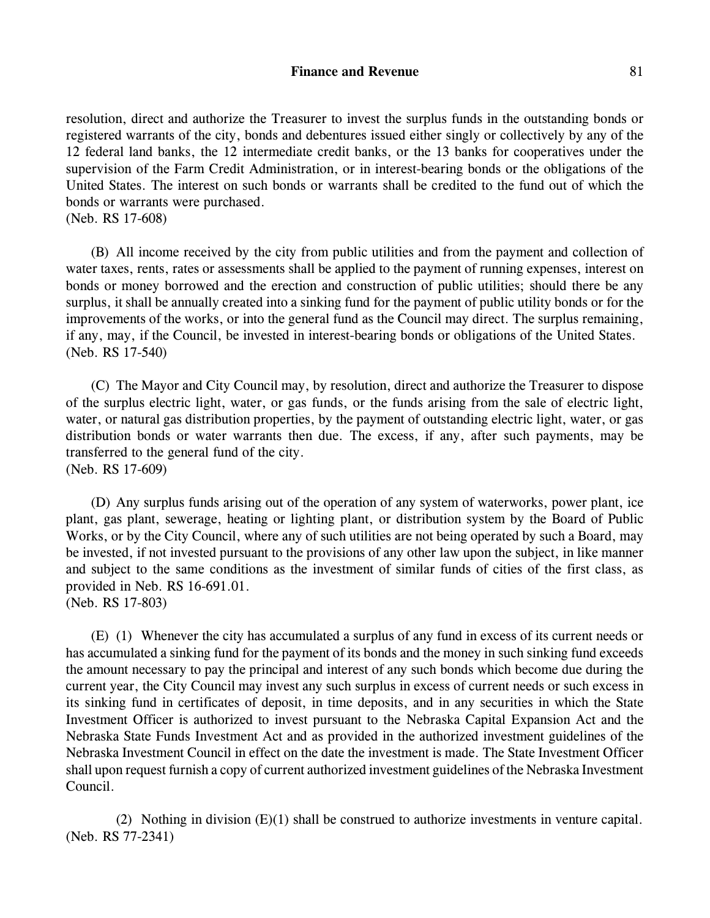## **Finance and Revenue** 81

resolution, direct and authorize the Treasurer to invest the surplus funds in the outstanding bonds or registered warrants of the city, bonds and debentures issued either singly or collectively by any of the 12 federal land banks, the 12 intermediate credit banks, or the 13 banks for cooperatives under the supervision of the Farm Credit Administration, or in interest-bearing bonds or the obligations of the United States. The interest on such bonds or warrants shall be credited to the fund out of which the bonds or warrants were purchased.

(Neb. RS 17-608)

(B) All income received by the city from public utilities and from the payment and collection of water taxes, rents, rates or assessments shall be applied to the payment of running expenses, interest on bonds or money borrowed and the erection and construction of public utilities; should there be any surplus, it shall be annually created into a sinking fund for the payment of public utility bonds or for the improvements of the works, or into the general fund as the Council may direct. The surplus remaining, if any, may, if the Council, be invested in interest-bearing bonds or obligations of the United States. (Neb. RS 17-540)

(C) The Mayor and City Council may, by resolution, direct and authorize the Treasurer to dispose of the surplus electric light, water, or gas funds, or the funds arising from the sale of electric light, water, or natural gas distribution properties, by the payment of outstanding electric light, water, or gas distribution bonds or water warrants then due. The excess, if any, after such payments, may be transferred to the general fund of the city. (Neb. RS 17-609)

(D) Any surplus funds arising out of the operation of any system of waterworks, power plant, ice plant, gas plant, sewerage, heating or lighting plant, or distribution system by the Board of Public Works, or by the City Council, where any of such utilities are not being operated by such a Board, may be invested, if not invested pursuant to the provisions of any other law upon the subject, in like manner and subject to the same conditions as the investment of similar funds of cities of the first class, as provided in Neb. RS 16-691.01.

(Neb. RS 17-803)

(E) (1) Whenever the city has accumulated a surplus of any fund in excess of its current needs or has accumulated a sinking fund for the payment of its bonds and the money in such sinking fund exceeds the amount necessary to pay the principal and interest of any such bonds which become due during the current year, the City Council may invest any such surplus in excess of current needs or such excess in its sinking fund in certificates of deposit, in time deposits, and in any securities in which the State Investment Officer is authorized to invest pursuant to the Nebraska Capital Expansion Act and the Nebraska State Funds Investment Act and as provided in the authorized investment guidelines of the Nebraska Investment Council in effect on the date the investment is made. The State Investment Officer shall upon request furnish a copy of current authorized investment guidelines of the Nebraska Investment Council.

(2) Nothing in division  $(E)(1)$  shall be construed to authorize investments in venture capital. (Neb. RS 77-2341)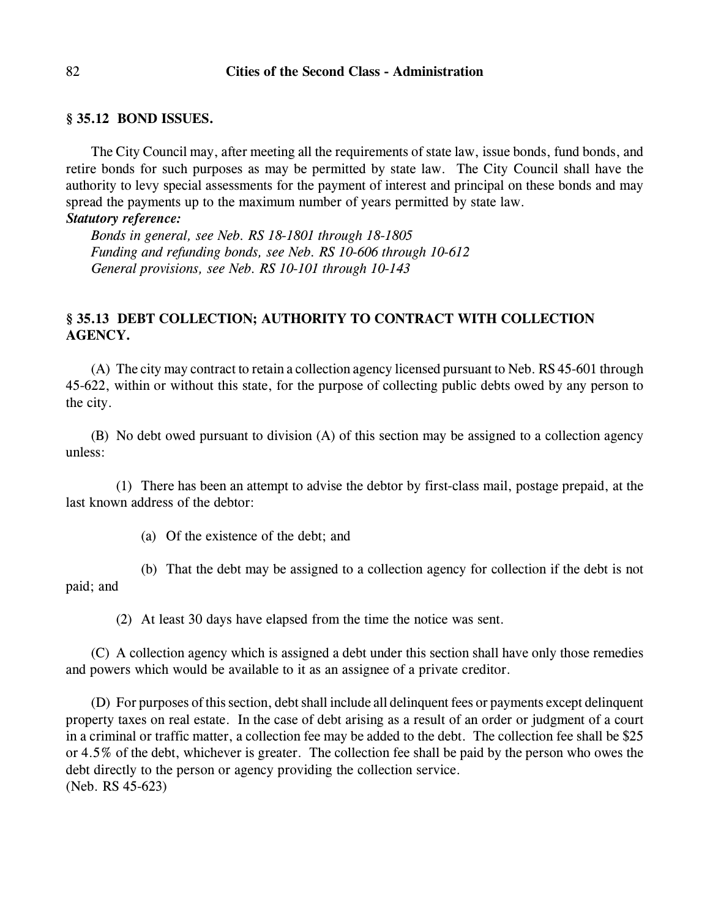#### **§ 35.12 BOND ISSUES.**

The City Council may, after meeting all the requirements of state law, issue bonds, fund bonds, and retire bonds for such purposes as may be permitted by state law. The City Council shall have the authority to levy special assessments for the payment of interest and principal on these bonds and may spread the payments up to the maximum number of years permitted by state law.

#### *Statutory reference:*

*Bonds in general, see Neb. RS 18-1801 through 18-1805 Funding and refunding bonds, see Neb. RS 10-606 through 10-612 General provisions, see Neb. RS 10-101 through 10-143*

## **§ 35.13 DEBT COLLECTION; AUTHORITY TO CONTRACT WITH COLLECTION AGENCY.**

(A) The city may contract to retain a collection agency licensed pursuant to Neb. RS 45-601 through 45-622, within or without this state, for the purpose of collecting public debts owed by any person to the city.

(B) No debt owed pursuant to division (A) of this section may be assigned to a collection agency unless:

(1) There has been an attempt to advise the debtor by first-class mail, postage prepaid, at the last known address of the debtor:

(a) Of the existence of the debt; and

(b) That the debt may be assigned to a collection agency for collection if the debt is not paid; and

(2) At least 30 days have elapsed from the time the notice was sent.

(C) A collection agency which is assigned a debt under this section shall have only those remedies and powers which would be available to it as an assignee of a private creditor.

(D) For purposes of this section, debt shall include all delinquent fees or payments except delinquent property taxes on real estate. In the case of debt arising as a result of an order or judgment of a court in a criminal or traffic matter, a collection fee may be added to the debt. The collection fee shall be \$25 or 4.5% of the debt, whichever is greater. The collection fee shall be paid by the person who owes the debt directly to the person or agency providing the collection service. (Neb. RS 45-623)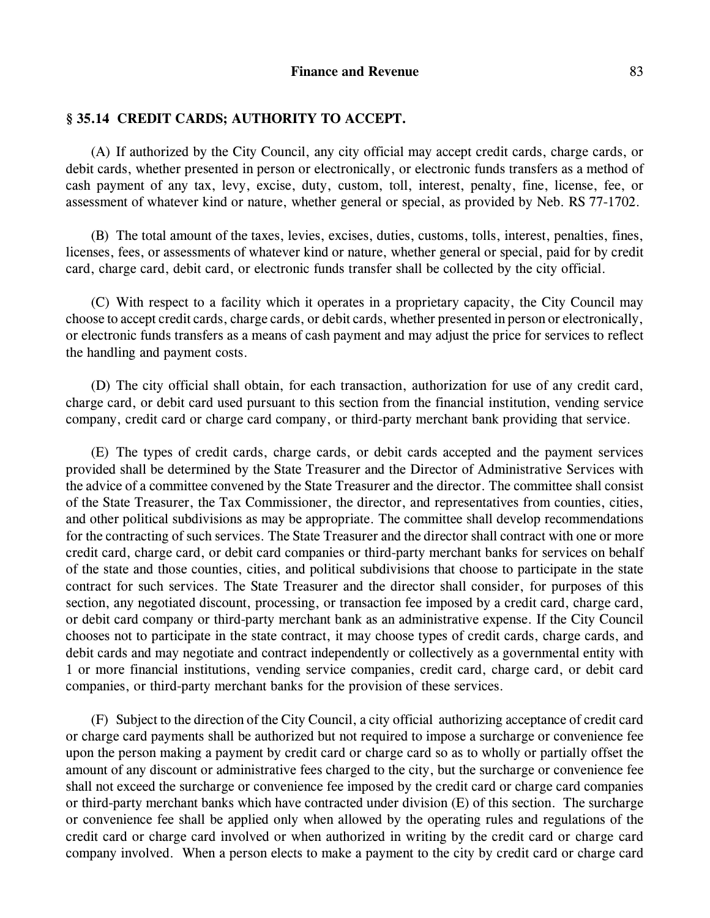#### **§ 35.14 CREDIT CARDS; AUTHORITY TO ACCEPT.**

(A) If authorized by the City Council, any city official may accept credit cards, charge cards, or debit cards, whether presented in person or electronically, or electronic funds transfers as a method of cash payment of any tax, levy, excise, duty, custom, toll, interest, penalty, fine, license, fee, or assessment of whatever kind or nature, whether general or special, as provided by Neb. RS 77-1702.

(B) The total amount of the taxes, levies, excises, duties, customs, tolls, interest, penalties, fines, licenses, fees, or assessments of whatever kind or nature, whether general or special, paid for by credit card, charge card, debit card, or electronic funds transfer shall be collected by the city official.

(C) With respect to a facility which it operates in a proprietary capacity, the City Council may choose to accept credit cards, charge cards, or debit cards, whether presented in person or electronically, or electronic funds transfers as a means of cash payment and may adjust the price for services to reflect the handling and payment costs.

(D) The city official shall obtain, for each transaction, authorization for use of any credit card, charge card, or debit card used pursuant to this section from the financial institution, vending service company, credit card or charge card company, or third-party merchant bank providing that service.

(E) The types of credit cards, charge cards, or debit cards accepted and the payment services provided shall be determined by the State Treasurer and the Director of Administrative Services with the advice of a committee convened by the State Treasurer and the director. The committee shall consist of the State Treasurer, the Tax Commissioner, the director, and representatives from counties, cities, and other political subdivisions as may be appropriate. The committee shall develop recommendations for the contracting of such services. The State Treasurer and the director shall contract with one or more credit card, charge card, or debit card companies or third-party merchant banks for services on behalf of the state and those counties, cities, and political subdivisions that choose to participate in the state contract for such services. The State Treasurer and the director shall consider, for purposes of this section, any negotiated discount, processing, or transaction fee imposed by a credit card, charge card, or debit card company or third-party merchant bank as an administrative expense. If the City Council chooses not to participate in the state contract, it may choose types of credit cards, charge cards, and debit cards and may negotiate and contract independently or collectively as a governmental entity with 1 or more financial institutions, vending service companies, credit card, charge card, or debit card companies, or third-party merchant banks for the provision of these services.

(F) Subject to the direction of the City Council, a city official authorizing acceptance of credit card or charge card payments shall be authorized but not required to impose a surcharge or convenience fee upon the person making a payment by credit card or charge card so as to wholly or partially offset the amount of any discount or administrative fees charged to the city, but the surcharge or convenience fee shall not exceed the surcharge or convenience fee imposed by the credit card or charge card companies or third-party merchant banks which have contracted under division (E) of this section. The surcharge or convenience fee shall be applied only when allowed by the operating rules and regulations of the credit card or charge card involved or when authorized in writing by the credit card or charge card company involved. When a person elects to make a payment to the city by credit card or charge card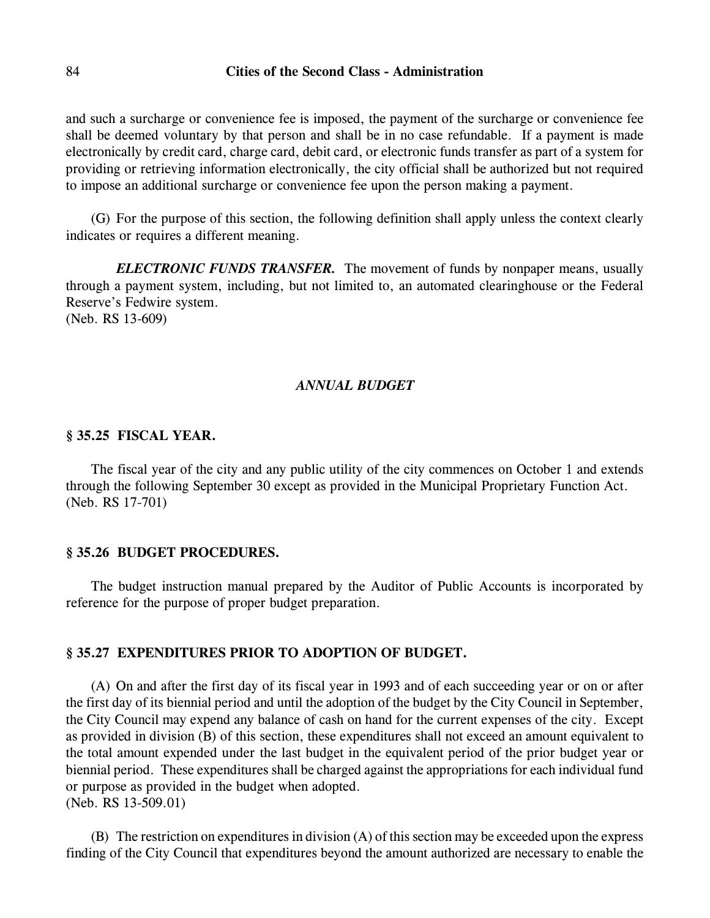and such a surcharge or convenience fee is imposed, the payment of the surcharge or convenience fee shall be deemed voluntary by that person and shall be in no case refundable. If a payment is made electronically by credit card, charge card, debit card, or electronic funds transfer as part of a system for providing or retrieving information electronically, the city official shall be authorized but not required to impose an additional surcharge or convenience fee upon the person making a payment.

(G) For the purpose of this section, the following definition shall apply unless the context clearly indicates or requires a different meaning.

*ELECTRONIC FUNDS TRANSFER.* The movement of funds by nonpaper means, usually through a payment system, including, but not limited to, an automated clearinghouse or the Federal Reserve's Fedwire system. (Neb. RS 13-609)

#### *ANNUAL BUDGET*

#### **§ 35.25 FISCAL YEAR.**

The fiscal year of the city and any public utility of the city commences on October 1 and extends through the following September 30 except as provided in the Municipal Proprietary Function Act. (Neb. RS 17-701)

#### **§ 35.26 BUDGET PROCEDURES.**

The budget instruction manual prepared by the Auditor of Public Accounts is incorporated by reference for the purpose of proper budget preparation.

#### **§ 35.27 EXPENDITURES PRIOR TO ADOPTION OF BUDGET.**

(A) On and after the first day of its fiscal year in 1993 and of each succeeding year or on or after the first day of its biennial period and until the adoption of the budget by the City Council in September, the City Council may expend any balance of cash on hand for the current expenses of the city. Except as provided in division (B) of this section, these expenditures shall not exceed an amount equivalent to the total amount expended under the last budget in the equivalent period of the prior budget year or biennial period. These expenditures shall be charged against the appropriations for each individual fund or purpose as provided in the budget when adopted. (Neb. RS 13-509.01)

(B) The restriction on expenditures in division (A) of this section may be exceeded upon the express finding of the City Council that expenditures beyond the amount authorized are necessary to enable the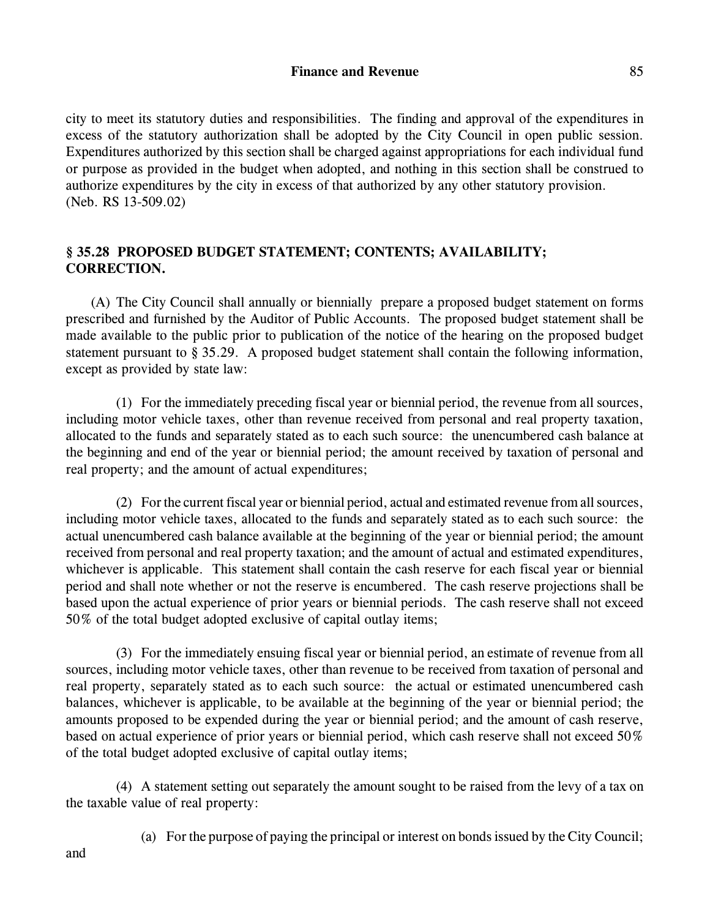city to meet its statutory duties and responsibilities. The finding and approval of the expenditures in excess of the statutory authorization shall be adopted by the City Council in open public session. Expenditures authorized by this section shall be charged against appropriations for each individual fund or purpose as provided in the budget when adopted, and nothing in this section shall be construed to authorize expenditures by the city in excess of that authorized by any other statutory provision. (Neb. RS 13-509.02)

## **§ 35.28 PROPOSED BUDGET STATEMENT; CONTENTS; AVAILABILITY; CORRECTION.**

(A) The City Council shall annually or biennially prepare a proposed budget statement on forms prescribed and furnished by the Auditor of Public Accounts. The proposed budget statement shall be made available to the public prior to publication of the notice of the hearing on the proposed budget statement pursuant to § 35.29. A proposed budget statement shall contain the following information, except as provided by state law:

(1) For the immediately preceding fiscal year or biennial period, the revenue from all sources, including motor vehicle taxes, other than revenue received from personal and real property taxation, allocated to the funds and separately stated as to each such source: the unencumbered cash balance at the beginning and end of the year or biennial period; the amount received by taxation of personal and real property; and the amount of actual expenditures;

(2) For the current fiscal year or biennial period, actual and estimated revenue from all sources, including motor vehicle taxes, allocated to the funds and separately stated as to each such source: the actual unencumbered cash balance available at the beginning of the year or biennial period; the amount received from personal and real property taxation; and the amount of actual and estimated expenditures, whichever is applicable. This statement shall contain the cash reserve for each fiscal year or biennial period and shall note whether or not the reserve is encumbered. The cash reserve projections shall be based upon the actual experience of prior years or biennial periods. The cash reserve shall not exceed 50% of the total budget adopted exclusive of capital outlay items;

(3) For the immediately ensuing fiscal year or biennial period, an estimate of revenue from all sources, including motor vehicle taxes, other than revenue to be received from taxation of personal and real property, separately stated as to each such source: the actual or estimated unencumbered cash balances, whichever is applicable, to be available at the beginning of the year or biennial period; the amounts proposed to be expended during the year or biennial period; and the amount of cash reserve, based on actual experience of prior years or biennial period, which cash reserve shall not exceed 50% of the total budget adopted exclusive of capital outlay items;

(4) A statement setting out separately the amount sought to be raised from the levy of a tax on the taxable value of real property:

(a) For the purpose of paying the principal or interest on bonds issued by the City Council;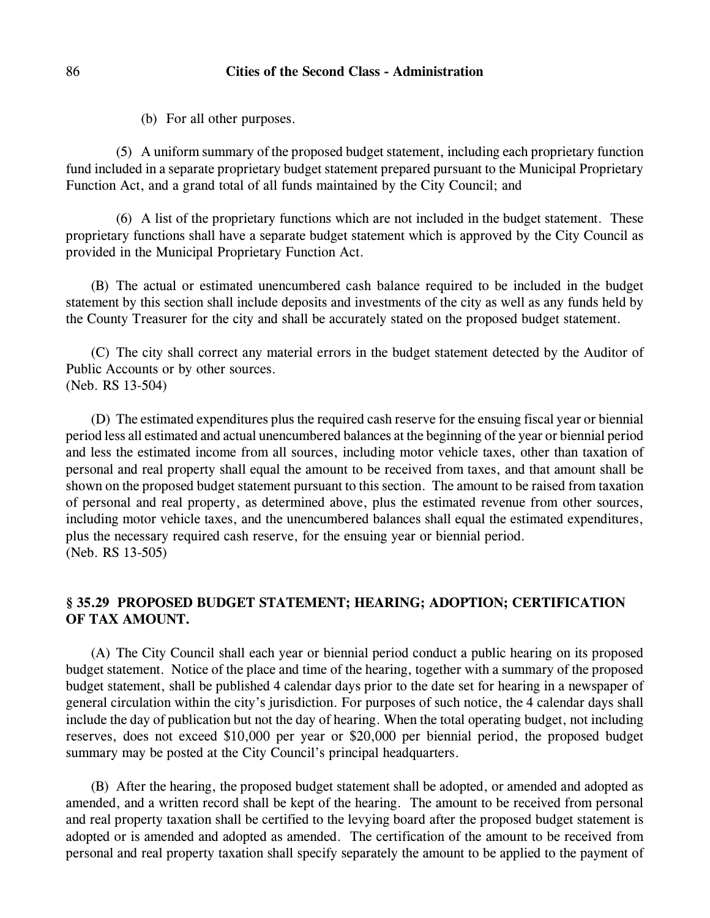(b) For all other purposes.

(5) A uniform summary of the proposed budget statement, including each proprietary function fund included in a separate proprietary budget statement prepared pursuant to the Municipal Proprietary Function Act, and a grand total of all funds maintained by the City Council; and

(6) A list of the proprietary functions which are not included in the budget statement. These proprietary functions shall have a separate budget statement which is approved by the City Council as provided in the Municipal Proprietary Function Act.

(B) The actual or estimated unencumbered cash balance required to be included in the budget statement by this section shall include deposits and investments of the city as well as any funds held by the County Treasurer for the city and shall be accurately stated on the proposed budget statement.

(C) The city shall correct any material errors in the budget statement detected by the Auditor of Public Accounts or by other sources. (Neb. RS 13-504)

(D) The estimated expenditures plus the required cash reserve for the ensuing fiscal year or biennial period less all estimated and actual unencumbered balances at the beginning of the year or biennial period and less the estimated income from all sources, including motor vehicle taxes, other than taxation of personal and real property shall equal the amount to be received from taxes, and that amount shall be shown on the proposed budget statement pursuant to this section. The amount to be raised from taxation of personal and real property, as determined above, plus the estimated revenue from other sources, including motor vehicle taxes, and the unencumbered balances shall equal the estimated expenditures, plus the necessary required cash reserve, for the ensuing year or biennial period. (Neb. RS 13-505)

## **§ 35.29 PROPOSED BUDGET STATEMENT; HEARING; ADOPTION; CERTIFICATION OF TAX AMOUNT.**

(A) The City Council shall each year or biennial period conduct a public hearing on its proposed budget statement. Notice of the place and time of the hearing, together with a summary of the proposed budget statement, shall be published 4 calendar days prior to the date set for hearing in a newspaper of general circulation within the city's jurisdiction. For purposes of such notice, the 4 calendar days shall include the day of publication but not the day of hearing. When the total operating budget, not including reserves, does not exceed \$10,000 per year or \$20,000 per biennial period, the proposed budget summary may be posted at the City Council's principal headquarters.

(B) After the hearing, the proposed budget statement shall be adopted, or amended and adopted as amended, and a written record shall be kept of the hearing. The amount to be received from personal and real property taxation shall be certified to the levying board after the proposed budget statement is adopted or is amended and adopted as amended. The certification of the amount to be received from personal and real property taxation shall specify separately the amount to be applied to the payment of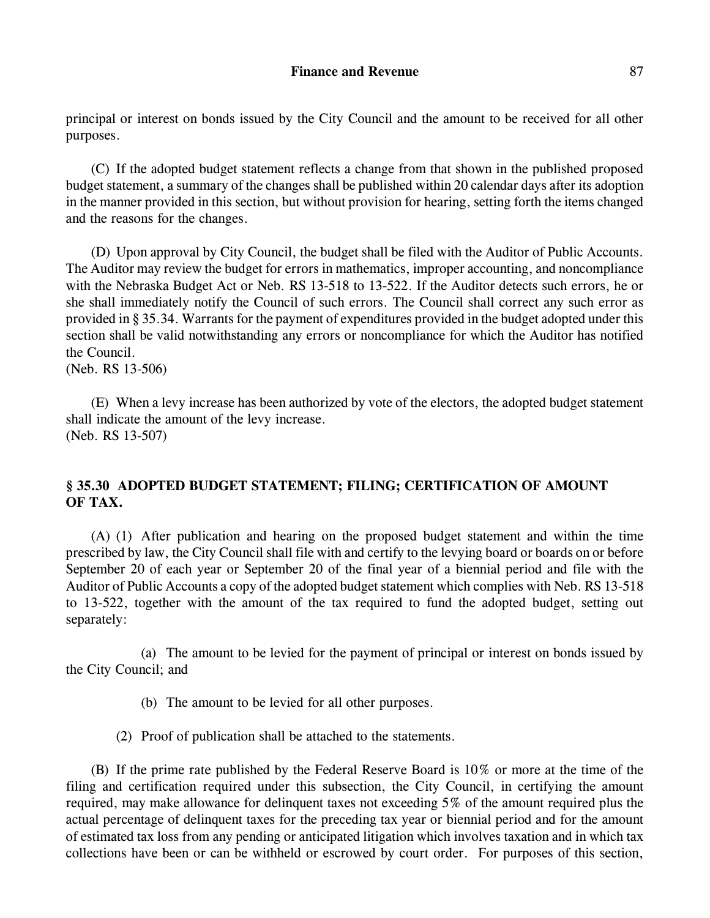principal or interest on bonds issued by the City Council and the amount to be received for all other

(C) If the adopted budget statement reflects a change from that shown in the published proposed budget statement, a summary of the changes shall be published within 20 calendar days after its adoption in the manner provided in this section, but without provision for hearing, setting forth the items changed and the reasons for the changes.

(D) Upon approval by City Council, the budget shall be filed with the Auditor of Public Accounts. The Auditor may review the budget for errors in mathematics, improper accounting, and noncompliance with the Nebraska Budget Act or Neb. RS 13-518 to 13-522. If the Auditor detects such errors, he or she shall immediately notify the Council of such errors. The Council shall correct any such error as provided in § 35.34. Warrants for the payment of expenditures provided in the budget adopted under this section shall be valid notwithstanding any errors or noncompliance for which the Auditor has notified the Council.

(Neb. RS 13-506)

purposes.

(E) When a levy increase has been authorized by vote of the electors, the adopted budget statement shall indicate the amount of the levy increase. (Neb. RS 13-507)

## **§ 35.30 ADOPTED BUDGET STATEMENT; FILING; CERTIFICATION OF AMOUNT OF TAX.**

(A) (1) After publication and hearing on the proposed budget statement and within the time prescribed by law, the City Council shall file with and certify to the levying board or boards on or before September 20 of each year or September 20 of the final year of a biennial period and file with the Auditor of Public Accounts a copy of the adopted budget statement which complies with Neb. RS 13-518 to 13-522, together with the amount of the tax required to fund the adopted budget, setting out separately:

(a) The amount to be levied for the payment of principal or interest on bonds issued by the City Council; and

- (b) The amount to be levied for all other purposes.
- (2) Proof of publication shall be attached to the statements.

(B) If the prime rate published by the Federal Reserve Board is 10% or more at the time of the filing and certification required under this subsection, the City Council, in certifying the amount required, may make allowance for delinquent taxes not exceeding 5% of the amount required plus the actual percentage of delinquent taxes for the preceding tax year or biennial period and for the amount of estimated tax loss from any pending or anticipated litigation which involves taxation and in which tax collections have been or can be withheld or escrowed by court order. For purposes of this section,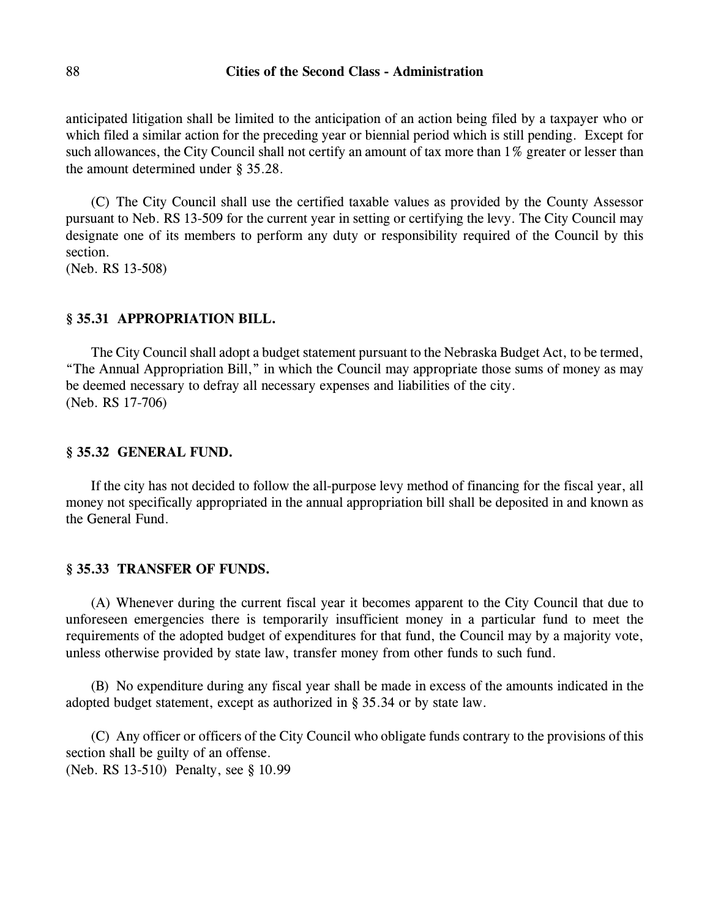anticipated litigation shall be limited to the anticipation of an action being filed by a taxpayer who or which filed a similar action for the preceding year or biennial period which is still pending. Except for such allowances, the City Council shall not certify an amount of tax more than 1% greater or lesser than the amount determined under § 35.28.

(C) The City Council shall use the certified taxable values as provided by the County Assessor pursuant to Neb. RS 13-509 for the current year in setting or certifying the levy. The City Council may designate one of its members to perform any duty or responsibility required of the Council by this section.

(Neb. RS 13-508)

#### **§ 35.31 APPROPRIATION BILL.**

The City Council shall adopt a budget statement pursuant to the Nebraska Budget Act, to be termed, "The Annual Appropriation Bill," in which the Council may appropriate those sums of money as may be deemed necessary to defray all necessary expenses and liabilities of the city. (Neb. RS 17-706)

#### **§ 35.32 GENERAL FUND.**

If the city has not decided to follow the all-purpose levy method of financing for the fiscal year, all money not specifically appropriated in the annual appropriation bill shall be deposited in and known as the General Fund.

#### **§ 35.33 TRANSFER OF FUNDS.**

(A) Whenever during the current fiscal year it becomes apparent to the City Council that due to unforeseen emergencies there is temporarily insufficient money in a particular fund to meet the requirements of the adopted budget of expenditures for that fund, the Council may by a majority vote, unless otherwise provided by state law, transfer money from other funds to such fund.

(B) No expenditure during any fiscal year shall be made in excess of the amounts indicated in the adopted budget statement, except as authorized in § 35.34 or by state law.

(C) Any officer or officers of the City Council who obligate funds contrary to the provisions of this section shall be guilty of an offense.

(Neb. RS 13-510) Penalty, see § 10.99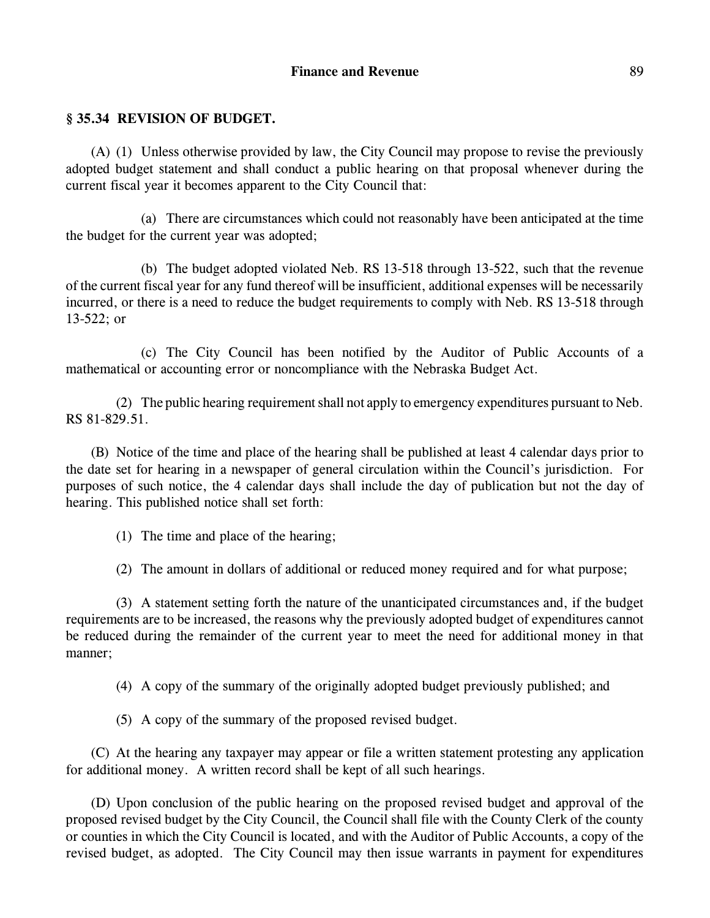## **§ 35.34 REVISION OF BUDGET.**

(A) (1) Unless otherwise provided by law, the City Council may propose to revise the previously adopted budget statement and shall conduct a public hearing on that proposal whenever during the current fiscal year it becomes apparent to the City Council that:

(a) There are circumstances which could not reasonably have been anticipated at the time the budget for the current year was adopted;

(b) The budget adopted violated Neb. RS 13-518 through 13-522, such that the revenue of the current fiscal year for any fund thereof will be insufficient, additional expenses will be necessarily incurred, or there is a need to reduce the budget requirements to comply with Neb. RS 13-518 through 13-522; or

(c) The City Council has been notified by the Auditor of Public Accounts of a mathematical or accounting error or noncompliance with the Nebraska Budget Act.

(2) The public hearing requirement shall not apply to emergency expenditures pursuant to Neb. RS 81-829.51.

(B) Notice of the time and place of the hearing shall be published at least 4 calendar days prior to the date set for hearing in a newspaper of general circulation within the Council's jurisdiction. For purposes of such notice, the 4 calendar days shall include the day of publication but not the day of hearing. This published notice shall set forth:

(1) The time and place of the hearing;

(2) The amount in dollars of additional or reduced money required and for what purpose;

(3) A statement setting forth the nature of the unanticipated circumstances and, if the budget requirements are to be increased, the reasons why the previously adopted budget of expenditures cannot be reduced during the remainder of the current year to meet the need for additional money in that manner;

(4) A copy of the summary of the originally adopted budget previously published; and

(5) A copy of the summary of the proposed revised budget.

(C) At the hearing any taxpayer may appear or file a written statement protesting any application for additional money. A written record shall be kept of all such hearings.

(D) Upon conclusion of the public hearing on the proposed revised budget and approval of the proposed revised budget by the City Council, the Council shall file with the County Clerk of the county or counties in which the City Council is located, and with the Auditor of Public Accounts, a copy of the revised budget, as adopted. The City Council may then issue warrants in payment for expenditures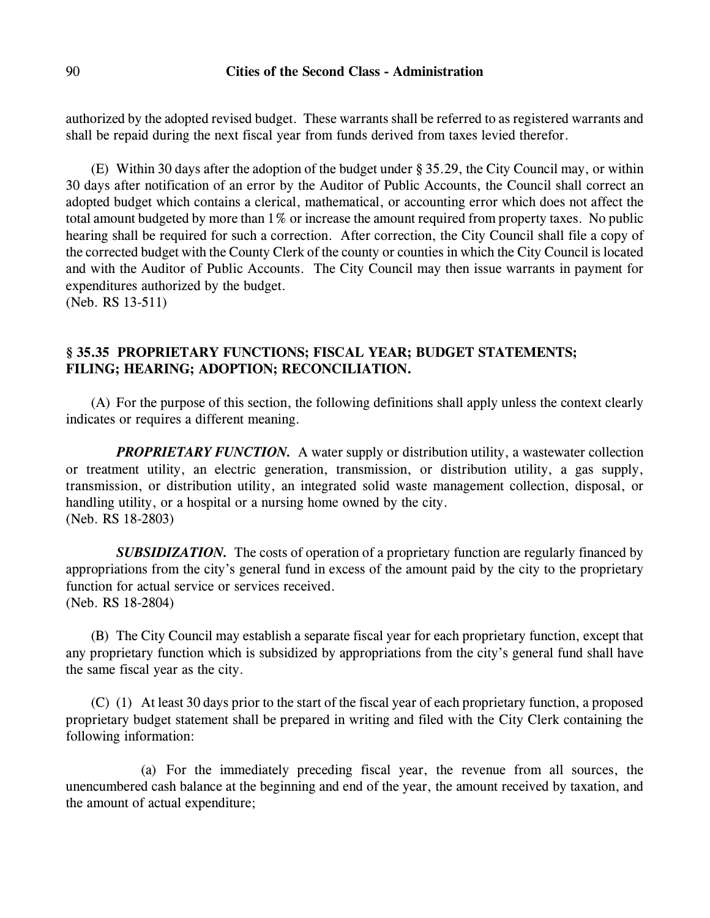authorized by the adopted revised budget. These warrants shall be referred to as registered warrants and shall be repaid during the next fiscal year from funds derived from taxes levied therefor.

(E) Within 30 days after the adoption of the budget under § 35.29, the City Council may, or within 30 days after notification of an error by the Auditor of Public Accounts, the Council shall correct an adopted budget which contains a clerical, mathematical, or accounting error which does not affect the total amount budgeted by more than 1% or increase the amount required from property taxes. No public hearing shall be required for such a correction. After correction, the City Council shall file a copy of the corrected budget with the County Clerk of the county or counties in which the City Council is located and with the Auditor of Public Accounts. The City Council may then issue warrants in payment for expenditures authorized by the budget.

(Neb. RS 13-511)

## **§ 35.35 PROPRIETARY FUNCTIONS; FISCAL YEAR; BUDGET STATEMENTS; FILING; HEARING; ADOPTION; RECONCILIATION.**

(A) For the purpose of this section, the following definitions shall apply unless the context clearly indicates or requires a different meaning.

*PROPRIETARY FUNCTION.* A water supply or distribution utility, a wastewater collection or treatment utility, an electric generation, transmission, or distribution utility, a gas supply, transmission, or distribution utility, an integrated solid waste management collection, disposal, or handling utility, or a hospital or a nursing home owned by the city. (Neb. RS 18-2803)

**SUBSIDIZATION.** The costs of operation of a proprietary function are regularly financed by appropriations from the city's general fund in excess of the amount paid by the city to the proprietary function for actual service or services received. (Neb. RS 18-2804)

(B) The City Council may establish a separate fiscal year for each proprietary function, except that any proprietary function which is subsidized by appropriations from the city's general fund shall have the same fiscal year as the city.

(C) (1) At least 30 days prior to the start of the fiscal year of each proprietary function, a proposed proprietary budget statement shall be prepared in writing and filed with the City Clerk containing the following information:

(a) For the immediately preceding fiscal year, the revenue from all sources, the unencumbered cash balance at the beginning and end of the year, the amount received by taxation, and the amount of actual expenditure;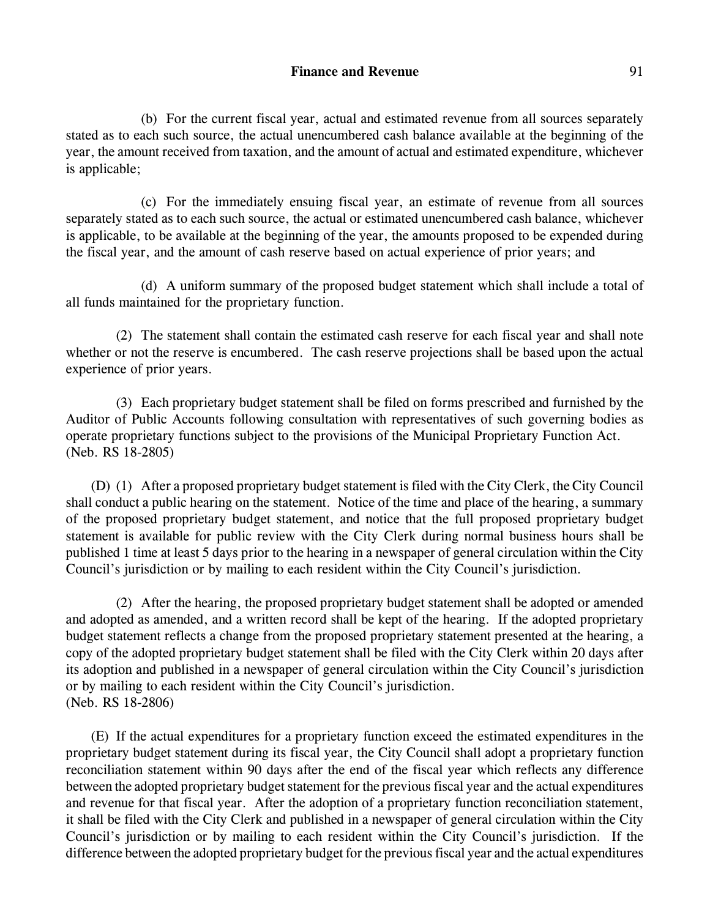(b) For the current fiscal year, actual and estimated revenue from all sources separately stated as to each such source, the actual unencumbered cash balance available at the beginning of the year, the amount received from taxation, and the amount of actual and estimated expenditure, whichever is applicable;

(c) For the immediately ensuing fiscal year, an estimate of revenue from all sources separately stated as to each such source, the actual or estimated unencumbered cash balance, whichever is applicable, to be available at the beginning of the year, the amounts proposed to be expended during the fiscal year, and the amount of cash reserve based on actual experience of prior years; and

(d) A uniform summary of the proposed budget statement which shall include a total of all funds maintained for the proprietary function.

(2) The statement shall contain the estimated cash reserve for each fiscal year and shall note whether or not the reserve is encumbered. The cash reserve projections shall be based upon the actual experience of prior years.

(3) Each proprietary budget statement shall be filed on forms prescribed and furnished by the Auditor of Public Accounts following consultation with representatives of such governing bodies as operate proprietary functions subject to the provisions of the Municipal Proprietary Function Act. (Neb. RS 18-2805)

(D) (1) After a proposed proprietary budget statement is filed with the City Clerk, the City Council shall conduct a public hearing on the statement. Notice of the time and place of the hearing, a summary of the proposed proprietary budget statement, and notice that the full proposed proprietary budget statement is available for public review with the City Clerk during normal business hours shall be published 1 time at least 5 days prior to the hearing in a newspaper of general circulation within the City Council's jurisdiction or by mailing to each resident within the City Council's jurisdiction.

(2) After the hearing, the proposed proprietary budget statement shall be adopted or amended and adopted as amended, and a written record shall be kept of the hearing. If the adopted proprietary budget statement reflects a change from the proposed proprietary statement presented at the hearing, a copy of the adopted proprietary budget statement shall be filed with the City Clerk within 20 days after its adoption and published in a newspaper of general circulation within the City Council's jurisdiction or by mailing to each resident within the City Council's jurisdiction. (Neb. RS 18-2806)

(E) If the actual expenditures for a proprietary function exceed the estimated expenditures in the proprietary budget statement during its fiscal year, the City Council shall adopt a proprietary function reconciliation statement within 90 days after the end of the fiscal year which reflects any difference between the adopted proprietary budget statement for the previous fiscal year and the actual expenditures and revenue for that fiscal year. After the adoption of a proprietary function reconciliation statement, it shall be filed with the City Clerk and published in a newspaper of general circulation within the City Council's jurisdiction or by mailing to each resident within the City Council's jurisdiction. If the difference between the adopted proprietary budget for the previous fiscal year and the actual expenditures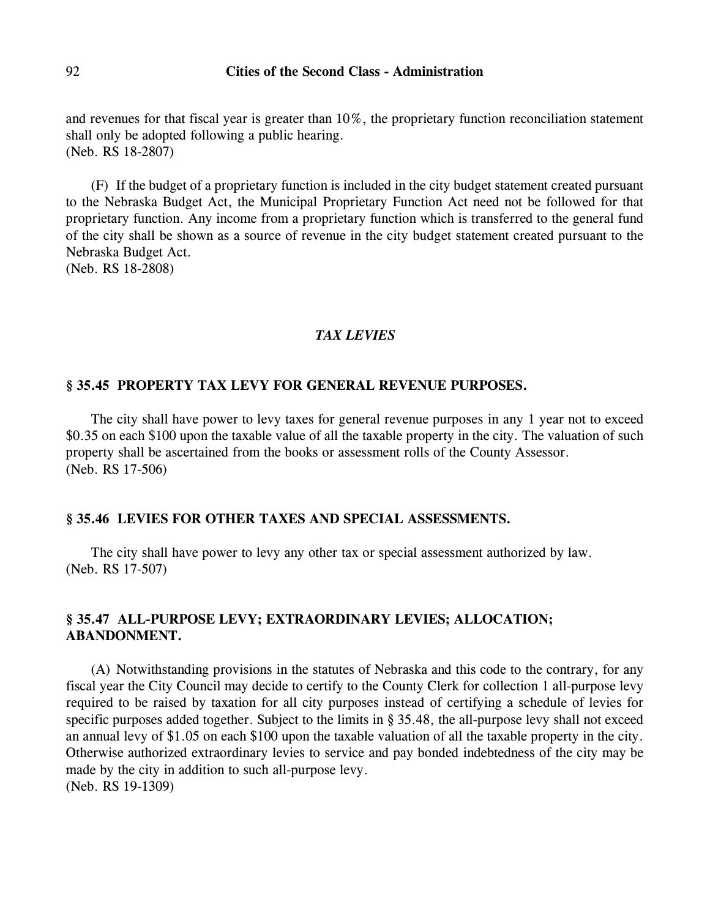and revenues for that fiscal year is greater than 10%, the proprietary function reconciliation statement shall only be adopted following a public hearing. (Neb. RS 18-2807)

(F) If the budget of a proprietary function is included in the city budget statement created pursuant to the Nebraska Budget Act, the Municipal Proprietary Function Act need not be followed for that proprietary function. Any income from a proprietary function which is transferred to the general fund of the city shall be shown as a source of revenue in the city budget statement created pursuant to the Nebraska Budget Act.

(Neb. RS 18-2808)

#### *TAX LEVIES*

#### **§ 35.45 PROPERTY TAX LEVY FOR GENERAL REVENUE PURPOSES.**

The city shall have power to levy taxes for general revenue purposes in any 1 year not to exceed \$0.35 on each \$100 upon the taxable value of all the taxable property in the city. The valuation of such property shall be ascertained from the books or assessment rolls of the County Assessor. (Neb. RS 17-506)

## **§ 35.46 LEVIES FOR OTHER TAXES AND SPECIAL ASSESSMENTS.**

The city shall have power to levy any other tax or special assessment authorized by law. (Neb. RS 17-507)

## **§ 35.47 ALL-PURPOSE LEVY; EXTRAORDINARY LEVIES; ALLOCATION; ABANDONMENT.**

(A) Notwithstanding provisions in the statutes of Nebraska and this code to the contrary, for any fiscal year the City Council may decide to certify to the County Clerk for collection 1 all-purpose levy required to be raised by taxation for all city purposes instead of certifying a schedule of levies for specific purposes added together. Subject to the limits in § 35.48, the all-purpose levy shall not exceed an annual levy of \$1.05 on each \$100 upon the taxable valuation of all the taxable property in the city. Otherwise authorized extraordinary levies to service and pay bonded indebtedness of the city may be made by the city in addition to such all-purpose levy. (Neb. RS 19-1309)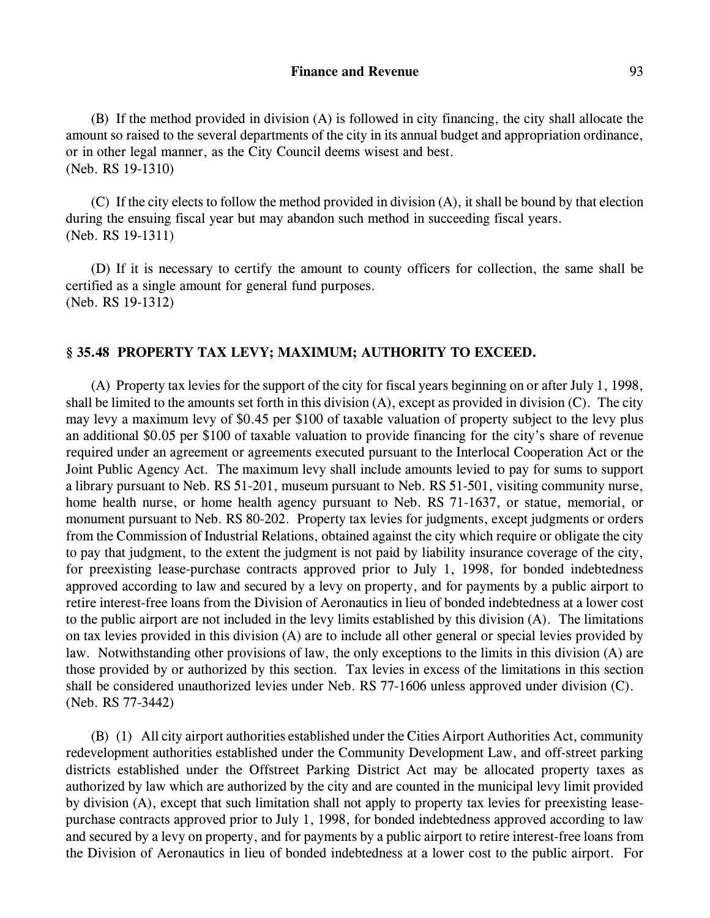(B) If the method provided in division (A) is followed in city financing, the city shall allocate the amount so raised to the several departments of the city in its annual budget and appropriation ordinance, or in other legal manner, as the City Council deems wisest and best. (Neb. RS 19-1310)

(C) If the city elects to follow the method provided in division (A), it shall be bound by that election during the ensuing fiscal year but may abandon such method in succeeding fiscal years. (Neb. RS 19-1311)

(D) If it is necessary to certify the amount to county officers for collection, the same shall be certified as a single amount for general fund purposes. (Neb. RS 19-1312)

#### **§ 35.48 PROPERTY TAX LEVY; MAXIMUM; AUTHORITY TO EXCEED.**

(A) Property tax levies for the support of the city for fiscal years beginning on or after July 1, 1998, shall be limited to the amounts set forth in this division (A), except as provided in division (C). The city may levy a maximum levy of \$0.45 per \$100 of taxable valuation of property subject to the levy plus an additional \$0.05 per \$100 of taxable valuation to provide financing for the city's share of revenue required under an agreement or agreements executed pursuant to the Interlocal Cooperation Act or the Joint Public Agency Act. The maximum levy shall include amounts levied to pay for sums to support a library pursuant to Neb. RS 51-201, museum pursuant to Neb. RS 51-501, visiting community nurse, home health nurse, or home health agency pursuant to Neb. RS 71-1637, or statue, memorial, or monument pursuant to Neb. RS 80-202. Property tax levies for judgments, except judgments or orders from the Commission of Industrial Relations, obtained against the city which require or obligate the city to pay that judgment, to the extent the judgment is not paid by liability insurance coverage of the city, for preexisting lease-purchase contracts approved prior to July 1, 1998, for bonded indebtedness approved according to law and secured by a levy on property, and for payments by a public airport to retire interest-free loans from the Division of Aeronautics in lieu of bonded indebtedness at a lower cost to the public airport are not included in the levy limits established by this division (A). The limitations on tax levies provided in this division (A) are to include all other general or special levies provided by law. Notwithstanding other provisions of law, the only exceptions to the limits in this division (A) are those provided by or authorized by this section. Tax levies in excess of the limitations in this section shall be considered unauthorized levies under Neb. RS 77-1606 unless approved under division (C). (Neb. RS 77-3442)

(B) (1) All city airport authorities established underthe Cities Airport Authorities Act, community redevelopment authorities established under the Community Development Law, and off-street parking districts established under the Offstreet Parking District Act may be allocated property taxes as authorized by law which are authorized by the city and are counted in the municipal levy limit provided by division (A), except that such limitation shall not apply to property tax levies for preexisting leasepurchase contracts approved prior to July 1, 1998, for bonded indebtedness approved according to law and secured by a levy on property, and for payments by a public airport to retire interest-free loans from the Division of Aeronautics in lieu of bonded indebtedness at a lower cost to the public airport. For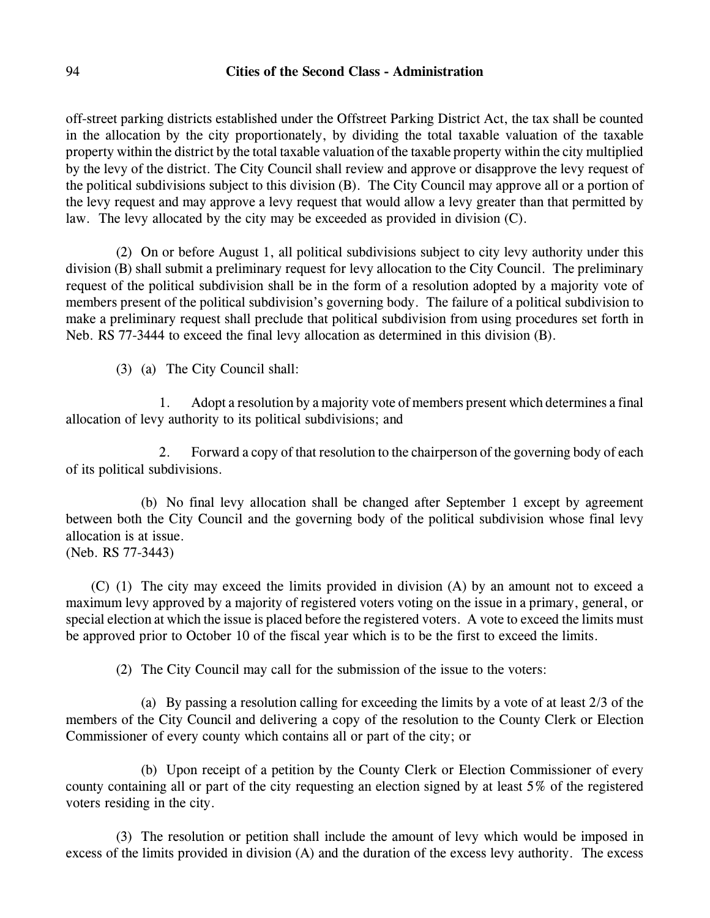off-street parking districts established under the Offstreet Parking District Act, the tax shall be counted in the allocation by the city proportionately, by dividing the total taxable valuation of the taxable property within the district by the total taxable valuation of the taxable property within the city multiplied by the levy of the district. The City Council shall review and approve or disapprove the levy request of the political subdivisions subject to this division (B). The City Council may approve all or a portion of the levy request and may approve a levy request that would allow a levy greater than that permitted by law. The levy allocated by the city may be exceeded as provided in division (C).

(2) On or before August 1, all political subdivisions subject to city levy authority under this division (B) shall submit a preliminary request for levy allocation to the City Council. The preliminary request of the political subdivision shall be in the form of a resolution adopted by a majority vote of members present of the political subdivision's governing body. The failure of a political subdivision to make a preliminary request shall preclude that political subdivision from using procedures set forth in Neb. RS 77-3444 to exceed the final levy allocation as determined in this division (B).

(3) (a) The City Council shall:

1. Adopt a resolution by a majority vote of members present which determines a final allocation of levy authority to its political subdivisions; and

2. Forward a copy of that resolution to the chairperson of the governing body of each of its political subdivisions.

(b) No final levy allocation shall be changed after September 1 except by agreement between both the City Council and the governing body of the political subdivision whose final levy allocation is at issue.

(Neb. RS 77-3443)

(C) (1) The city may exceed the limits provided in division (A) by an amount not to exceed a maximum levy approved by a majority of registered voters voting on the issue in a primary, general, or special election at which the issue is placed before the registered voters. A vote to exceed the limits must be approved prior to October 10 of the fiscal year which is to be the first to exceed the limits.

(2) The City Council may call for the submission of the issue to the voters:

(a) By passing a resolution calling for exceeding the limits by a vote of at least 2/3 of the members of the City Council and delivering a copy of the resolution to the County Clerk or Election Commissioner of every county which contains all or part of the city; or

(b) Upon receipt of a petition by the County Clerk or Election Commissioner of every county containing all or part of the city requesting an election signed by at least 5% of the registered voters residing in the city.

(3) The resolution or petition shall include the amount of levy which would be imposed in excess of the limits provided in division (A) and the duration of the excess levy authority. The excess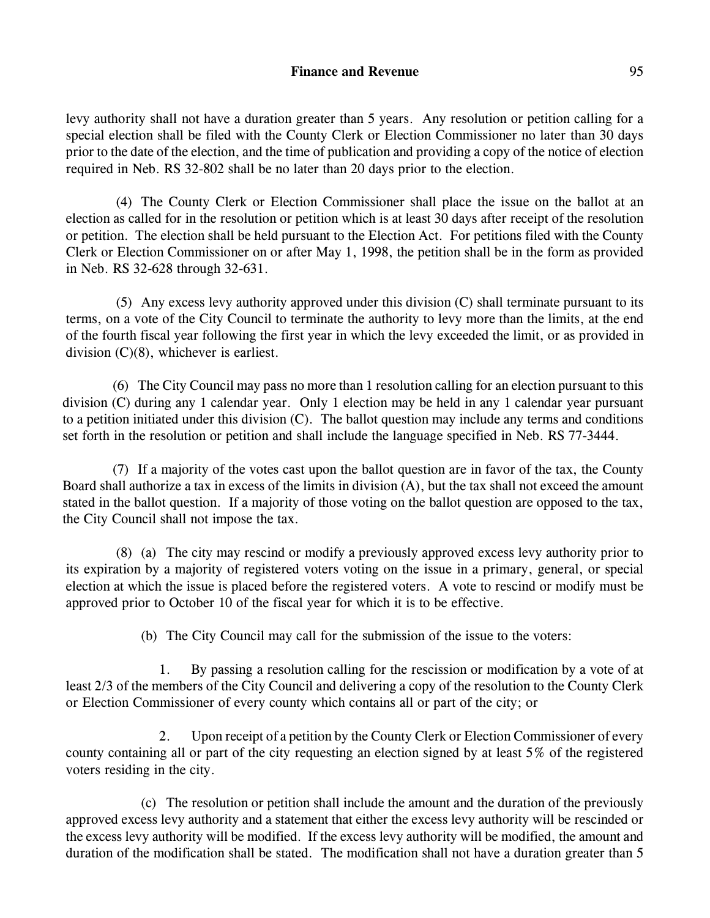levy authority shall not have a duration greater than 5 years. Any resolution or petition calling for a special election shall be filed with the County Clerk or Election Commissioner no later than 30 days prior to the date of the election, and the time of publication and providing a copy of the notice of election required in Neb. RS 32-802 shall be no later than 20 days prior to the election.

(4) The County Clerk or Election Commissioner shall place the issue on the ballot at an election as called for in the resolution or petition which is at least 30 days after receipt of the resolution or petition. The election shall be held pursuant to the Election Act. For petitions filed with the County Clerk or Election Commissioner on or after May 1, 1998, the petition shall be in the form as provided in Neb. RS 32-628 through 32-631.

(5) Any excess levy authority approved under this division (C) shall terminate pursuant to its terms, on a vote of the City Council to terminate the authority to levy more than the limits, at the end of the fourth fiscal year following the first year in which the levy exceeded the limit, or as provided in division (C)(8), whichever is earliest.

(6) The City Council may pass no more than 1 resolution calling for an election pursuant to this division (C) during any 1 calendar year. Only 1 election may be held in any 1 calendar year pursuant to a petition initiated under this division (C). The ballot question may include any terms and conditions set forth in the resolution or petition and shall include the language specified in Neb. RS 77-3444.

(7) If a majority of the votes cast upon the ballot question are in favor of the tax, the County Board shall authorize a tax in excess of the limits in division (A), but the tax shall not exceed the amount stated in the ballot question. If a majority of those voting on the ballot question are opposed to the tax, the City Council shall not impose the tax.

(8) (a) The city may rescind or modify a previously approved excess levy authority prior to its expiration by a majority of registered voters voting on the issue in a primary, general, or special election at which the issue is placed before the registered voters. A vote to rescind or modify must be approved prior to October 10 of the fiscal year for which it is to be effective.

(b) The City Council may call for the submission of the issue to the voters:

1. By passing a resolution calling for the rescission or modification by a vote of at least 2/3 of the members of the City Council and delivering a copy of the resolution to the County Clerk or Election Commissioner of every county which contains all or part of the city; or

2. Upon receipt of a petition by the County Clerk or Election Commissioner of every county containing all or part of the city requesting an election signed by at least 5% of the registered voters residing in the city.

(c) The resolution or petition shall include the amount and the duration of the previously approved excess levy authority and a statement that either the excess levy authority will be rescinded or the excess levy authority will be modified. If the excess levy authority will be modified, the amount and duration of the modification shall be stated. The modification shall not have a duration greater than 5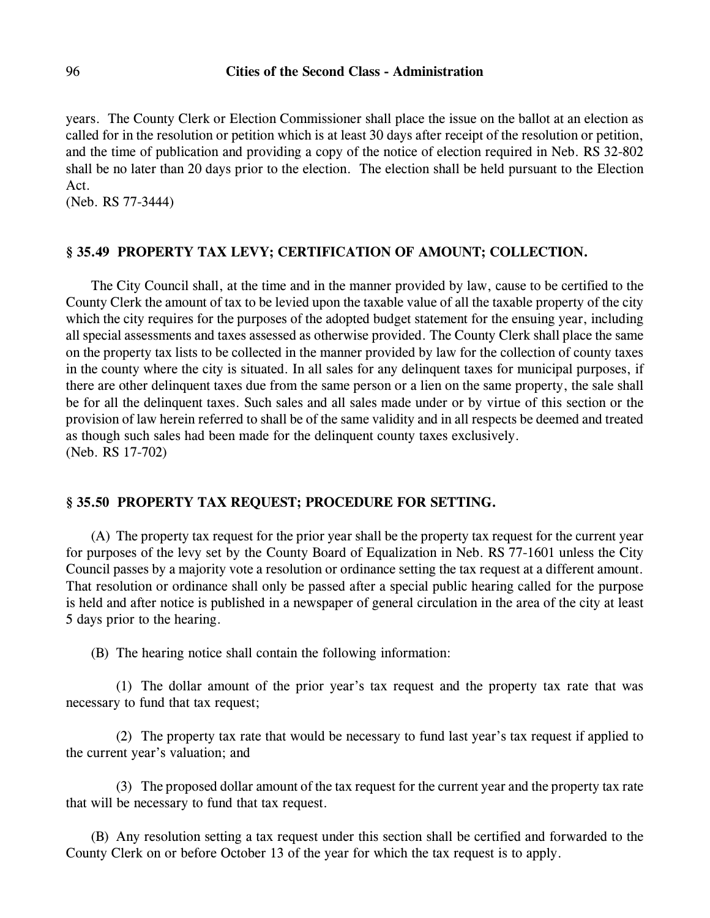years. The County Clerk or Election Commissioner shall place the issue on the ballot at an election as called for in the resolution or petition which is at least 30 days after receipt of the resolution or petition, and the time of publication and providing a copy of the notice of election required in Neb. RS 32-802 shall be no later than 20 days prior to the election. The election shall be held pursuant to the Election Act.

(Neb. RS 77-3444)

## **§ 35.49 PROPERTY TAX LEVY; CERTIFICATION OF AMOUNT; COLLECTION.**

The City Council shall, at the time and in the manner provided by law, cause to be certified to the County Clerk the amount of tax to be levied upon the taxable value of all the taxable property of the city which the city requires for the purposes of the adopted budget statement for the ensuing year, including all special assessments and taxes assessed as otherwise provided. The County Clerk shall place the same on the property tax lists to be collected in the manner provided by law for the collection of county taxes in the county where the city is situated. In all sales for any delinquent taxes for municipal purposes, if there are other delinquent taxes due from the same person or a lien on the same property, the sale shall be for all the delinquent taxes. Such sales and all sales made under or by virtue of this section or the provision of law herein referred to shall be of the same validity and in all respects be deemed and treated as though such sales had been made for the delinquent county taxes exclusively. (Neb. RS 17-702)

## **§ 35.50 PROPERTY TAX REQUEST; PROCEDURE FOR SETTING.**

(A) The property tax request for the prior year shall be the property tax request for the current year for purposes of the levy set by the County Board of Equalization in Neb. RS 77-1601 unless the City Council passes by a majority vote a resolution or ordinance setting the tax request at a different amount. That resolution or ordinance shall only be passed after a special public hearing called for the purpose is held and after notice is published in a newspaper of general circulation in the area of the city at least 5 days prior to the hearing.

(B) The hearing notice shall contain the following information:

(1) The dollar amount of the prior year's tax request and the property tax rate that was necessary to fund that tax request;

(2) The property tax rate that would be necessary to fund last year's tax request if applied to the current year's valuation; and

(3) The proposed dollar amount of the tax request for the current year and the property tax rate that will be necessary to fund that tax request.

(B) Any resolution setting a tax request under this section shall be certified and forwarded to the County Clerk on or before October 13 of the year for which the tax request is to apply.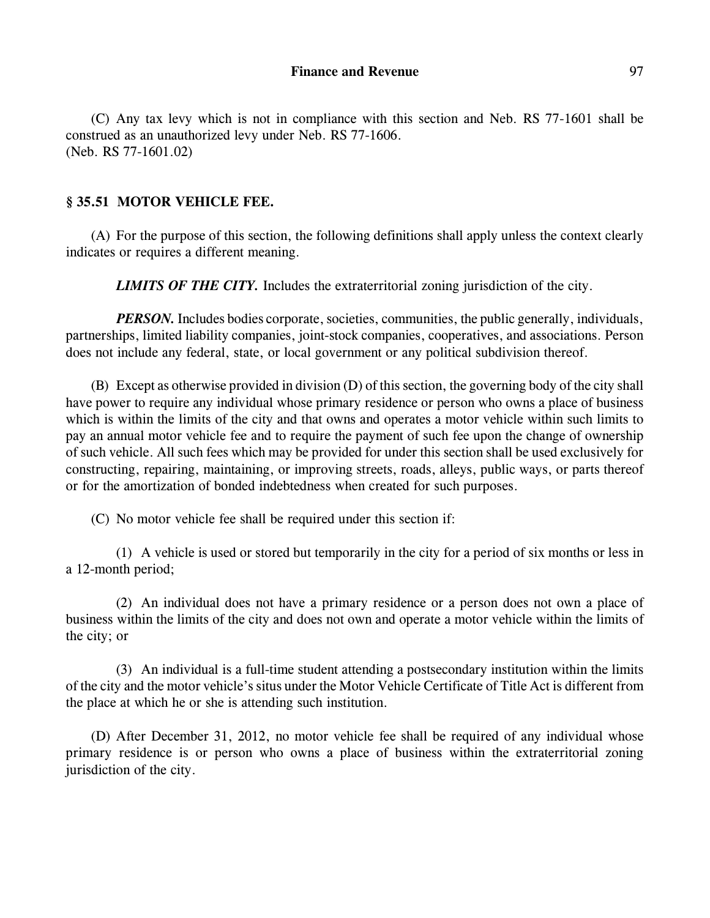(C) Any tax levy which is not in compliance with this section and Neb. RS 77-1601 shall be construed as an unauthorized levy under Neb. RS 77-1606. (Neb. RS 77-1601.02)

#### **§ 35.51 MOTOR VEHICLE FEE.**

(A) For the purpose of this section, the following definitions shall apply unless the context clearly indicates or requires a different meaning.

*LIMITS OF THE CITY.* Includes the extraterritorial zoning jurisdiction of the city.

*PERSON*. Includes bodies corporate, societies, communities, the public generally, individuals, partnerships, limited liability companies, joint-stock companies, cooperatives, and associations. Person does not include any federal, state, or local government or any political subdivision thereof.

(B) Except as otherwise provided in division (D) of this section, the governing body of the city shall have power to require any individual whose primary residence or person who owns a place of business which is within the limits of the city and that owns and operates a motor vehicle within such limits to pay an annual motor vehicle fee and to require the payment of such fee upon the change of ownership of such vehicle. All such fees which may be provided for under this section shall be used exclusively for constructing, repairing, maintaining, or improving streets, roads, alleys, public ways, or parts thereof or for the amortization of bonded indebtedness when created for such purposes.

(C) No motor vehicle fee shall be required under this section if:

(1) A vehicle is used or stored but temporarily in the city for a period of six months or less in a 12-month period;

(2) An individual does not have a primary residence or a person does not own a place of business within the limits of the city and does not own and operate a motor vehicle within the limits of the city; or

(3) An individual is a full-time student attending a postsecondary institution within the limits of the city and the motor vehicle's situs under the Motor Vehicle Certificate of Title Act is different from the place at which he or she is attending such institution.

(D) After December 31, 2012, no motor vehicle fee shall be required of any individual whose primary residence is or person who owns a place of business within the extraterritorial zoning jurisdiction of the city.